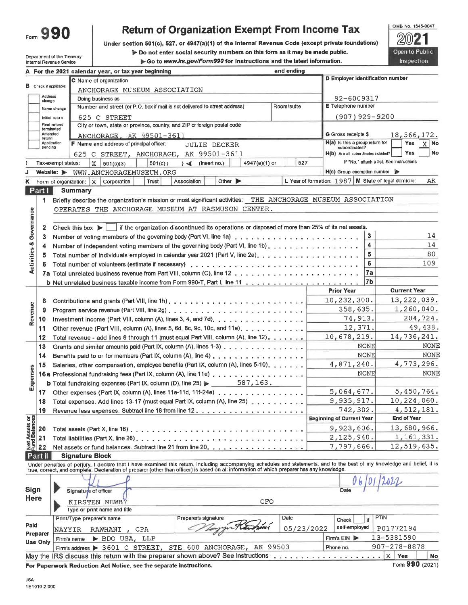| Form |  |  |
|------|--|--|
|      |  |  |

## **Return of Organization Exempt From Income Tax**

Under section 501(c), 527, or 4947(a)(1) of the Internal Revenue Code (except private foundations)

iDo not enter social security numbers on this form as it may be made public. Go to www.irs.gov/Form990 for instructions and the latest information.

2 D 21 Open to Public

Inspection

OMB No. 1545-0047

Department of the Treasury Internal Revenue Service

|                                        |                               |                    | A For the 2021 calendar year, or tax year beginning                                                                                                                                                                                                                                                                      | and ending |                                                      |                                                            |  |  |  |
|----------------------------------------|-------------------------------|--------------------|--------------------------------------------------------------------------------------------------------------------------------------------------------------------------------------------------------------------------------------------------------------------------------------------------------------------------|------------|------------------------------------------------------|------------------------------------------------------------|--|--|--|
|                                        |                               |                    | C Name of organization                                                                                                                                                                                                                                                                                                   |            |                                                      | D Employer identification number                           |  |  |  |
|                                        | <b>B</b> Check if applicable: |                    | ANCHORAGE MUSEUM ASSOCIATION                                                                                                                                                                                                                                                                                             |            |                                                      |                                                            |  |  |  |
|                                        | Address<br>change             |                    | Doing business as                                                                                                                                                                                                                                                                                                        |            | 92-6009317                                           |                                                            |  |  |  |
|                                        |                               | Name change        | Number and street (or P.O. box if mail is not delivered to street address)                                                                                                                                                                                                                                               | Room/suite | E Telephone number                                   |                                                            |  |  |  |
|                                        |                               | Initial return     | 625 C STREET                                                                                                                                                                                                                                                                                                             |            | $(907)$ 929-9200                                     |                                                            |  |  |  |
|                                        |                               | Final return/      | City or town, state or province, country, and ZIP or foreign postal code                                                                                                                                                                                                                                                 |            |                                                      |                                                            |  |  |  |
|                                        | terminated<br>Amended         |                    | ANCHORAGE, AK 99501-3611                                                                                                                                                                                                                                                                                                 |            | G Gross receipts \$                                  | 18,566,172.                                                |  |  |  |
|                                        | return<br>Application         |                    | F Name and address of principal officer:<br><b>JULIE DECKER</b>                                                                                                                                                                                                                                                          |            | H(a) is this a group return for                      | <b>Yes</b><br>$X$ No                                       |  |  |  |
|                                        | pending                       |                    |                                                                                                                                                                                                                                                                                                                          |            | subordinates?<br>H(b) Are all subordinates included? | Yes<br>No                                                  |  |  |  |
|                                        |                               |                    | 625 C STREET, ANCHORAGE, AK 99501-3611                                                                                                                                                                                                                                                                                   |            |                                                      | If "No," attach a list. See instructions                   |  |  |  |
|                                        |                               | Tax-exempt status: | X   501(c)(3)<br>$501(c)$ (<br>4947(a)(1) or<br>$\rightarrow$<br>(insert no.)                                                                                                                                                                                                                                            | 527        |                                                      |                                                            |  |  |  |
|                                        |                               | Website:           | WWW.ANCHORAGEMUSEUM.ORG                                                                                                                                                                                                                                                                                                  |            | H(c) Group exemption number                          |                                                            |  |  |  |
| ĸ                                      |                               |                    | Other $\blacktriangleright$<br>Form of organization: $X$ Corporation<br>Association<br><b>Trust</b>                                                                                                                                                                                                                      |            |                                                      | L Year of formation: 1987 M State of legal domicile:<br>AК |  |  |  |
|                                        | Part I                        |                    | <b>Summary</b>                                                                                                                                                                                                                                                                                                           |            |                                                      |                                                            |  |  |  |
|                                        | 1.                            |                    | Briefly describe the organization's mission or most significant activities:                                                                                                                                                                                                                                              |            | THE ANCHORAGE MUSEUM ASSOCIATION                     |                                                            |  |  |  |
|                                        |                               |                    | OPERATES THE ANCHORAGE MUSEUM AT RASMUSON CENTER.                                                                                                                                                                                                                                                                        |            |                                                      |                                                            |  |  |  |
|                                        |                               |                    |                                                                                                                                                                                                                                                                                                                          |            |                                                      |                                                            |  |  |  |
|                                        | $\mathbf{z}$                  |                    | if the organization discontinued its operations or disposed of more than 25% of its net assets.<br>Check this box $\blacktriangleright$                                                                                                                                                                                  |            |                                                      |                                                            |  |  |  |
| Governance                             | 3                             |                    |                                                                                                                                                                                                                                                                                                                          |            |                                                      | 3<br>14                                                    |  |  |  |
|                                        | 4                             |                    | Number of independent voting members of the governing body (Part VI, line 1b),                                                                                                                                                                                                                                           |            |                                                      | 4<br>14                                                    |  |  |  |
|                                        | 5                             |                    |                                                                                                                                                                                                                                                                                                                          |            |                                                      | 5<br>80                                                    |  |  |  |
| Activities &                           |                               |                    |                                                                                                                                                                                                                                                                                                                          |            |                                                      | 6<br>109                                                   |  |  |  |
|                                        |                               |                    |                                                                                                                                                                                                                                                                                                                          |            |                                                      | 7a                                                         |  |  |  |
|                                        |                               |                    |                                                                                                                                                                                                                                                                                                                          |            |                                                      | 7 <sub>b</sub>                                             |  |  |  |
|                                        |                               |                    | b Net unrelated business taxable income from Form 990-T, Part I, line 11 and successive containing the service of the                                                                                                                                                                                                    |            | <b>Prior Year</b>                                    | <b>Current Year</b>                                        |  |  |  |
|                                        |                               |                    |                                                                                                                                                                                                                                                                                                                          |            |                                                      |                                                            |  |  |  |
|                                        | 8                             |                    | Contributions and grants (Part VIII, line 1h)                                                                                                                                                                                                                                                                            |            | 10,232,300.                                          | 13, 222, 039.                                              |  |  |  |
| Revenue                                | 9                             |                    |                                                                                                                                                                                                                                                                                                                          |            | 358,635.                                             | 1,260,040.                                                 |  |  |  |
|                                        | 10                            |                    | Investment income (Part VIII, column (A), lines 3, 4, and 7d). $\ldots$ , $\ldots$ , $\ldots$ , $\ldots$ , $\ldots$                                                                                                                                                                                                      |            | 74,913.                                              | 204,724.                                                   |  |  |  |
|                                        | 11                            |                    | Other revenue (Part VIII, column (A), lines 5, 6d, 8c, 9c, 10c, and 11e), etters, etters, and other                                                                                                                                                                                                                      |            | 12,371.                                              | 49, 438.                                                   |  |  |  |
|                                        | 12                            |                    | Total revenue - add lines 8 through 11 (must equal Part VIII, column (A), line 12).                                                                                                                                                                                                                                      |            | 10,678,219.                                          | 14,736,241.                                                |  |  |  |
|                                        | 13                            |                    | Grants and similar amounts paid (Part IX, column (A), lines $1-3$ ) $\ldots$ , $\ldots$ , $\ldots$                                                                                                                                                                                                                       |            | <b>NONE</b>                                          | NONE                                                       |  |  |  |
|                                        | 14                            |                    | Benefits paid to or for members (Part IX, column (A), line 4)                                                                                                                                                                                                                                                            |            | NONE                                                 | NONE                                                       |  |  |  |
|                                        | 15                            |                    | Salaries, other compensation, employee benefits (Part IX, column (A), lines 5-10), $\ldots$ ,                                                                                                                                                                                                                            |            | 4,871,240.                                           | 4,773,296.                                                 |  |  |  |
| Expenses                               |                               |                    |                                                                                                                                                                                                                                                                                                                          |            | NONE                                                 | NONE                                                       |  |  |  |
|                                        |                               |                    | <b>b</b> Total fundraising expenses (Part IX, column (D), line 25) $\triangleright$ 587, 163.                                                                                                                                                                                                                            |            |                                                      |                                                            |  |  |  |
|                                        | 17                            |                    | Other expenses (Part IX, column (A), lines 11a-11d, 11f-24e)                                                                                                                                                                                                                                                             |            | 5,064,677.                                           | 5,450,764.                                                 |  |  |  |
|                                        | 18                            |                    | Total expenses. Add lines 13-17 (must equal Part IX, column (A), line 25)                                                                                                                                                                                                                                                |            | 9, 935, 917.                                         | 10, 224, 060.                                              |  |  |  |
|                                        |                               |                    |                                                                                                                                                                                                                                                                                                                          |            | 742,302.                                             | 4,512,181.                                                 |  |  |  |
|                                        | 19                            |                    |                                                                                                                                                                                                                                                                                                                          |            | <b>Beginning of Current Year</b>                     | <b>End of Year</b>                                         |  |  |  |
| <b>Net Assets or<br/>Fund Balances</b> |                               |                    |                                                                                                                                                                                                                                                                                                                          |            |                                                      | 13,680,966.                                                |  |  |  |
|                                        | 20                            |                    | Total assets (Part X, line 16),,,,,,,,,,,,,,,,,,,,                                                                                                                                                                                                                                                                       |            | 9,923,606.                                           |                                                            |  |  |  |
|                                        | 21                            |                    |                                                                                                                                                                                                                                                                                                                          |            | 2,125,940.                                           | 1, 161, 331.                                               |  |  |  |
|                                        | 22                            |                    | Net assets or fund balances. Subtract line 21 from line 20.                                                                                                                                                                                                                                                              |            | 7,797,666.                                           | 12, 519, 635.                                              |  |  |  |
|                                        | Part II                       |                    | <b>Signature Block</b>                                                                                                                                                                                                                                                                                                   |            |                                                      |                                                            |  |  |  |
|                                        |                               |                    | Under penalties of perjury, I declare that I have examined this return, including accompanying schedules and statements, and to the best of my knowledge and belief, it is<br>true, correct, and complete. Declaration of preparer (other than officer) is based on all information of which preparer has any knowledge. |            |                                                      |                                                            |  |  |  |
|                                        |                               |                    |                                                                                                                                                                                                                                                                                                                          |            |                                                      |                                                            |  |  |  |
|                                        |                               |                    |                                                                                                                                                                                                                                                                                                                          |            |                                                      |                                                            |  |  |  |
| <b>Sign</b>                            |                               |                    | Signature of officer                                                                                                                                                                                                                                                                                                     |            | Date                                                 |                                                            |  |  |  |
| Here                                   |                               |                    | CFO<br>KIRSTEN NEWBY                                                                                                                                                                                                                                                                                                     |            |                                                      |                                                            |  |  |  |
|                                        |                               |                    | Type or print name and title                                                                                                                                                                                                                                                                                             |            |                                                      |                                                            |  |  |  |
|                                        |                               |                    | Print/Type preparer's name<br>Preparer's signature                                                                                                                                                                                                                                                                       | Date       | Check                                                | PTIN<br>if                                                 |  |  |  |
| Paid                                   |                               | NAYYIR             | , CPA<br>RAWHANI                                                                                                                                                                                                                                                                                                         | 05/23/2022 | self-employed                                        | P01772194                                                  |  |  |  |
|                                        | Preparer                      |                    | BDO USA, LLP<br>Firm's name                                                                                                                                                                                                                                                                                              |            | Firm's EIN                                           | 13-5381590                                                 |  |  |  |
|                                        | <b>Use Only</b>               |                    | STE 600 ANCHORAGE, AK 99503                                                                                                                                                                                                                                                                                              |            | Phone no.                                            | 907-278-8878                                               |  |  |  |
|                                        |                               |                    | Firm's address $\triangleright$ 3601 C STREET,<br>May the IRS discuss this return with the preparer shown above? See instructions                                                                                                                                                                                        |            |                                                      | $\mathbf X$<br>Yes                                         |  |  |  |
|                                        |                               |                    |                                                                                                                                                                                                                                                                                                                          |            |                                                      | No<br>Form 990 (2021)                                      |  |  |  |
|                                        |                               |                    | For Paperwork Reduction Act Notice, see the separate instructions.                                                                                                                                                                                                                                                       |            |                                                      |                                                            |  |  |  |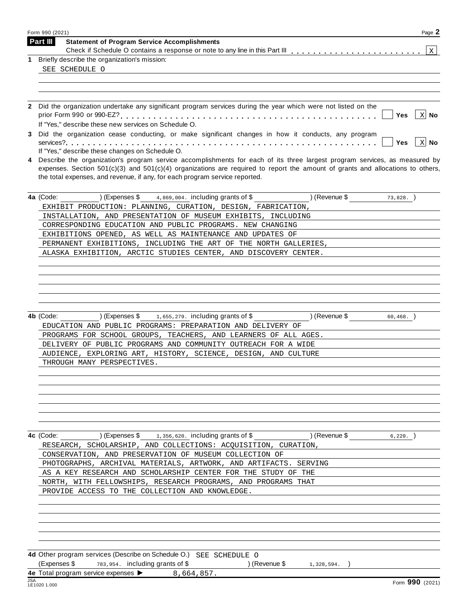| 1 | Form 990 (2021)<br>Page 2                                                                                                                                                     |
|---|-------------------------------------------------------------------------------------------------------------------------------------------------------------------------------|
|   | Part III<br><b>Statement of Program Service Accomplishments</b>                                                                                                               |
|   | Briefly describe the organization's mission:                                                                                                                                  |
|   | SEE SCHEDULE O                                                                                                                                                                |
|   |                                                                                                                                                                               |
|   |                                                                                                                                                                               |
|   |                                                                                                                                                                               |
|   | Did the organization undertake any significant program services during the year which were not listed on the<br>$ X $ No<br>Yes                                               |
|   | If "Yes," describe these new services on Schedule O.                                                                                                                          |
|   | Did the organization cease conducting, or make significant changes in how it conducts, any program                                                                            |
|   | ∣ x∣ No<br><b>Yes</b>                                                                                                                                                         |
|   | If "Yes," describe these changes on Schedule O.<br>Describe the organization's program service accomplishments for each of its three largest program services, as measured by |
|   | expenses. Section $501(c)(3)$ and $501(c)(4)$ organizations are required to report the amount of grants and allocations to others,                                            |
|   | the total expenses, and revenue, if any, for each program service reported.                                                                                                   |
|   |                                                                                                                                                                               |
|   |                                                                                                                                                                               |
|   | EXHIBIT PRODUCTION: PLANNING, CURATION, DESIGN, FABRICATION,                                                                                                                  |
|   | INSTALLATION, AND PRESENTATION OF MUSEUM EXHIBITS, INCLUDING                                                                                                                  |
|   | CORRESPONDING EDUCATION AND PUBLIC PROGRAMS. NEW CHANGING<br>EXHIBITIONS OPENED, AS WELL AS MAINTENANCE AND UPDATES OF                                                        |
|   | PERMANENT EXHIBITIONS, INCLUDING THE ART OF THE NORTH GALLERIES,                                                                                                              |
|   | ALASKA EXHIBITION, ARCTIC STUDIES CENTER, AND DISCOVERY CENTER.                                                                                                               |
|   |                                                                                                                                                                               |
|   |                                                                                                                                                                               |
|   |                                                                                                                                                                               |
|   |                                                                                                                                                                               |
|   |                                                                                                                                                                               |
|   |                                                                                                                                                                               |
|   | 4b (Code: ) (Expenses \$ 1,655,279. including grants of \$ ) (Revenue \$ 60,468.)                                                                                             |
|   | EDUCATION AND PUBLIC PROGRAMS: PREPARATION AND DELIVERY OF                                                                                                                    |
|   | PROGRAMS FOR SCHOOL GROUPS, TEACHERS, AND LEARNERS OF ALL AGES.                                                                                                               |
|   |                                                                                                                                                                               |
|   | DELIVERY OF PUBLIC PROGRAMS AND COMMUNITY OUTREACH FOR A WIDE                                                                                                                 |
|   | AUDIENCE, EXPLORING ART, HISTORY, SCIENCE, DESIGN, AND CULTURE                                                                                                                |
|   | THROUGH MANY PERSPECTIVES.                                                                                                                                                    |
|   |                                                                                                                                                                               |
|   |                                                                                                                                                                               |
|   |                                                                                                                                                                               |
|   |                                                                                                                                                                               |
|   |                                                                                                                                                                               |
|   |                                                                                                                                                                               |
|   | <b>4c</b> (Code: ) (Expenses $\$$ 1, 356, 620. including grants of $\$$ ) (Revenue $\$$<br>$6, 220.$ )                                                                        |
|   | RESEARCH, SCHOLARSHIP, AND COLLECTIONS: ACQUISITION, CURATION,                                                                                                                |
|   | CONSERVATION, AND PRESERVATION OF MUSEUM COLLECTION OF                                                                                                                        |
|   | PHOTOGRAPHS, ARCHIVAL MATERIALS, ARTWORK, AND ARTIFACTS. SERVING                                                                                                              |
|   | AS A KEY RESEARCH AND SCHOLARSHIP CENTER FOR THE STUDY OF THE                                                                                                                 |
|   | NORTH, WITH FELLOWSHIPS, RESEARCH PROGRAMS, AND PROGRAMS THAT                                                                                                                 |
|   | PROVIDE ACCESS TO THE COLLECTION AND KNOWLEDGE.                                                                                                                               |
|   |                                                                                                                                                                               |
|   |                                                                                                                                                                               |
|   |                                                                                                                                                                               |
|   |                                                                                                                                                                               |
|   |                                                                                                                                                                               |
|   | 4d Other program services (Describe on Schedule O.) SEE SCHEDULE O                                                                                                            |
|   | (Expenses \$<br>783,954. including grants of \$<br>$($ Revenue \$ 1,328,594.<br>4e Total program service expenses ><br>8,664,857.                                             |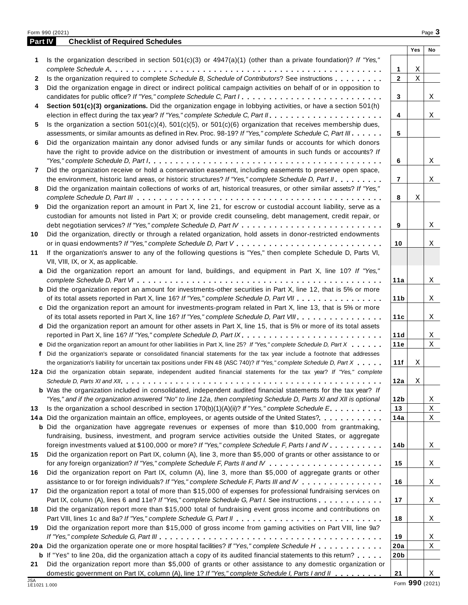|            | Form 990 (2021)                                                                                                                                                                                                             |                 |                 | Page 3 |
|------------|-----------------------------------------------------------------------------------------------------------------------------------------------------------------------------------------------------------------------------|-----------------|-----------------|--------|
|            | Part IV<br><b>Checklist of Required Schedules</b>                                                                                                                                                                           |                 | Yes             | No     |
| 1.         | Is the organization described in section $501(c)(3)$ or $4947(a)(1)$ (other than a private foundation)? If "Yes,"                                                                                                           |                 |                 |        |
|            |                                                                                                                                                                                                                             | $\mathbf{1}$    | $\mathbf X$     |        |
| 2          | Is the organization required to complete Schedule B, Schedule of Contributors? See instructions                                                                                                                             | $\overline{2}$  | $\mathbf X$     |        |
| 3          | Did the organization engage in direct or indirect political campaign activities on behalf of or in opposition to                                                                                                            |                 |                 |        |
|            | candidates for public office? If "Yes," complete Schedule C, Part I.                                                                                                                                                        | 3               |                 | X      |
| 4          | Section 501(c)(3) organizations. Did the organization engage in lobbying activities, or have a section 501(h)                                                                                                               |                 |                 |        |
|            |                                                                                                                                                                                                                             | 4               |                 | X      |
| 5          | Is the organization a section $501(c)(4)$ , $501(c)(5)$ , or $501(c)(6)$ organization that receives membership dues,                                                                                                        |                 |                 |        |
|            | assessments, or similar amounts as defined in Rev. Proc. 98-19? If "Yes," complete Schedule C, Part III.                                                                                                                    | 5               |                 |        |
| 6          | Did the organization maintain any donor advised funds or any similar funds or accounts for which donors                                                                                                                     |                 |                 |        |
|            | have the right to provide advice on the distribution or investment of amounts in such funds or accounts? If                                                                                                                 |                 |                 |        |
|            |                                                                                                                                                                                                                             | 6               |                 | Χ      |
| 7          | Did the organization receive or hold a conservation easement, including easements to preserve open space,                                                                                                                   |                 |                 |        |
|            | the environment, historic land areas, or historic structures? If "Yes," complete Schedule D, Part II.                                                                                                                       | $\overline{7}$  |                 | X      |
| 8          | Did the organization maintain collections of works of art, historical treasures, or other similar assets? If "Yes,"                                                                                                         |                 |                 |        |
|            |                                                                                                                                                                                                                             | 8               | Χ               |        |
| 9          | Did the organization report an amount in Part X, line 21, for escrow or custodial account liability, serve as a                                                                                                             |                 |                 |        |
|            | custodian for amounts not listed in Part X; or provide credit counseling, debt management, credit repair, or                                                                                                                |                 |                 |        |
|            |                                                                                                                                                                                                                             | 9               |                 | Χ      |
| 10         | Did the organization, directly or through a related organization, hold assets in donor-restricted endowments                                                                                                                |                 |                 |        |
|            |                                                                                                                                                                                                                             | 10              |                 | Χ      |
| 11         | If the organization's answer to any of the following questions is "Yes," then complete Schedule D, Parts VI,                                                                                                                |                 |                 |        |
|            | VII, VIII, IX, or X, as applicable.                                                                                                                                                                                         |                 |                 |        |
|            | a Did the organization report an amount for land, buildings, and equipment in Part X, line 10? If "Yes,"                                                                                                                    |                 |                 |        |
|            |                                                                                                                                                                                                                             | 11a             |                 | Χ      |
|            | <b>b</b> Did the organization report an amount for investments-other securities in Part X, line 12, that is 5% or more                                                                                                      |                 |                 |        |
|            | of its total assets reported in Part X, line 16? If "Yes," complete Schedule D, Part VII                                                                                                                                    | 11b             |                 | Χ      |
|            | c Did the organization report an amount for investments-program related in Part X, line 13, that is 5% or more                                                                                                              |                 |                 |        |
|            | of its total assets reported in Part X, line 16? If "Yes," complete Schedule D, Part VIII                                                                                                                                   | 11c             |                 | Χ      |
|            | d Did the organization report an amount for other assets in Part X, line 15, that is 5% or more of its total assets                                                                                                         |                 |                 |        |
|            |                                                                                                                                                                                                                             | 11d             |                 | X      |
|            | e Did the organization report an amount for other liabilities in Part X, line 25? If "Yes," complete Schedule D, Part X                                                                                                     | 11e             |                 | X      |
|            | f Did the organization's separate or consolidated financial statements for the tax year include a footnote that addresses                                                                                                   |                 |                 |        |
|            | the organization's liability for uncertain tax positions under FIN 48 (ASC 740)? If "Yes," complete Schedule D, Part X                                                                                                      | 11f             | X               |        |
|            | 12a Did the organization obtain separate, independent audited financial statements for the tax year? If "Yes," complete                                                                                                     |                 |                 |        |
|            | <b>b</b> Was the organization included in consolidated, independent audited financial statements for the tax year? If                                                                                                       | 12a             | Χ               |        |
|            |                                                                                                                                                                                                                             |                 |                 |        |
| 13         | "Yes," and if the organization answered "No" to line 12a, then completing Schedule D, Parts XI and XII is optional<br>Is the organization a school described in section $170(b)(1)(A)(ii)$ ? If "Yes," complete Schedule E. | 12b<br>13       |                 | X<br>X |
|            | 14a Did the organization maintain an office, employees, or agents outside of the United States?.                                                                                                                            | 14a             |                 | X      |
|            | <b>b</b> Did the organization have aggregate revenues or expenses of more than \$10,000 from grantmaking,                                                                                                                   |                 |                 |        |
|            | fundraising, business, investment, and program service activities outside the United States, or aggregate                                                                                                                   |                 |                 |        |
|            | foreign investments valued at \$100,000 or more? If "Yes," complete Schedule F, Parts I and IV                                                                                                                              | 14b             |                 | Χ      |
| 15         | Did the organization report on Part IX, column (A), line 3, more than \$5,000 of grants or other assistance to or                                                                                                           |                 |                 |        |
|            |                                                                                                                                                                                                                             | 15              |                 | X      |
| 16         | Did the organization report on Part IX, column (A), line 3, more than \$5,000 of aggregate grants or other                                                                                                                  |                 |                 |        |
|            | assistance to or for foreign individuals? If "Yes," complete Schedule F, Parts III and IV                                                                                                                                   | 16              |                 | X      |
| 17         | Did the organization report a total of more than \$15,000 of expenses for professional fundraising services on                                                                                                              |                 |                 |        |
|            | Part IX, column (A), lines 6 and 11e? If "Yes," complete Schedule G, Part I. See instructions                                                                                                                               | 17              |                 | X      |
| 18         | Did the organization report more than \$15,000 total of fundraising event gross income and contributions on                                                                                                                 |                 |                 |        |
|            |                                                                                                                                                                                                                             | 18              |                 | X      |
| 19         | Did the organization report more than \$15,000 of gross income from gaming activities on Part VIII, line 9a?                                                                                                                |                 |                 |        |
|            |                                                                                                                                                                                                                             | 19              |                 | X      |
|            | 20a Did the organization operate one or more hospital facilities? If "Yes," complete Schedule H                                                                                                                             | 20a             |                 | X      |
|            | <b>b</b> If "Yes" to line 20a, did the organization attach a copy of its audited financial statements to this return?                                                                                                       | 20 <sub>b</sub> |                 |        |
| 21         | Did the organization report more than \$5,000 of grants or other assistance to any domestic organization or                                                                                                                 |                 |                 |        |
|            | domestic government on Part IX, column (A), line 1? If "Yes," complete Schedule I, Parts I and II                                                                                                                           | 21              |                 | X      |
| <b>JSA</b> | 1E1021 1.000                                                                                                                                                                                                                |                 | Form 990 (2021) |        |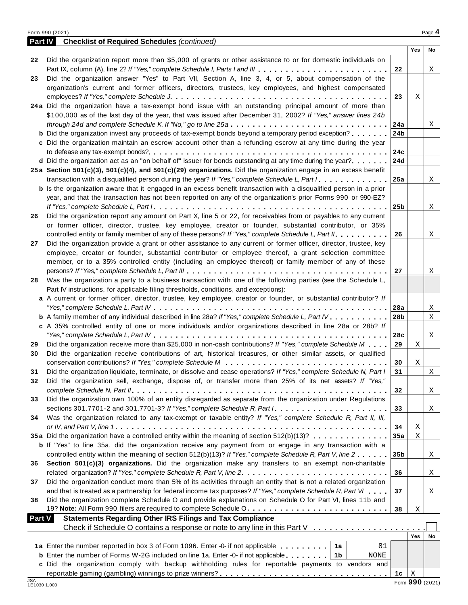|--|--|

| <b>Part IV</b> | <b>Checklist of Required Schedules (continued)</b>                                                                                                                                                                            |                 |         |             |
|----------------|-------------------------------------------------------------------------------------------------------------------------------------------------------------------------------------------------------------------------------|-----------------|---------|-------------|
|                |                                                                                                                                                                                                                               |                 | Yes     | No          |
| 22             | Did the organization report more than \$5,000 of grants or other assistance to or for domestic individuals on                                                                                                                 |                 |         |             |
|                | Part IX, column (A), line 2? If "Yes," complete Schedule I, Parts I and III                                                                                                                                                   | 22              |         | X           |
| 23             | Did the organization answer "Yes" to Part VII, Section A, line 3, 4, or 5, about compensation of the                                                                                                                          |                 |         |             |
|                | organization's current and former officers, directors, trustees, key employees, and highest compensated                                                                                                                       |                 |         |             |
|                |                                                                                                                                                                                                                               | 23              | Χ       |             |
|                | 24a Did the organization have a tax-exempt bond issue with an outstanding principal amount of more than                                                                                                                       |                 |         |             |
|                | \$100,000 as of the last day of the year, that was issued after December 31, 2002? If "Yes," answer lines 24b                                                                                                                 |                 |         |             |
|                | through 24d and complete Schedule K. If "No," go to line 25a $\ldots$ ,                                                                                                                                                       | 24a             |         | X           |
|                | <b>b</b> Did the organization invest any proceeds of tax-exempt bonds beyond a temporary period exception?                                                                                                                    | 24b             |         |             |
|                | c Did the organization maintain an escrow account other than a refunding escrow at any time during the year                                                                                                                   |                 |         |             |
|                |                                                                                                                                                                                                                               | 24c             |         |             |
|                | d Did the organization act as an "on behalf of" issuer for bonds outstanding at any time during the year?                                                                                                                     | 24d             |         |             |
|                | 25a Section 501(c)(3), 501(c)(4), and 501(c)(29) organizations. Did the organization engage in an excess benefit                                                                                                              |                 |         |             |
|                | transaction with a disqualified person during the year? If "Yes," complete Schedule L, Part I                                                                                                                                 | 25a             |         | X           |
|                | <b>b</b> Is the organization aware that it engaged in an excess benefit transaction with a disqualified person in a prior                                                                                                     |                 |         |             |
|                | year, and that the transaction has not been reported on any of the organization's prior Forms 990 or 990-EZ?                                                                                                                  |                 |         |             |
|                | If "Yes," complete Schedule L. Part $l_1, \ldots, l_k, \ldots, l_k, \ldots, l_k, \ldots, l_k, \ldots, l_k, \ldots, l_k, \ldots, l_k, \ldots, l_k$                                                                             | 25 <sub>b</sub> |         | X           |
| 26             | Did the organization report any amount on Part X, line 5 or 22, for receivables from or payables to any current                                                                                                               |                 |         |             |
|                | or former officer, director, trustee, key employee, creator or founder, substantial contributor, or 35%                                                                                                                       |                 |         |             |
|                | controlled entity or family member of any of these persons? If "Yes," complete Schedule L, Part II.                                                                                                                           | 26              |         | X           |
| 27             | Did the organization provide a grant or other assistance to any current or former officer, director, trustee, key                                                                                                             |                 |         |             |
|                | employee, creator or founder, substantial contributor or employee thereof, a grant selection committee                                                                                                                        |                 |         |             |
|                | member, or to a 35% controlled entity (including an employee thereof) or family member of any of these                                                                                                                        |                 |         |             |
|                |                                                                                                                                                                                                                               | 27              |         | Χ           |
| 28             | Was the organization a party to a business transaction with one of the following parties (see the Schedule L,                                                                                                                 |                 |         |             |
|                | Part IV instructions, for applicable filing thresholds, conditions, and exceptions):                                                                                                                                          |                 |         |             |
|                | a A current or former officer, director, trustee, key employee, creator or founder, or substantial contributor? If                                                                                                            |                 |         |             |
|                |                                                                                                                                                                                                                               | 28a             |         | X           |
|                | <b>b</b> A family member of any individual described in line 28a? If "Yes," complete Schedule L, Part IV.                                                                                                                     | 28b             |         | $\mathbf X$ |
|                | c A 35% controlled entity of one or more individuals and/or organizations described in line 28a or 28b? If                                                                                                                    |                 |         |             |
|                |                                                                                                                                                                                                                               | 28c             |         | X           |
| 29             | Did the organization receive more than \$25,000 in non-cash contributions? If "Yes," complete Schedule M                                                                                                                      | 29              | Χ       |             |
| 30             | Did the organization receive contributions of art, historical treasures, or other similar assets, or qualified                                                                                                                |                 |         |             |
|                | conservation contributions? If "Yes," complete Schedule $M_1, \ldots, \ldots, \ldots, \ldots, \ldots, \ldots, \ldots$                                                                                                         | 30              | Χ       |             |
| 31             | Did the organization liquidate, terminate, or dissolve and cease operations? If "Yes," complete Schedule N, Part I                                                                                                            | 31              |         | $\mathbf X$ |
| 32             | Did the organization sell, exchange, dispose of, or transfer more than 25% of its net assets? If "Yes,"                                                                                                                       |                 |         |             |
|                |                                                                                                                                                                                                                               | 32              |         | X           |
| 33             | Did the organization own 100% of an entity disregarded as separate from the organization under Regulations                                                                                                                    |                 |         |             |
|                | sections 301.7701-2 and 301.7701-3? If "Yes," complete Schedule R, Part /                                                                                                                                                     | 33              |         | X           |
| 34             | Was the organization related to any tax-exempt or taxable entity? If "Yes," complete Schedule R, Part II, III,                                                                                                                |                 |         |             |
|                | 35a Did the organization have a controlled entity within the meaning of section 512(b)(13)?                                                                                                                                   | 34              | Χ       |             |
|                |                                                                                                                                                                                                                               | 35a             | $\rm X$ |             |
|                | <b>b</b> If "Yes" to line 35a, did the organization receive any payment from or engage in any transaction with a<br>controlled entity within the meaning of section 512(b)(13)? If "Yes," complete Schedule R, Part V, line 2 | 35 <sub>b</sub> |         |             |
| 36             | Section 501(c)(3) organizations. Did the organization make any transfers to an exempt non-charitable                                                                                                                          |                 |         | X           |
|                | related organization? If "Yes," complete Schedule R, Part V, line 2.                                                                                                                                                          | 36              |         | X           |
| 37             | Did the organization conduct more than 5% of its activities through an entity that is not a related organization                                                                                                              |                 |         |             |
|                | and that is treated as a partnership for federal income tax purposes? If "Yes," complete Schedule R, Part VI                                                                                                                  | 37              |         | X           |
| 38             | Did the organization complete Schedule O and provide explanations on Schedule O for Part VI, lines 11b and                                                                                                                    |                 |         |             |
|                | 19? Note: All Form 990 filers are required to complete Schedule O.                                                                                                                                                            | 38              | Χ       |             |
| <b>Part V</b>  | <b>Statements Regarding Other IRS Filings and Tax Compliance</b>                                                                                                                                                              |                 |         |             |
|                | Check if Schedule O contains a response or note to any line in this Part V                                                                                                                                                    |                 |         |             |
|                |                                                                                                                                                                                                                               |                 | Yes     | No          |
|                | 1a Enter the number reported in box 3 of Form 1096. Enter -0- if not applicable    1a<br>81                                                                                                                                   |                 |         |             |
|                | <b>b</b> Enter the number of Forms W-2G included on line 1a. Enter -0- if not applicable.   1b<br>NONE                                                                                                                        |                 |         |             |
|                | c Did the organization comply with backup withholding rules for reportable payments to vendors and                                                                                                                            |                 |         |             |
|                |                                                                                                                                                                                                                               | $1c \mid X$     |         |             |
|                |                                                                                                                                                                                                                               |                 |         |             |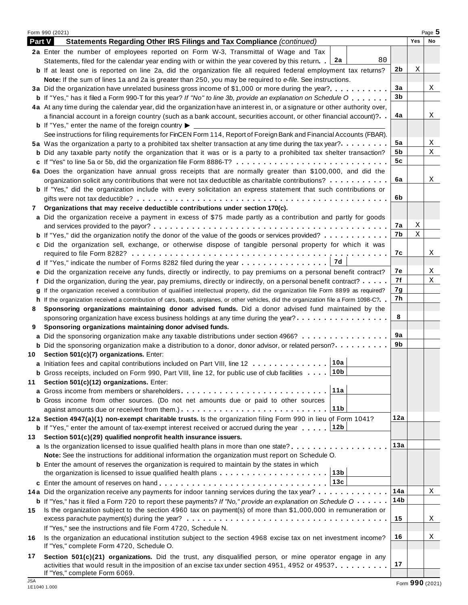|    | Form 990 (2021)                                                                                                                                     |     | Page 5 |
|----|-----------------------------------------------------------------------------------------------------------------------------------------------------|-----|--------|
|    | Part V<br>Statements Regarding Other IRS Filings and Tax Compliance (continued)                                                                     | Yes | No     |
|    | 2a Enter the number of employees reported on Form W-3, Transmittal of Wage and Tax                                                                  |     |        |
|    | 80<br>2a<br>Statements, filed for the calendar year ending with or within the year covered by this return                                           |     |        |
|    | 2b<br><b>b</b> If at least one is reported on line 2a, did the organization file all required federal employment tax returns?                       | Χ   |        |
|    | Note: If the sum of lines 1a and 2a is greater than 250, you may be required to e-file. See instructions.                                           |     |        |
|    | 3a<br>3a Did the organization have unrelated business gross income of \$1,000 or more during the year?                                              |     | Χ      |
|    | 3b<br><b>b</b> If "Yes," has it filed a Form 990-T for this year? If "No" to line 3b, provide an explanation on Schedule O                          |     |        |
|    | 4a At any time during the calendar year, did the organization have an interest in, or a signature or other authority over,                          |     |        |
|    | 4a<br>a financial account in a foreign country (such as a bank account, securities account, or other financial account)?                            |     | Χ      |
|    | <b>b</b> If "Yes," enter the name of the foreign country $\blacktriangleright$                                                                      |     |        |
|    | See instructions for filing requirements for FinCEN Form 114, Report of Foreign Bank and Financial Accounts (FBAR).                                 |     |        |
|    | 5a<br>5a Was the organization a party to a prohibited tax shelter transaction at any time during the tax year?                                      |     | X      |
|    | 5b<br><b>b</b> Did any taxable party notify the organization that it was or is a party to a prohibited tax shelter transaction?                     |     | Χ      |
|    | 5c<br>c If "Yes" to line 5a or 5b, did the organization file Form 8886-T?                                                                           |     |        |
|    | 6a Does the organization have annual gross receipts that are normally greater than \$100,000, and did the                                           |     |        |
|    | 6a<br>organization solicit any contributions that were not tax deductible as charitable contributions?                                              |     | Χ      |
|    | <b>b</b> If "Yes," did the organization include with every solicitation an express statement that such contributions or                             |     |        |
|    | 6b                                                                                                                                                  |     |        |
| 7  | Organizations that may receive deductible contributions under section 170(c).                                                                       |     |        |
|    | a Did the organization receive a payment in excess of \$75 made partly as a contribution and partly for goods                                       |     |        |
|    | 7a                                                                                                                                                  | Χ   |        |
|    | 7b<br><b>b</b> If "Yes," did the organization notify the donor of the value of the goods or services provided?                                      | Χ   |        |
|    | c Did the organization sell, exchange, or otherwise dispose of tangible personal property for which it was                                          |     |        |
|    | 7c                                                                                                                                                  |     | Χ      |
|    | 7d<br>d If "Yes," indicate the number of Forms 8282 filed during the year                                                                           |     |        |
|    | 7e<br>e Did the organization receive any funds, directly or indirectly, to pay premiums on a personal benefit contract?                             |     | Χ      |
|    | 7f<br>Did the organization, during the year, pay premiums, directly or indirectly, on a personal benefit contract?                                  |     | Χ      |
| g  | 7g<br>If the organization received a contribution of qualified intellectual property, did the organization file Form 8899 as required?              |     |        |
|    | 7h<br>h If the organization received a contribution of cars, boats, airplanes, or other vehicles, did the organization file a Form 1098-C?          |     |        |
| 8  | Sponsoring organizations maintaining donor advised funds. Did a donor advised fund maintained by the                                                |     |        |
|    | 8<br>sponsoring organization have excess business holdings at any time during the year?                                                             |     |        |
|    | Sponsoring organizations maintaining donor advised funds.                                                                                           |     |        |
| 9  | 9a<br>Did the sponsoring organization make any taxable distributions under section 4966?                                                            |     |        |
| а  | 9b                                                                                                                                                  |     |        |
|    | <b>b</b> Did the sponsoring organization make a distribution to a donor, donor advisor, or related person?                                          |     |        |
| 10 | Section 501(c)(7) organizations. Enter:<br>10a<br>a Initiation fees and capital contributions included on Part VIII, line 12                        |     |        |
|    | <b>b</b> Gross receipts, included on Form 990, Part VIII, line 12, for public use of club facilities <b>10b</b>                                     |     |        |
|    |                                                                                                                                                     |     |        |
| 11 | Section 501(c)(12) organizations. Enter:<br>11a                                                                                                     |     |        |
|    |                                                                                                                                                     |     |        |
|    | b Gross income from other sources. (Do not net amounts due or paid to other sources<br>11 <sub>b</sub>                                              |     |        |
|    | 12a                                                                                                                                                 |     |        |
|    | 12a Section 4947(a)(1) non-exempt charitable trusts. Is the organization filing Form 990 in lieu of Form 1041?<br>12b                               |     |        |
|    | <b>b</b> If "Yes," enter the amount of tax-exempt interest received or accrued during the year                                                      |     |        |
| 13 | Section 501(c)(29) qualified nonprofit health insurance issuers.<br>13а                                                                             |     |        |
|    | a Is the organization licensed to issue qualified health plans in more than one state?                                                              |     |        |
|    | Note: See the instructions for additional information the organization must report on Schedule O.                                                   |     |        |
|    | <b>b</b> Enter the amount of reserves the organization is required to maintain by the states in which                                               |     |        |
|    | the organization is licensed to issue qualified health plans $\ldots \ldots \ldots \ldots \ldots \ldots \ldots$                                     |     |        |
|    |                                                                                                                                                     |     |        |
|    | 14a<br>14a Did the organization receive any payments for indoor tanning services during the tax year?                                               |     | Χ      |
|    | 14b<br><b>b</b> If "Yes," has it filed a Form 720 to report these payments? If "No," provide an explanation on Schedule $0 \cdot \cdot \cdot \cdot$ |     |        |
| 15 | Is the organization subject to the section 4960 tax on payment(s) of more than \$1,000,000 in remuneration or                                       |     |        |
|    | 15                                                                                                                                                  |     | Χ      |
|    | If "Yes," see the instructions and file Form 4720, Schedule N.                                                                                      |     |        |
| 16 | 16<br>Is the organization an educational institution subject to the section 4968 excise tax on net investment income?                               |     | Χ      |
|    | If "Yes," complete Form 4720, Schedule O.                                                                                                           |     |        |
| 17 | Section 501(c)(21) organizations. Did the trust, any disqualified person, or mine operator engage in any                                            |     |        |
|    | 17<br>activities that would result in the imposition of an excise tax under section 4951, 4952 or 4953?                                             |     |        |
|    | If "Yes," complete Form 6069.                                                                                                                       |     |        |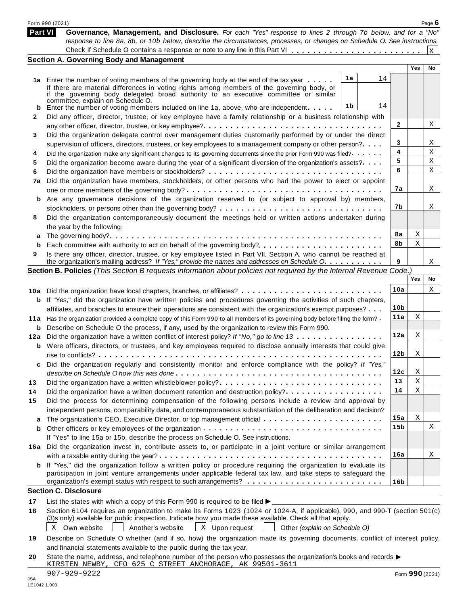|         | Form 990 (2021)                                                                                                                                                                                                                          |                 |             | Page $6$     |  |  |  |
|---------|------------------------------------------------------------------------------------------------------------------------------------------------------------------------------------------------------------------------------------------|-----------------|-------------|--------------|--|--|--|
| Part VI | Governance, Management, and Disclosure. For each "Yes" response to lines 2 through 7b below, and for a "No"                                                                                                                              |                 |             |              |  |  |  |
|         | response to line 8a, 8b, or 10b below, describe the circumstances, processes, or changes on Schedule O. See instructions.                                                                                                                |                 |             |              |  |  |  |
|         |                                                                                                                                                                                                                                          |                 |             | $\mathbf{x}$ |  |  |  |
|         | <b>Section A. Governing Body and Management</b>                                                                                                                                                                                          |                 | Yes         | No           |  |  |  |
|         | 14<br>1a                                                                                                                                                                                                                                 |                 |             |              |  |  |  |
|         | 1a Enter the number of voting members of the governing body at the end of the tax year<br>If there are material differences in voting rights among members of the governing body, or                                                     |                 |             |              |  |  |  |
|         | if the governing body delegated broad authority to an executive committee or similar                                                                                                                                                     |                 |             |              |  |  |  |
|         | committée, explain on Schedule O.<br>14<br>1b<br>Enter the number of voting members included on line 1a, above, who are independent                                                                                                      |                 |             |              |  |  |  |
| b<br>2  | Did any officer, director, trustee, or key employee have a family relationship or a business relationship with                                                                                                                           |                 |             |              |  |  |  |
|         |                                                                                                                                                                                                                                          | 2               |             | Χ            |  |  |  |
| 3       | Did the organization delegate control over management duties customarily performed by or under the direct                                                                                                                                |                 |             |              |  |  |  |
|         | supervision of officers, directors, trustees, or key employees to a management company or other person?                                                                                                                                  | 3               |             | Χ            |  |  |  |
| 4       | Did the organization make any significant changes to its governing documents since the prior Form 990 was filed?                                                                                                                         | 4               |             | X            |  |  |  |
| 5       | Did the organization become aware during the year of a significant diversion of the organization's assets?                                                                                                                               | 5               |             | X            |  |  |  |
| 6       |                                                                                                                                                                                                                                          | 6               |             | Χ            |  |  |  |
| 7a      | Did the organization have members, stockholders, or other persons who had the power to elect or appoint                                                                                                                                  |                 |             |              |  |  |  |
|         |                                                                                                                                                                                                                                          | 7a              |             | Χ            |  |  |  |
| b       | Are any governance decisions of the organization reserved to (or subject to approval by) members,                                                                                                                                        |                 |             |              |  |  |  |
|         |                                                                                                                                                                                                                                          | 7b              |             | Χ            |  |  |  |
| 8       | Did the organization contemporaneously document the meetings held or written actions undertaken during                                                                                                                                   |                 |             |              |  |  |  |
|         | the year by the following:                                                                                                                                                                                                               | 8a              | Χ           |              |  |  |  |
| а       |                                                                                                                                                                                                                                          | 8b              | $\mathbf X$ |              |  |  |  |
| b<br>9  | Is there any officer, director, trustee, or key employee listed in Part VII, Section A, who cannot be reached at                                                                                                                         |                 |             |              |  |  |  |
|         | the organization's mailing address? If "Yes," provide the names and addresses on Schedule O.                                                                                                                                             | 9               |             | X            |  |  |  |
|         | Section B. Policies (This Section B requests information about policies not required by the Internal Revenue Code.)                                                                                                                      |                 |             |              |  |  |  |
|         |                                                                                                                                                                                                                                          |                 | Yes         | No           |  |  |  |
|         |                                                                                                                                                                                                                                          | 10a             |             | X            |  |  |  |
|         | <b>b</b> If "Yes," did the organization have written policies and procedures governing the activities of such chapters,                                                                                                                  |                 |             |              |  |  |  |
|         | affiliates, and branches to ensure their operations are consistent with the organization's exempt purposes?                                                                                                                              | 10 <sub>b</sub> |             |              |  |  |  |
|         | 11a Has the organization provided a complete copy of this Form 990 to all members of its governing body before filing the form?                                                                                                          |                 |             |              |  |  |  |
|         | <b>b</b> Describe on Schedule O the process, if any, used by the organization to review this Form 990.                                                                                                                                   |                 |             |              |  |  |  |
|         | 12a Did the organization have a written conflict of interest policy? If "No," go to line 13                                                                                                                                              | 12a             | Χ           |              |  |  |  |
|         | <b>b</b> Were officers, directors, or trustees, and key employees required to disclose annually interests that could give                                                                                                                |                 |             |              |  |  |  |
|         |                                                                                                                                                                                                                                          | 12 <sub>b</sub> | Χ           |              |  |  |  |
|         | Did the organization regularly and consistently monitor and enforce compliance with the policy? If "Yes,'                                                                                                                                | 12c             | Χ           |              |  |  |  |
|         |                                                                                                                                                                                                                                          | 13              | Χ           |              |  |  |  |
| 13      | Did the organization have a written whistleblower policy?                                                                                                                                                                                | 14              | X           |              |  |  |  |
| 14      | Did the organization have a written document retention and destruction policy?                                                                                                                                                           |                 |             |              |  |  |  |
| 15      | Did the process for determining compensation of the following persons include a review and approval by<br>independent persons, comparability data, and contemporaneous substantiation of the deliberation and decision?                  |                 |             |              |  |  |  |
| а       |                                                                                                                                                                                                                                          | 15a             | Χ           |              |  |  |  |
| b       |                                                                                                                                                                                                                                          | 15b             |             | Χ            |  |  |  |
|         | If "Yes" to line 15a or 15b, describe the process on Schedule O. See instructions.                                                                                                                                                       |                 |             |              |  |  |  |
|         | 16a Did the organization invest in, contribute assets to, or participate in a joint venture or similar arrangement                                                                                                                       |                 |             |              |  |  |  |
|         |                                                                                                                                                                                                                                          | 16a             |             | Χ            |  |  |  |
|         | <b>b</b> If "Yes," did the organization follow a written policy or procedure requiring the organization to evaluate its                                                                                                                  |                 |             |              |  |  |  |
|         | participation in joint venture arrangements under applicable federal tax law, and take steps to safeguard the                                                                                                                            |                 |             |              |  |  |  |
|         |                                                                                                                                                                                                                                          | 16 <sub>b</sub> |             |              |  |  |  |
|         | <b>Section C. Disclosure</b>                                                                                                                                                                                                             |                 |             |              |  |  |  |
| 17      | List the states with which a copy of this Form 990 is required to be filed $\blacktriangleright$ .                                                                                                                                       |                 |             |              |  |  |  |
| 18      | Section 6104 requires an organization to make its Forms 1023 (1024 or 1024-A, if applicable), 990, and 990-T (section 501(c)<br>(3)s only) available for public inspection. Indicate how you made these available. Check all that apply. |                 |             |              |  |  |  |
|         | X Upon request<br>X Own website<br>Another's website<br>Other (explain on Schedule O)                                                                                                                                                    |                 |             |              |  |  |  |
|         |                                                                                                                                                                                                                                          |                 |             |              |  |  |  |
| 19      | Describe on Schedule O whether (and if so, how) the organization made its governing documents, conflict of interest policy,                                                                                                              |                 |             |              |  |  |  |
| 20      | and financial statements available to the public during the tax year.<br>State the name, address, and telephone number of the person who possesses the organization's books and records $\blacktriangleright$                            |                 |             |              |  |  |  |
|         | KIRSTEN NEWBY, CFO 625 C STREET ANCHORAGE, AK 99501-3611                                                                                                                                                                                 |                 |             |              |  |  |  |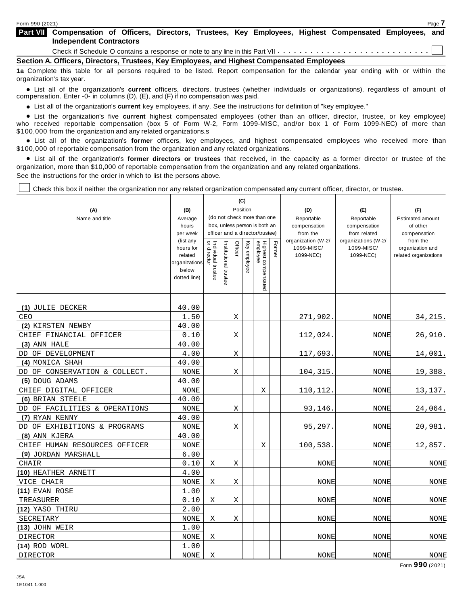**Parameter of Officers** 

| <b>Part VII</b> Compensation of Officers, Directors, Trustees, Key Employees, Highest Compensated Employees, and<br><b>Independent Contractors</b> |  |  |  |  |  |  |  |  |
|----------------------------------------------------------------------------------------------------------------------------------------------------|--|--|--|--|--|--|--|--|
|                                                                                                                                                    |  |  |  |  |  |  |  |  |
| $\bullet$ . And $\bullet$ . The set of the set of the set of $\bullet$                                                                             |  |  |  |  |  |  |  |  |

**Section A. Officers, Directors, Trustees, Key Employees, and Highest Compensated Employees**

**1a** Complete this table for all persons required to be listed. Report compensation for the calendar year ending with or within the organization's tax year.

anization's lax year.<br>● List all of the organization's **current** officers, directors, trustees (whether individuals or organizations), regardless of amount of<br>nnensation Enter -0- in columns (D) (E) and (E) if no compensa compensation. Enter -0- in columns (D), (E), and (F) if no compensation was paid.

• List all of the organization's current key employees, if any. See the instructions for definition of "key employee."

■ List all of the organization's current key employees, if any. See the instructions for definition of "key employee."<br>■ List the organization's five current highest compensated employees (other than an officer, director, who received reportable compensation (box 5 of Form W-2, Form 1099-MISC, and/or box 1 of Form 1099-NEC) of more than<br>\$100,000 from the organization and any related organizations.s

\$100,000 from the organization and any related organizations.s<br>• List all of the organization's **former** officers, key employees, and highest compensated employees who received more than<br>\$1.00.000 of reportable componentio \$100,000 of reportable compensation from the organization and any related organizations.

% List all of the organization's **former directors or trustees** that received, in the capacity as a former director or trustee of the organization, more than \$10,000 of reportable compensation from the organization and any related organizations. See the instructions for the order in which to list the persons above.

Check this box if neither the organization nor any related organization compensated any current officer, director, or trustee.

|                               |                                                                |                                   |                                                                  |             | (C)          |                                 |                                |                                     |                          |                                           |
|-------------------------------|----------------------------------------------------------------|-----------------------------------|------------------------------------------------------------------|-------------|--------------|---------------------------------|--------------------------------|-------------------------------------|--------------------------|-------------------------------------------|
| (A)                           | (B)                                                            | Position                          |                                                                  | (D)         | (E)          | (F)                             |                                |                                     |                          |                                           |
| Name and title                | Average                                                        |                                   |                                                                  |             |              | (do not check more than one     |                                | Reportable                          | Reportable               | <b>Estimated amount</b>                   |
|                               | hours                                                          |                                   | box, unless person is both an<br>officer and a director/trustee) |             |              |                                 |                                | compensation                        | compensation             | of other                                  |
|                               | per week<br>(list any                                          |                                   |                                                                  |             |              |                                 | from the<br>organization (W-2/ | from related<br>organizations (W-2/ | compensation<br>from the |                                           |
|                               | hours for<br>related<br>organizations<br>below<br>dotted line) | Individual trustee<br>or director | Institutional trustee                                            | Officer     | Key employee | Highest compensated<br>employee | Former                         | 1099-MISC/<br>1099-NEC)             | 1099-MISC/<br>1099-NEC)  | organization and<br>related organizations |
| (1) JULIE DECKER              | 40.00                                                          |                                   |                                                                  |             |              |                                 |                                |                                     |                          |                                           |
| CEO                           | 1.50                                                           |                                   |                                                                  | Χ           |              |                                 |                                | 271,902.                            | NONE                     | 34,215.                                   |
| (2) KIRSTEN NEWBY             | 40.00                                                          |                                   |                                                                  |             |              |                                 |                                |                                     |                          |                                           |
| CHIEF FINANCIAL OFFICER       | 0.10                                                           |                                   |                                                                  | X           |              |                                 |                                | 112,024.                            | NONE                     | 26,910.                                   |
| $(3)$ ANN HALE                | 40.00                                                          |                                   |                                                                  |             |              |                                 |                                |                                     |                          |                                           |
| DD OF DEVELOPMENT             | 4.00                                                           |                                   |                                                                  | X           |              |                                 |                                | 117,693.                            | <b>NONE</b>              | 14,001.                                   |
| (4) MONICA SHAH               | 40.00                                                          |                                   |                                                                  |             |              |                                 |                                |                                     |                          |                                           |
| DD OF CONSERVATION & COLLECT. | $\rm{NONE}$                                                    |                                   |                                                                  | Χ           |              |                                 |                                | 104, 315.                           | <b>NONE</b>              | 19,388.                                   |
| (5) DOUG ADAMS                | 40.00                                                          |                                   |                                                                  |             |              |                                 |                                |                                     |                          |                                           |
| CHIEF DIGITAL OFFICER         | NONE                                                           |                                   |                                                                  |             |              | X                               |                                | 110,112.                            | <b>NONE</b>              | 13,137.                                   |
| (6) BRIAN STEELE              | 40.00                                                          |                                   |                                                                  |             |              |                                 |                                |                                     |                          |                                           |
| DD OF FACILITIES & OPERATIONS | <b>NONE</b>                                                    |                                   |                                                                  | $\mathbf X$ |              |                                 |                                | 93,146.                             | <b>NONE</b>              | 24,064.                                   |
| (7) RYAN KENNY                | 40.00                                                          |                                   |                                                                  |             |              |                                 |                                |                                     |                          |                                           |
| DD OF EXHIBITIONS & PROGRAMS  | NONE                                                           |                                   |                                                                  | Χ           |              |                                 |                                | 95,297.                             | <b>NONE</b>              | 20,981.                                   |
| (8) ANN KJERA                 | 40.00                                                          |                                   |                                                                  |             |              |                                 |                                |                                     |                          |                                           |
| CHIEF HUMAN RESOURCES OFFICER | <b>NONE</b>                                                    |                                   |                                                                  |             |              | X                               |                                | 100,538.                            | <b>NONE</b>              | 12,857.                                   |
| (9) JORDAN MARSHALL           | 6.00                                                           |                                   |                                                                  |             |              |                                 |                                |                                     |                          |                                           |
| <b>CHAIR</b>                  | 0.10                                                           | X                                 |                                                                  | X           |              |                                 |                                | <b>NONE</b>                         | <b>NONE</b>              | <b>NONE</b>                               |
| (10) HEATHER ARNETT           | 4.00                                                           |                                   |                                                                  |             |              |                                 |                                |                                     |                          |                                           |
| VICE CHAIR                    | <b>NONE</b>                                                    | Χ                                 |                                                                  | Χ           |              |                                 |                                | <b>NONE</b>                         | <b>NONE</b>              | <b>NONE</b>                               |
| (11) EVAN ROSE                | 1.00                                                           |                                   |                                                                  |             |              |                                 |                                |                                     |                          |                                           |
| TREASURER                     | 0.10                                                           | X                                 |                                                                  | $\mathbf X$ |              |                                 |                                | <b>NONE</b>                         | <b>NONE</b>              | <b>NONE</b>                               |
| (12) YASO THIRU               | 2.00                                                           |                                   |                                                                  |             |              |                                 |                                |                                     |                          |                                           |
| SECRETARY                     | <b>NONE</b>                                                    | X                                 |                                                                  | $\mathbf X$ |              |                                 |                                | <b>NONE</b>                         | <b>NONE</b>              | <b>NONE</b>                               |
| $(13)$ JOHN WEIR              | 1.00                                                           |                                   |                                                                  |             |              |                                 |                                |                                     |                          |                                           |
| <b>DIRECTOR</b>               | NONE                                                           | Χ                                 |                                                                  |             |              |                                 |                                | <b>NONE</b>                         | <b>NONE</b>              | <b>NONE</b>                               |
| (14) ROD WORL                 | 1.00                                                           |                                   |                                                                  |             |              |                                 |                                |                                     |                          |                                           |
| DIRECTOR                      | <b>NONE</b>                                                    | Χ                                 |                                                                  |             |              |                                 |                                | <b>NONE</b>                         | NONE                     | <b>NONE</b>                               |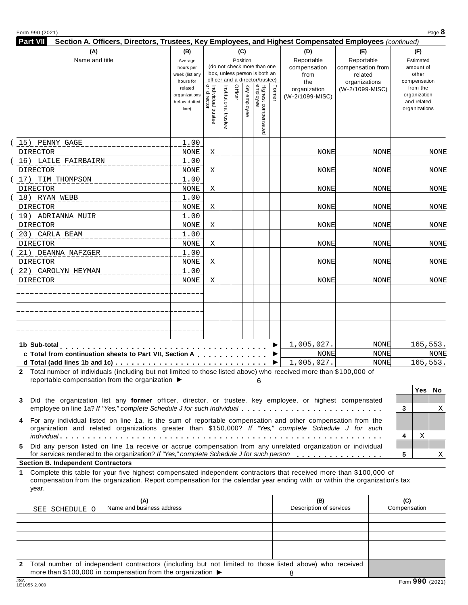| (A)                                                                                                                                                                                                                                                                                                                                                                                                                                                                                                                                                                                                                                    | (B)                                                                                                      |                                               |                       |         | (C)                      |                                                                                                                                    |        | (D)                                                                          | (E)                                                                            | (F)                                                                                                         |
|----------------------------------------------------------------------------------------------------------------------------------------------------------------------------------------------------------------------------------------------------------------------------------------------------------------------------------------------------------------------------------------------------------------------------------------------------------------------------------------------------------------------------------------------------------------------------------------------------------------------------------------|----------------------------------------------------------------------------------------------------------|-----------------------------------------------|-----------------------|---------|--------------------------|------------------------------------------------------------------------------------------------------------------------------------|--------|------------------------------------------------------------------------------|--------------------------------------------------------------------------------|-------------------------------------------------------------------------------------------------------------|
| Name and title                                                                                                                                                                                                                                                                                                                                                                                                                                                                                                                                                                                                                         | Average<br>hours per<br>week (list any<br>hours for<br>related<br>organizations<br>below dotted<br>line) | Individual trustee<br>or director<br>director | Institutional trustee | Officer | Position<br>Key employee | (do not check more than one<br>box, unless person is both an<br>officer and a director/trustee)<br>Highest compensated<br>employee | Former | Reportable<br>compensation<br>from<br>the<br>organization<br>(W-2/1099-MISC) | Reportable<br>compensation from<br>related<br>organizations<br>(W-2/1099-MISC) | Estimated<br>amount of<br>other<br>compensation<br>from the<br>organization<br>and related<br>organizations |
| (15) PENNY GAGE                                                                                                                                                                                                                                                                                                                                                                                                                                                                                                                                                                                                                        | 1.00                                                                                                     |                                               |                       |         |                          |                                                                                                                                    |        |                                                                              |                                                                                |                                                                                                             |
| <b>DIRECTOR</b>                                                                                                                                                                                                                                                                                                                                                                                                                                                                                                                                                                                                                        | <b>NONE</b>                                                                                              | Χ                                             |                       |         |                          |                                                                                                                                    |        | NONE                                                                         | NONE                                                                           | NONE                                                                                                        |
| (16) LAILE FAIRBAIRN                                                                                                                                                                                                                                                                                                                                                                                                                                                                                                                                                                                                                   | 1.00                                                                                                     |                                               |                       |         |                          |                                                                                                                                    |        |                                                                              |                                                                                |                                                                                                             |
| <b>DIRECTOR</b>                                                                                                                                                                                                                                                                                                                                                                                                                                                                                                                                                                                                                        | <b>NONE</b>                                                                                              | Χ                                             |                       |         |                          |                                                                                                                                    |        | NONE                                                                         | NONE                                                                           | NONE                                                                                                        |
| (17) TIM THOMPSON                                                                                                                                                                                                                                                                                                                                                                                                                                                                                                                                                                                                                      | 1.00                                                                                                     |                                               |                       |         |                          |                                                                                                                                    |        |                                                                              |                                                                                |                                                                                                             |
| <b>DIRECTOR</b>                                                                                                                                                                                                                                                                                                                                                                                                                                                                                                                                                                                                                        | <b>NONE</b>                                                                                              | Χ                                             |                       |         |                          |                                                                                                                                    |        | NONE                                                                         | NONE                                                                           | NONE                                                                                                        |
| $(18)$ RYAN WEBB                                                                                                                                                                                                                                                                                                                                                                                                                                                                                                                                                                                                                       | 1.00                                                                                                     |                                               |                       |         |                          |                                                                                                                                    |        |                                                                              |                                                                                |                                                                                                             |
| <b>DIRECTOR</b>                                                                                                                                                                                                                                                                                                                                                                                                                                                                                                                                                                                                                        | <b>NONE</b>                                                                                              | Χ                                             |                       |         |                          |                                                                                                                                    |        | NONE                                                                         | NONE                                                                           | NONE                                                                                                        |
| (19) ADRIANNA MUIR                                                                                                                                                                                                                                                                                                                                                                                                                                                                                                                                                                                                                     | 1.00                                                                                                     |                                               |                       |         |                          |                                                                                                                                    |        |                                                                              |                                                                                |                                                                                                             |
| DIRECTOR                                                                                                                                                                                                                                                                                                                                                                                                                                                                                                                                                                                                                               | <b>NONE</b>                                                                                              | Χ                                             |                       |         |                          |                                                                                                                                    |        | NONE                                                                         | NONE                                                                           | <b>NONE</b>                                                                                                 |
| (20) CARLA BEAM                                                                                                                                                                                                                                                                                                                                                                                                                                                                                                                                                                                                                        | 1.00                                                                                                     |                                               |                       |         |                          |                                                                                                                                    |        |                                                                              |                                                                                |                                                                                                             |
| <b>DIRECTOR</b>                                                                                                                                                                                                                                                                                                                                                                                                                                                                                                                                                                                                                        | <b>NONE</b>                                                                                              | Χ                                             |                       |         |                          |                                                                                                                                    |        | NONE                                                                         | <b>NONE</b>                                                                    | <b>NONE</b>                                                                                                 |
| (21) DEANNA NAFZGER                                                                                                                                                                                                                                                                                                                                                                                                                                                                                                                                                                                                                    | 1.00                                                                                                     |                                               |                       |         |                          |                                                                                                                                    |        |                                                                              |                                                                                |                                                                                                             |
| <b>DIRECTOR</b>                                                                                                                                                                                                                                                                                                                                                                                                                                                                                                                                                                                                                        | <b>NONE</b>                                                                                              | Χ                                             |                       |         |                          |                                                                                                                                    |        | NONE                                                                         | <b>NONE</b>                                                                    | <b>NONE</b>                                                                                                 |
| 22) CAROLYN HEYMAN                                                                                                                                                                                                                                                                                                                                                                                                                                                                                                                                                                                                                     | 1.00                                                                                                     |                                               |                       |         |                          |                                                                                                                                    |        |                                                                              |                                                                                |                                                                                                             |
| <b>DIRECTOR</b>                                                                                                                                                                                                                                                                                                                                                                                                                                                                                                                                                                                                                        | NONE                                                                                                     | Χ                                             |                       |         |                          |                                                                                                                                    |        | NONE                                                                         | <b>NONE</b>                                                                    | <b>NONE</b>                                                                                                 |
|                                                                                                                                                                                                                                                                                                                                                                                                                                                                                                                                                                                                                                        |                                                                                                          |                                               |                       |         |                          |                                                                                                                                    |        |                                                                              |                                                                                |                                                                                                             |
|                                                                                                                                                                                                                                                                                                                                                                                                                                                                                                                                                                                                                                        |                                                                                                          |                                               |                       |         |                          |                                                                                                                                    |        |                                                                              |                                                                                |                                                                                                             |
|                                                                                                                                                                                                                                                                                                                                                                                                                                                                                                                                                                                                                                        |                                                                                                          |                                               |                       |         |                          |                                                                                                                                    | ▶      | 1,005,027.                                                                   | NONE                                                                           | 165,553.                                                                                                    |
| c Total from continuation sheets to Part VII, Section A                                                                                                                                                                                                                                                                                                                                                                                                                                                                                                                                                                                |                                                                                                          |                                               |                       |         |                          |                                                                                                                                    |        | <b>NONE</b>                                                                  | NONE                                                                           | <b>NONE</b>                                                                                                 |
|                                                                                                                                                                                                                                                                                                                                                                                                                                                                                                                                                                                                                                        |                                                                                                          |                                               |                       |         |                          |                                                                                                                                    | ▶      | 1,005,027.                                                                   | NONE                                                                           | 165,553.                                                                                                    |
| 2 Total number of individuals (including but not limited to those listed above) who received more than \$100,000 of                                                                                                                                                                                                                                                                                                                                                                                                                                                                                                                    |                                                                                                          |                                               |                       |         |                          |                                                                                                                                    |        |                                                                              |                                                                                |                                                                                                             |
| reportable compensation from the organization ▶                                                                                                                                                                                                                                                                                                                                                                                                                                                                                                                                                                                        |                                                                                                          |                                               |                       |         |                          | 6                                                                                                                                  |        |                                                                              |                                                                                |                                                                                                             |
| Did the organization list any former officer, director, or trustee, key employee, or highest compensated<br>3<br>employee on line 1a? If "Yes," complete Schedule J for such individual<br>For any individual listed on line 1a, is the sum of reportable compensation and other compensation from the<br>4<br>organization and related organizations greater than \$150,000? If "Yes," complete Schedule J for such<br>Did any person listed on line 1a receive or accrue compensation from any unrelated organization or individual<br>5<br>for services rendered to the organization? If "Yes," complete Schedule J for such person |                                                                                                          |                                               |                       |         |                          |                                                                                                                                    |        |                                                                              |                                                                                | Yes<br>No<br>Χ<br>3<br>X<br>4<br>5<br>Χ                                                                     |
| <b>Section B. Independent Contractors</b>                                                                                                                                                                                                                                                                                                                                                                                                                                                                                                                                                                                              |                                                                                                          |                                               |                       |         |                          |                                                                                                                                    |        |                                                                              |                                                                                |                                                                                                             |
| Complete this table for your five highest compensated independent contractors that received more than \$100,000 of<br>1                                                                                                                                                                                                                                                                                                                                                                                                                                                                                                                |                                                                                                          |                                               |                       |         |                          |                                                                                                                                    |        |                                                                              |                                                                                |                                                                                                             |
| compensation from the organization. Report compensation for the calendar year ending with or within the organization's tax<br>year.                                                                                                                                                                                                                                                                                                                                                                                                                                                                                                    |                                                                                                          |                                               |                       |         |                          |                                                                                                                                    |        |                                                                              |                                                                                |                                                                                                             |

|     | (A)<br>Name and business address<br>SEE SCHEDULE O                                                       | (B)<br>Description of services | (C)<br>Compensation |
|-----|----------------------------------------------------------------------------------------------------------|--------------------------------|---------------------|
|     |                                                                                                          |                                |                     |
|     |                                                                                                          |                                |                     |
|     |                                                                                                          |                                |                     |
|     |                                                                                                          |                                |                     |
|     |                                                                                                          |                                |                     |
|     | 2 Total number of independent contractors (including but not limited to those listed above) who received |                                |                     |
| 10A | more than \$100,000 in compensation from the organization $\blacktriangleright$                          |                                | $\sim$ $\sim$       |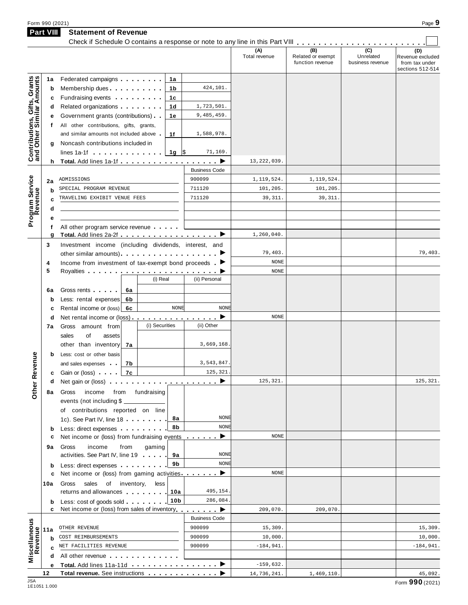#### Form <sup>990</sup> (2021) Page **9**

### **Part VIII Statement of Revenue**

Statement of Revenue<br>Check if Schedule O contains a response or note to any line in this Part VIII **manual Check if Schedule O contains** 

|                                                           |        |                                                                                                                                                                                                                                            |                      | (A)<br>Total revenue | (B)<br>Related or exempt | (C)<br>Unrelated | (D)                                |
|-----------------------------------------------------------|--------|--------------------------------------------------------------------------------------------------------------------------------------------------------------------------------------------------------------------------------------------|----------------------|----------------------|--------------------------|------------------|------------------------------------|
|                                                           |        |                                                                                                                                                                                                                                            |                      |                      | function revenue         | business revenue | Revenue excluded<br>from tax under |
|                                                           |        |                                                                                                                                                                                                                                            |                      |                      |                          |                  | sections 512-514                   |
|                                                           | 1а     | Federated campaigns <b>Federated</b><br>1a                                                                                                                                                                                                 |                      |                      |                          |                  |                                    |
|                                                           | b      | 1b<br>Membership dues                                                                                                                                                                                                                      | 424,101.             |                      |                          |                  |                                    |
|                                                           | c      | Fundraising events <b>Fundraising</b><br>1c                                                                                                                                                                                                |                      |                      |                          |                  |                                    |
|                                                           | d      | Related organizations <b>and the set of the set of the set of the set of the set of the set of the set of the set of the set of the set of the set of the set of the set of the set of the set of the set of the set of the set </b><br>1d | 1,723,501.           |                      |                          |                  |                                    |
|                                                           | е      | Government grants (contributions)<br>1e                                                                                                                                                                                                    | 9,485,459.           |                      |                          |                  |                                    |
| Contributions, Gifts, Grants<br>and Other Similar Amounts | f      | All other contributions, gifts, grants,                                                                                                                                                                                                    |                      |                      |                          |                  |                                    |
|                                                           |        | and similar amounts not included above<br>1f                                                                                                                                                                                               | 1,588,978.           |                      |                          |                  |                                    |
|                                                           | g      | Noncash contributions included in                                                                                                                                                                                                          |                      |                      |                          |                  |                                    |
|                                                           |        | lines $1a-1f$ $\ldots$ $\ldots$ $\ldots$ $\ldots$ $\ldots$<br>1g ∣\$                                                                                                                                                                       | 71,169.              |                      |                          |                  |                                    |
|                                                           | h.     |                                                                                                                                                                                                                                            |                      | 13, 222, 039.        |                          |                  |                                    |
|                                                           |        |                                                                                                                                                                                                                                            | <b>Business Code</b> |                      |                          |                  |                                    |
| Program Service<br>Revenue                                | 2a     | ADMISSIONS                                                                                                                                                                                                                                 | 900099               | 1,119,524.           | 1,119,524                |                  |                                    |
|                                                           | b      | SPECIAL PROGRAM REVENUE                                                                                                                                                                                                                    | 711120               | 101,205.             | 101,205                  |                  |                                    |
|                                                           | C      | TRAVELING EXHIBIT VENUE FEES                                                                                                                                                                                                               | 711120               | 39, 311.             | 39,311                   |                  |                                    |
|                                                           | d      |                                                                                                                                                                                                                                            |                      |                      |                          |                  |                                    |
|                                                           | е      |                                                                                                                                                                                                                                            |                      |                      |                          |                  |                                    |
|                                                           | f      | All other program service revenue                                                                                                                                                                                                          |                      |                      |                          |                  |                                    |
|                                                           | g      |                                                                                                                                                                                                                                            |                      | 1,260,040.           |                          |                  |                                    |
|                                                           | 3      | Investment income (including dividends, interest, and                                                                                                                                                                                      |                      |                      |                          |                  |                                    |
|                                                           |        |                                                                                                                                                                                                                                            |                      | 79,403.              |                          |                  | 79,403.                            |
|                                                           | 4      | Income from investment of tax-exempt bond proceeds $\triangleright$                                                                                                                                                                        |                      | <b>NONE</b>          |                          |                  |                                    |
|                                                           | 5      | (i) Real                                                                                                                                                                                                                                   | (ii) Personal        | <b>NONE</b>          |                          |                  |                                    |
|                                                           |        |                                                                                                                                                                                                                                            |                      |                      |                          |                  |                                    |
|                                                           | 6a     | Gross rents <b>Contains a Strutt Contains a Strutt Contains a Strutt</b><br>6a                                                                                                                                                             |                      |                      |                          |                  |                                    |
|                                                           | b      | Less: rental expenses<br>6b                                                                                                                                                                                                                |                      |                      |                          |                  |                                    |
|                                                           | c      | <b>NONE</b><br>Rental income or (loss)<br>6c                                                                                                                                                                                               | <b>NONE</b>          |                      |                          |                  |                                    |
|                                                           | d      | Net rental income or (loss) ▶<br>(i) Securities                                                                                                                                                                                            | (ii) Other           | <b>NONE</b>          |                          |                  |                                    |
|                                                           | 7а     | Gross amount from                                                                                                                                                                                                                          |                      |                      |                          |                  |                                    |
|                                                           |        | sales<br>of<br>assets                                                                                                                                                                                                                      | 3,669,168            |                      |                          |                  |                                    |
|                                                           |        | other than inventory<br>7a                                                                                                                                                                                                                 |                      |                      |                          |                  |                                    |
| Revenue                                                   | b      | Less: cost or other basis<br>and sales expenses<br>7b                                                                                                                                                                                      | 3,543,847            |                      |                          |                  |                                    |
|                                                           |        | Gain or (loss) <b>comparison</b><br>7c                                                                                                                                                                                                     | 125,321              |                      |                          |                  |                                    |
|                                                           | c<br>d | Net gain or (loss) $\cdots$ $\cdots$ $\cdots$ $\cdots$ $\cdots$ $\cdots$ $\cdots$                                                                                                                                                          |                      | 125,321.             |                          |                  | 125,321.                           |
| er                                                        |        |                                                                                                                                                                                                                                            |                      |                      |                          |                  |                                    |
| ᅗ                                                         | 8a     | from fundraising<br>Gross<br>income                                                                                                                                                                                                        |                      |                      |                          |                  |                                    |
|                                                           |        | events (not including $\frac{6}{3}$ $\frac{1}{2}$<br>of contributions reported on line                                                                                                                                                     |                      |                      |                          |                  |                                    |
|                                                           |        | 1c). See Part IV, line 18<br>8а                                                                                                                                                                                                            | <b>NONE</b>          |                      |                          |                  |                                    |
|                                                           | b      | 8b<br>Less: direct expenses                                                                                                                                                                                                                | <b>NONE</b>          |                      |                          |                  |                                    |
|                                                           | c      | Net income or (loss) from fundraising events $\qquad \qquad \blacktriangleright$                                                                                                                                                           |                      | <b>NONE</b>          |                          |                  |                                    |
|                                                           | 9а     | Gross<br>income<br>gaming<br>from                                                                                                                                                                                                          |                      |                      |                          |                  |                                    |
|                                                           |        | activities. See Part IV, line 19<br>9а                                                                                                                                                                                                     | <b>NONE</b>          |                      |                          |                  |                                    |
|                                                           | b      | 9b<br>Less: direct expenses                                                                                                                                                                                                                | <b>NONE</b>          |                      |                          |                  |                                    |
|                                                           | с      | Net income or (loss) from gaming activities. $\blacksquare$                                                                                                                                                                                |                      | <b>NONE</b>          |                          |                  |                                    |
|                                                           | 10a    | sales<br>of inventory,<br>Gross<br>less                                                                                                                                                                                                    |                      |                      |                          |                  |                                    |
|                                                           |        | returns and allowances<br>10a                                                                                                                                                                                                              | 495,154              |                      |                          |                  |                                    |
|                                                           | b      | 10 <sub>b</sub><br>Less: cost of goods sold                                                                                                                                                                                                | 286,084              |                      |                          |                  |                                    |
|                                                           | c      | Net income or (loss) from sales of inventory                                                                                                                                                                                               |                      | 209,070.             | 209,070                  |                  |                                    |
|                                                           |        |                                                                                                                                                                                                                                            | <b>Business Code</b> |                      |                          |                  |                                    |
|                                                           | 11a    | OTHER REVENUE                                                                                                                                                                                                                              | 900099               | 15,309.              |                          |                  | 15,309.                            |
|                                                           | b      | COST REIMBURSEMENTS                                                                                                                                                                                                                        | 900099               | 10,000.              |                          |                  | 10,000.                            |
|                                                           | Ċ      | NET FACILITIES REVENUE                                                                                                                                                                                                                     | 900099               | $-184,941.$          |                          |                  | $-184,941.$                        |
| Miscellaneous<br>Revenue                                  | d      | All other revenue experience in the set of the set of the set of the set of the set of the set of the set of the set of the set of the set of the set of the set of the set of the set of the set of the set of the set of the             |                      |                      |                          |                  |                                    |
|                                                           | е      | Total. Add lines 11a-11d                                                                                                                                                                                                                   |                      | $-159,632.$          |                          |                  |                                    |
| 10A                                                       | 12     |                                                                                                                                                                                                                                            |                      | 14,736,241.          | 1,469,110                |                  | 45,092.                            |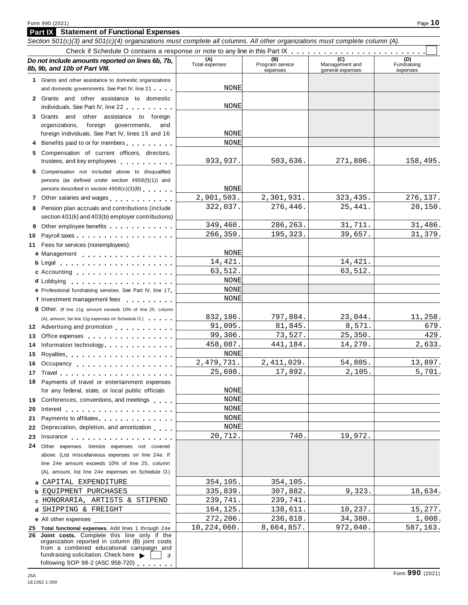**Part IX Statement of Functional Expenses**

|    | Section 501(c)(3) and 501(c)(4) organizations must complete all columns. All other organizations must complete column (A).                                                                                                     |                       |                             |                                    |                         |
|----|--------------------------------------------------------------------------------------------------------------------------------------------------------------------------------------------------------------------------------|-----------------------|-----------------------------|------------------------------------|-------------------------|
|    | Do not include amounts reported on lines 6b, 7b,                                                                                                                                                                               | (A)<br>Total expenses | (B)                         | $\overline{C}$                     | (D)                     |
|    | 8b, 9b, and 10b of Part VIII.                                                                                                                                                                                                  |                       | Program service<br>expenses | Management and<br>general expenses | Fundraising<br>expenses |
|    | 1 Grants and other assistance to domestic organizations                                                                                                                                                                        |                       |                             |                                    |                         |
|    | and domestic governments. See Part IV, line 21                                                                                                                                                                                 | <b>NONE</b>           |                             |                                    |                         |
|    | 2 Grants and other assistance to domestic                                                                                                                                                                                      |                       |                             |                                    |                         |
|    | individuals. See Part IV, line 22                                                                                                                                                                                              | NONE                  |                             |                                    |                         |
|    | 3 Grants and other assistance to foreign                                                                                                                                                                                       |                       |                             |                                    |                         |
|    | organizations.<br>foreign<br>governments,<br>and                                                                                                                                                                               |                       |                             |                                    |                         |
|    | foreign individuals. See Part IV, lines 15 and 16                                                                                                                                                                              | <b>NONE</b>           |                             |                                    |                         |
|    | Benefits paid to or for members                                                                                                                                                                                                | NONE                  |                             |                                    |                         |
|    | 5 Compensation of current officers, directors,                                                                                                                                                                                 |                       |                             |                                    |                         |
|    | trustees, and key employees                                                                                                                                                                                                    | 933,937.              | 503,636.                    | 271,806.                           | 158,495.                |
|    | 6 Compensation not included above to disqualified                                                                                                                                                                              |                       |                             |                                    |                         |
|    | persons (as defined under section 4958(f)(1)) and                                                                                                                                                                              |                       |                             |                                    |                         |
|    | persons described in section 4958(c)(3)(B)                                                                                                                                                                                     | <b>NONE</b>           |                             |                                    |                         |
|    | 7 Other salaries and wages <b>container and all the salaries</b>                                                                                                                                                               | 2,901,503.            | 2,301,931.                  | 323, 435.                          | 276,137.                |
|    | 8 Pension plan accruals and contributions (include                                                                                                                                                                             | 322,037.              | 276,446.                    | 25, 441.                           | 20,150.                 |
|    | section 401(k) and 403(b) employer contributions)                                                                                                                                                                              | 349,460.              | 286,263.                    | 31,711.                            | 31,486.                 |
| 9  | Other employee benefits                                                                                                                                                                                                        | 266,359.              | 195,323.                    | 39,657.                            | 31,379.                 |
| 10 |                                                                                                                                                                                                                                |                       |                             |                                    |                         |
| 11 | Fees for services (nonemployees):                                                                                                                                                                                              | <b>NONE</b>           |                             |                                    |                         |
|    | a Management                                                                                                                                                                                                                   | 14,421.               |                             | 14,421.                            |                         |
|    |                                                                                                                                                                                                                                | 63,512.               |                             | 63,512.                            |                         |
|    | c Accounting                                                                                                                                                                                                                   | <b>NONE</b>           |                             |                                    |                         |
|    | e Professional fundraising services. See Part IV, line 17                                                                                                                                                                      | NONE                  |                             |                                    |                         |
|    | f Investment management fees                                                                                                                                                                                                   | NONE                  |                             |                                    |                         |
|    | 9 Other. (If line 11g amount exceeds 10% of line 25, column                                                                                                                                                                    |                       |                             |                                    |                         |
|    | (A), amount, list line 11g expenses on Schedule O.)                                                                                                                                                                            | 832,186.              | 797,884.                    | 23,044.                            | 11,258.                 |
|    | 12 Advertising and promotion                                                                                                                                                                                                   | 91,095.               | 81,845.                     | 8,571.                             | 679.                    |
| 13 | Office expenses example and the set of the set of the set of the set of the set of the set of the set of the set of the set of the set of the set of the set of the set of the set of the set of the set of the set of the set | 99,306.               | 73,527.                     | 25, 350.                           | 429.                    |
| 14 | Information technology experience and the state of the state of the state of the state of the state of the state of the state of the state of the state of the state of the state of the state of the state of the state of th | 458,087.              | 441,184.                    | 14,270.                            | 2,633.                  |
| 15 |                                                                                                                                                                                                                                | NONE                  |                             |                                    |                         |
| 16 | Occupancy experience and the control of the set of the set of the set of the set of the set of the set of the                                                                                                                  | 2,479,731.            | 2, 411, 029.                | 54,805.                            | 13,897.                 |
|    |                                                                                                                                                                                                                                | 25,698.               | 17,892.                     | 2,105.                             | 5,701.                  |
|    | 18 Payments of travel or entertainment expenses                                                                                                                                                                                |                       |                             |                                    |                         |
|    | for any federal, state, or local public officials                                                                                                                                                                              | NONE                  |                             |                                    |                         |
| 19 | Conferences, conventions, and meetings                                                                                                                                                                                         | <b>NONE</b>           |                             |                                    |                         |
| 20 |                                                                                                                                                                                                                                | NONE                  |                             |                                    |                         |
| 21 | Payments to affiliates entertainment and the set of the set of the set of the set of the set of the set of the                                                                                                                 | NONE                  |                             |                                    |                         |
| 22 | Depreciation, depletion, and amortization                                                                                                                                                                                      | <b>NONE</b>           |                             |                                    |                         |
| 23 | Insurance                                                                                                                                                                                                                      | 20,712.               | 740.                        | 19,972.                            |                         |
| 24 | Other expenses. Itemize expenses not covered                                                                                                                                                                                   |                       |                             |                                    |                         |
|    | above. (List miscellaneous expenses on line 24e. If                                                                                                                                                                            |                       |                             |                                    |                         |
|    | line 24e amount exceeds 10% of line 25, column                                                                                                                                                                                 |                       |                             |                                    |                         |
|    | (A), amount, list line 24e expenses on Schedule O.)                                                                                                                                                                            |                       |                             |                                    |                         |
|    | a CAPITAL EXPENDITURE                                                                                                                                                                                                          | 354,105.              | 354,105.                    |                                    |                         |
| b  | EQUIPMENT PURCHASES                                                                                                                                                                                                            | 335,839.              | 307,882.                    | 9,323.                             | 18,634.                 |
|    | c HONORARIA, ARTISTS & STIPEND                                                                                                                                                                                                 | 239,741.              | 239,741.                    |                                    |                         |
|    | d SHIPPING & FREIGHT                                                                                                                                                                                                           | 164,125.              | 138,611.                    | 10,237.                            | 15,277.                 |
|    | e All other expenses                                                                                                                                                                                                           | 272,206.              | 236,818.                    | 34,380.                            | 1,008.                  |
|    | 25 Total functional expenses. Add lines 1 through 24e                                                                                                                                                                          | 10,224,060.           | 8,664,857.                  | 972,040.                           | 587,163.                |
| 26 | Joint costs. Complete this line only if the<br>organization reported in column (B) joint costs<br>from a combined educational campaign and<br>fundraising solicitation. Check here $\blacktriangleright$<br>if                 |                       |                             |                                    |                         |
|    | following SOP 98-2 (ASC 958-720)                                                                                                                                                                                               |                       |                             |                                    |                         |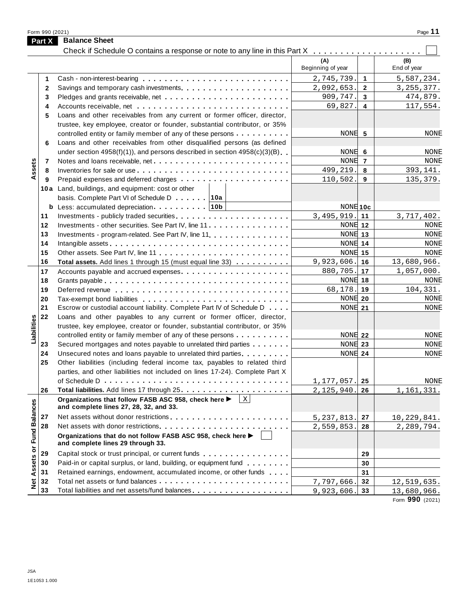Form <sup>990</sup> (2021) Page **11**

|                      | Part X       | <b>Balance Sheet</b><br>Check if Schedule O contains a response or note to any line in this Part X           |                          |                |                    |
|----------------------|--------------|--------------------------------------------------------------------------------------------------------------|--------------------------|----------------|--------------------|
|                      |              |                                                                                                              | (A)<br>Beginning of year |                | (B)<br>End of year |
|                      | 1            |                                                                                                              | 2,745,739.               | $\overline{1}$ | 5,587,234.         |
|                      | $\mathbf{2}$ |                                                                                                              | 2,092,653.               | $\overline{2}$ | 3, 255, 377.       |
|                      | 3            |                                                                                                              | 909,747.                 | $\mathbf{3}$   | 474,879.           |
|                      | 4            |                                                                                                              | 69,827.                  | $\overline{4}$ | 117,554.           |
|                      | 5            | Loans and other receivables from any current or former officer, director,                                    |                          |                |                    |
|                      |              | trustee, key employee, creator or founder, substantial contributor, or 35%                                   |                          |                |                    |
|                      |              | controlled entity or family member of any of these persons                                                   | NONE 5                   |                | <b>NONE</b>        |
|                      | 6            | Loans and other receivables from other disqualified persons (as defined                                      |                          |                |                    |
|                      |              | under section $4958(f)(1)$ , and persons described in section $4958(c)(3)(B)$                                | NONE 6                   |                | <b>NONE</b>        |
|                      | 7            |                                                                                                              | NONE 7                   |                | <b>NONE</b>        |
| Assets               | 8            |                                                                                                              | 499,219.                 | 8              | 393,141.           |
|                      | 9            |                                                                                                              | 110,502.                 | 9              | 135,379.           |
|                      |              | 10a Land, buildings, and equipment: cost or other                                                            |                          |                |                    |
|                      |              | basis. Complete Part VI of Schedule D [10a]                                                                  |                          |                |                    |
|                      |              | <b>b</b> Less: accumulated depreciation $\ldots$ , ,    10b                                                  | NONE 10c                 |                |                    |
|                      | 11           |                                                                                                              | $3,495,919.$ 11          |                | 3,717,402.         |
|                      | 12           | Investments - other securities. See Part IV, line 11                                                         | NONE 12                  |                | NONE               |
|                      | 13           | Investments - program-related. See Part IV, line 11.                                                         | NONE 13                  |                | NONE               |
|                      | 14           |                                                                                                              | NONE 14                  |                | NONE               |
|                      | 15           |                                                                                                              | <b>NONE</b> 15           |                | NONE               |
|                      | 16           | Total assets. Add lines 1 through 15 (must equal line 33)                                                    | $9,923,606.$ 16          |                | 13,680,966.        |
|                      | 17           | Accounts payable and accrued expenses                                                                        | $880, 705.$ 17           |                | 1,057,000.         |
|                      | 18           |                                                                                                              | NONE 18                  |                | <b>NONE</b>        |
|                      | 19           |                                                                                                              | 68,178. 19               |                | 104,331.           |
|                      | 20           |                                                                                                              | NONE 20                  |                | <b>NONE</b>        |
|                      | 21           | Escrow or custodial account liability. Complete Part IV of Schedule D                                        | <b>NONE 21</b>           |                | NONE               |
|                      | 22           | Loans and other payables to any current or former officer, director,                                         |                          |                |                    |
|                      |              | trustee, key employee, creator or founder, substantial contributor, or 35%                                   |                          |                |                    |
| Liabilities          |              | controlled entity or family member of any of these persons                                                   | NONE 22                  |                | <b>NONE</b>        |
|                      | 23           | Secured mortgages and notes payable to unrelated third parties                                               | NONE 23                  |                | <b>NONE</b>        |
|                      | 24           | Unsecured notes and loans payable to unrelated third parties.                                                | NONE 24                  |                | NONE               |
|                      | 25           | Other liabilities (including federal income tax, payables to related third                                   |                          |                |                    |
|                      |              | parties, and other liabilities not included on lines 17-24). Complete Part X                                 |                          |                |                    |
|                      |              |                                                                                                              | $1, 177, 057.$ 25        |                | $\rm{NONE}$        |
|                      | 26           |                                                                                                              | 2,125,940.               | 26             | 1,161,331.         |
| <b>Fund Balances</b> |              | $\mathbf{x}$<br>Organizations that follow FASB ASC 958, check here<br>and complete lines 27, 28, 32, and 33. |                          |                |                    |
|                      | 27           |                                                                                                              | 5, 237, 813.             | 27             | 10,229,841.        |
|                      | 28           |                                                                                                              | 2,559,853.               | 28             | 2,289,794.         |
|                      |              | Organizations that do not follow FASB ASC 958, check here ▶<br>and complete lines 29 through 33.             |                          |                |                    |
|                      | 29           | Capital stock or trust principal, or current funds                                                           |                          | 29             |                    |
|                      | 30           | Paid-in or capital surplus, or land, building, or equipment fund                                             |                          | 30             |                    |
|                      | 31           | Retained earnings, endowment, accumulated income, or other funds                                             |                          | 31             |                    |
| Net Assets or        | 32           |                                                                                                              | 7,797,666.               | 32             | 12,519,635.        |
|                      | 33           | Total liabilities and net assets/fund balances                                                               | 9,923,606.               | 33             | 13,680,966.        |

Form **990** (2021)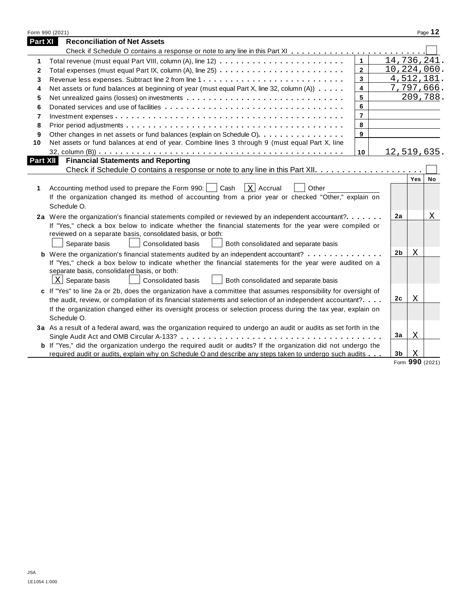|          | Form 990 (2021)                                                                                                    |                |                |                                | Page 12            |
|----------|--------------------------------------------------------------------------------------------------------------------|----------------|----------------|--------------------------------|--------------------|
| Part XI  | <b>Reconciliation of Net Assets</b>                                                                                |                |                |                                |                    |
|          |                                                                                                                    |                |                |                                |                    |
| 1        |                                                                                                                    | $\mathbf{1}$   |                |                                | 14,736,241.        |
| 2        | Total expenses (must equal Part IX, column (A), line 25)                                                           | $\overline{2}$ |                |                                | 10, 224, 060.      |
| 3        |                                                                                                                    | 3              |                |                                | <u>4,512,181</u> . |
| 4        | Net assets or fund balances at beginning of year (must equal Part X, line 32, column (A))                          | 4              |                |                                | 7,797,666.         |
| 5        | Net unrealized gains (losses) on investments                                                                       | 5              |                |                                | 209,788.           |
| 6        |                                                                                                                    | 6              |                |                                |                    |
| 7        |                                                                                                                    | $\overline{7}$ |                |                                |                    |
| 8        |                                                                                                                    | 8              |                |                                |                    |
| 9        | Other changes in net assets or fund balances (explain on Schedule O).                                              | 9              |                |                                |                    |
| 10       | Net assets or fund balances at end of year. Combine lines 3 through 9 (must equal Part X, line                     |                |                |                                |                    |
|          |                                                                                                                    | 10             |                |                                | 12,519,635.        |
| Part XII | <b>Financial Statements and Reporting</b>                                                                          |                |                |                                |                    |
|          |                                                                                                                    |                |                |                                |                    |
|          |                                                                                                                    |                |                | Yes                            | No                 |
| 1        | Accounting method used to prepare the Form 990:     Cash<br>$\vert$ X   Accrual<br>Other                           |                |                |                                |                    |
|          | If the organization changed its method of accounting from a prior year or checked "Other," explain on              |                |                |                                |                    |
|          | Schedule O.                                                                                                        |                |                |                                |                    |
|          | 2a Were the organization's financial statements compiled or reviewed by an independent accountant?                 |                | 2a             |                                | Χ                  |
|          | If "Yes," check a box below to indicate whether the financial statements for the year were compiled or             |                |                |                                |                    |
|          | reviewed on a separate basis, consolidated basis, or both:                                                         |                |                |                                |                    |
|          | Separate basis<br><b>Consolidated basis</b><br>Both consolidated and separate basis                                |                |                |                                |                    |
|          | <b>b</b> Were the organization's financial statements audited by an independent accountant?                        |                | 2b             | Χ                              |                    |
|          | If "Yes," check a box below to indicate whether the financial statements for the year were audited on a            |                |                |                                |                    |
|          | separate basis, consolidated basis, or both:                                                                       |                |                |                                |                    |
|          | $\underline{X}$ Separate basis<br>Consolidated basis<br>Both consolidated and separate basis                       |                |                |                                |                    |
|          | c If "Yes" to line 2a or 2b, does the organization have a committee that assumes responsibility for oversight of   |                |                |                                |                    |
|          | the audit, review, or compilation of its financial statements and selection of an independent accountant?          |                | 2 <sub>c</sub> | Χ                              |                    |
|          | If the organization changed either its oversight process or selection process during the tax year, explain on      |                |                |                                |                    |
|          | Schedule O.                                                                                                        |                |                |                                |                    |
|          | 3a As a result of a federal award, was the organization required to undergo an audit or audits as set forth in the |                |                |                                |                    |
|          |                                                                                                                    |                | 3a             | Χ                              |                    |
|          | b If "Yes," did the organization undergo the required audit or audits? If the organization did not undergo the     |                |                |                                |                    |
|          | required audit or audits, explain why on Schedule O and describe any steps taken to undergo such audits            |                | 3b             | X<br>$F_{\text{c}}$ 000 (2021) |                    |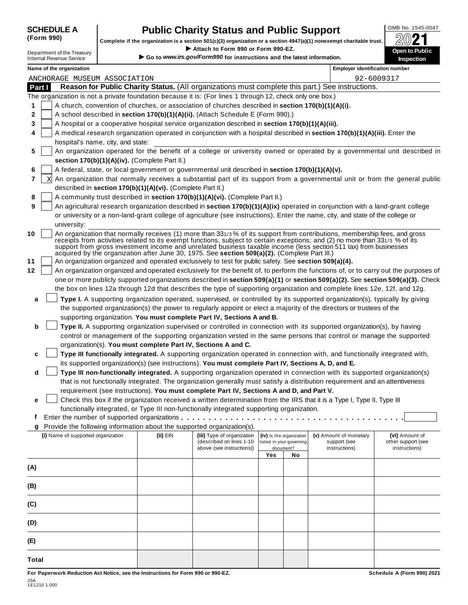# **SCHEDULE A Public Charity Status and Public Support**<br>(Form 990) complete if the crapitation is a section 501/01/2) crapitation at a section 4047/01/1 percepant charitable trust **20071**

Complete if the organization is a section 501(c)(3) organization or a section 4947(a)(1) nonexempt charitable trust.<br>
Department of the Treasury<br>
Internal Revenue Service<br>
Inspection Complete if the organization is a section 501(c)(3) organization or a section 4947(a)(1) nonexempt charitable trust.<br>
Department of the Treasury Complete if the organization is a section 501(c)(3) organization or a sectio

|        | Name of the organization                                                                                                                                                                                                                                                                                                                                                                                                                                                         |          |                            |                          |                          | <b>Employer identification number</b> |                    |
|--------|----------------------------------------------------------------------------------------------------------------------------------------------------------------------------------------------------------------------------------------------------------------------------------------------------------------------------------------------------------------------------------------------------------------------------------------------------------------------------------|----------|----------------------------|--------------------------|--------------------------|---------------------------------------|--------------------|
|        | ANCHORAGE MUSEUM ASSOCIATION                                                                                                                                                                                                                                                                                                                                                                                                                                                     |          |                            |                          |                          |                                       | 92-6009317         |
| Part I | Reason for Public Charity Status. (All organizations must complete this part.) See instructions.                                                                                                                                                                                                                                                                                                                                                                                 |          |                            |                          |                          |                                       |                    |
|        | The organization is not a private foundation because it is: (For lines 1 through 12, check only one box.)                                                                                                                                                                                                                                                                                                                                                                        |          |                            |                          |                          |                                       |                    |
| 1      | A church, convention of churches, or association of churches described in section 170(b)(1)(A)(i).                                                                                                                                                                                                                                                                                                                                                                               |          |                            |                          |                          |                                       |                    |
| 2      | A school described in section 170(b)(1)(A)(ii). (Attach Schedule E (Form 990).)                                                                                                                                                                                                                                                                                                                                                                                                  |          |                            |                          |                          |                                       |                    |
| 3      | A hospital or a cooperative hospital service organization described in section 170(b)(1)(A)(iii).                                                                                                                                                                                                                                                                                                                                                                                |          |                            |                          |                          |                                       |                    |
| 4      | A medical research organization operated in conjunction with a hospital described in section 170(b)(1)(A)(iii). Enter the                                                                                                                                                                                                                                                                                                                                                        |          |                            |                          |                          |                                       |                    |
|        | hospital's name, city, and state:                                                                                                                                                                                                                                                                                                                                                                                                                                                |          |                            |                          |                          |                                       |                    |
| 5      | An organization operated for the benefit of a college or university owned or operated by a governmental unit described in                                                                                                                                                                                                                                                                                                                                                        |          |                            |                          |                          |                                       |                    |
|        | section 170(b)(1)(A)(iv). (Complete Part II.)                                                                                                                                                                                                                                                                                                                                                                                                                                    |          |                            |                          |                          |                                       |                    |
| 6      | A federal, state, or local government or governmental unit described in section 170(b)(1)(A)(v).                                                                                                                                                                                                                                                                                                                                                                                 |          |                            |                          |                          |                                       |                    |
| 7      | An organization that normally receives a substantial part of its support from a governmental unit or from the general public<br>Х                                                                                                                                                                                                                                                                                                                                                |          |                            |                          |                          |                                       |                    |
|        | described in section 170(b)(1)(A)(vi). (Complete Part II.)                                                                                                                                                                                                                                                                                                                                                                                                                       |          |                            |                          |                          |                                       |                    |
| 8      | A community trust described in section 170(b)(1)(A)(vi). (Complete Part II.)                                                                                                                                                                                                                                                                                                                                                                                                     |          |                            |                          |                          |                                       |                    |
| 9      | An agricultural research organization described in section 170(b)(1)(A)(ix) operated in conjunction with a land-grant college                                                                                                                                                                                                                                                                                                                                                    |          |                            |                          |                          |                                       |                    |
|        | or university or a non-land-grant college of agriculture (see instructions). Enter the name, city, and state of the college or                                                                                                                                                                                                                                                                                                                                                   |          |                            |                          |                          |                                       |                    |
|        | university:                                                                                                                                                                                                                                                                                                                                                                                                                                                                      |          |                            |                          |                          |                                       |                    |
| 10     | An organization that normally receives (1) more than 331/3 % of its support from contributions, membership fees, and gross<br>receipts from activities related to its exempt functions, subject to certain exceptions; and (2) no more than 331/3 % of its<br>support from gross investment income and unrelated business taxable income (less section 511 tax) from businesses<br>acquired by the organization after June 30, 1975. See section 509(a)(2). (Complete Part III.) |          |                            |                          |                          |                                       |                    |
| 11     | An organization organized and operated exclusively to test for public safety. See section 509(a)(4).                                                                                                                                                                                                                                                                                                                                                                             |          |                            |                          |                          |                                       |                    |
| 12     | An organization organized and operated exclusively for the benefit of, to perform the functions of, or to carry out the purposes of                                                                                                                                                                                                                                                                                                                                              |          |                            |                          |                          |                                       |                    |
|        | one or more publicly supported organizations described in section 509(a)(1) or section 509(a)(2). See section 509(a)(3). Check                                                                                                                                                                                                                                                                                                                                                   |          |                            |                          |                          |                                       |                    |
|        | the box on lines 12a through 12d that describes the type of supporting organization and complete lines 12e, 12f, and 12g.                                                                                                                                                                                                                                                                                                                                                        |          |                            |                          |                          |                                       |                    |
| а      | Type I. A supporting organization operated, supervised, or controlled by its supported organization(s), typically by giving                                                                                                                                                                                                                                                                                                                                                      |          |                            |                          |                          |                                       |                    |
|        | the supported organization(s) the power to regularly appoint or elect a majority of the directors or trustees of the                                                                                                                                                                                                                                                                                                                                                             |          |                            |                          |                          |                                       |                    |
|        | supporting organization. You must complete Part IV, Sections A and B.                                                                                                                                                                                                                                                                                                                                                                                                            |          |                            |                          |                          |                                       |                    |
| b      | Type II. A supporting organization supervised or controlled in connection with its supported organization(s), by having                                                                                                                                                                                                                                                                                                                                                          |          |                            |                          |                          |                                       |                    |
|        | control or management of the supporting organization vested in the same persons that control or manage the supported                                                                                                                                                                                                                                                                                                                                                             |          |                            |                          |                          |                                       |                    |
|        | organization(s). You must complete Part IV, Sections A and C.                                                                                                                                                                                                                                                                                                                                                                                                                    |          |                            |                          |                          |                                       |                    |
| c      | Type III functionally integrated. A supporting organization operated in connection with, and functionally integrated with,                                                                                                                                                                                                                                                                                                                                                       |          |                            |                          |                          |                                       |                    |
|        | its supported organization(s) (see instructions). You must complete Part IV, Sections A, D, and E.<br>Type III non-functionally integrated. A supporting organization operated in connection with its supported organization(s)                                                                                                                                                                                                                                                  |          |                            |                          |                          |                                       |                    |
| d      | that is not functionally integrated. The organization generally must satisfy a distribution requirement and an attentiveness                                                                                                                                                                                                                                                                                                                                                     |          |                            |                          |                          |                                       |                    |
|        | requirement (see instructions). You must complete Part IV, Sections A and D, and Part V.                                                                                                                                                                                                                                                                                                                                                                                         |          |                            |                          |                          |                                       |                    |
| е      | Check this box if the organization received a written determination from the IRS that it is a Type I, Type II, Type III                                                                                                                                                                                                                                                                                                                                                          |          |                            |                          |                          |                                       |                    |
|        | functionally integrated, or Type III non-functionally integrated supporting organization.                                                                                                                                                                                                                                                                                                                                                                                        |          |                            |                          |                          |                                       |                    |
|        |                                                                                                                                                                                                                                                                                                                                                                                                                                                                                  |          |                            |                          |                          |                                       |                    |
| g      | Provide the following information about the supported organization(s).                                                                                                                                                                                                                                                                                                                                                                                                           |          |                            |                          |                          |                                       |                    |
|        | (i) Name of supported organization                                                                                                                                                                                                                                                                                                                                                                                                                                               | (ii) EIN | (iii) Type of organization |                          | (iv) Is the organization | (v) Amount of monetary                | (vi) Amount of     |
|        |                                                                                                                                                                                                                                                                                                                                                                                                                                                                                  |          | (described on lines 1-10   | listed in your governing |                          | support (see                          | other support (see |
|        |                                                                                                                                                                                                                                                                                                                                                                                                                                                                                  |          | above (see instructions))  | Yes                      | document?<br>No          | instructions)                         | instructions)      |
|        |                                                                                                                                                                                                                                                                                                                                                                                                                                                                                  |          |                            |                          |                          |                                       |                    |
| (A)    |                                                                                                                                                                                                                                                                                                                                                                                                                                                                                  |          |                            |                          |                          |                                       |                    |
|        |                                                                                                                                                                                                                                                                                                                                                                                                                                                                                  |          |                            |                          |                          |                                       |                    |
| (B)    |                                                                                                                                                                                                                                                                                                                                                                                                                                                                                  |          |                            |                          |                          |                                       |                    |
|        |                                                                                                                                                                                                                                                                                                                                                                                                                                                                                  |          |                            |                          |                          |                                       |                    |
| (C)    |                                                                                                                                                                                                                                                                                                                                                                                                                                                                                  |          |                            |                          |                          |                                       |                    |
|        |                                                                                                                                                                                                                                                                                                                                                                                                                                                                                  |          |                            |                          |                          |                                       |                    |
| (D)    |                                                                                                                                                                                                                                                                                                                                                                                                                                                                                  |          |                            |                          |                          |                                       |                    |
| (E)    |                                                                                                                                                                                                                                                                                                                                                                                                                                                                                  |          |                            |                          |                          |                                       |                    |
|        |                                                                                                                                                                                                                                                                                                                                                                                                                                                                                  |          |                            |                          |                          |                                       |                    |
|        |                                                                                                                                                                                                                                                                                                                                                                                                                                                                                  |          |                            |                          |                          |                                       |                    |

**Total**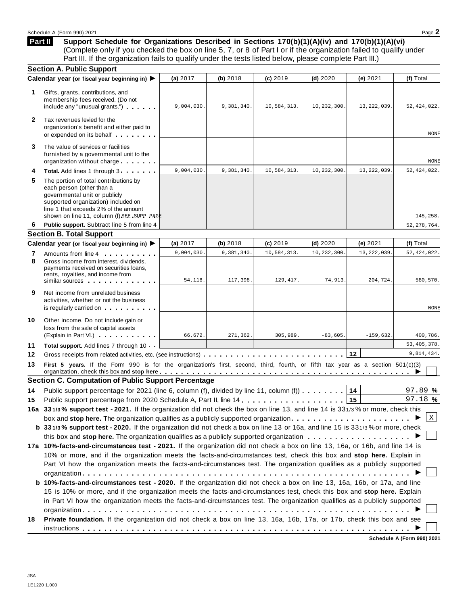#### Schedule <sup>A</sup> (Form 990) <sup>2021</sup> Page **2**

**Part II**

**Support Schedule for Organizations Described in Sections 170(b)(1)(A)(iv) and 170(b)(1)(A)(vi)** (Complete only if you checked the box on line 5, 7, or 8 of Part I or if the organization failed to qualify under Part III. If the organization fails to qualify under the tests listed below, please complete Part III.)

|              | <b>Section A. Public Support</b>                                                                                                                                                                                                 |            |            |             |             |               |               |
|--------------|----------------------------------------------------------------------------------------------------------------------------------------------------------------------------------------------------------------------------------|------------|------------|-------------|-------------|---------------|---------------|
|              | Calendar year (or fiscal year beginning in) ▶                                                                                                                                                                                    | (a) $2017$ | (b) 2018   | $(c)$ 2019  | (d) 2020    | (e) 2021      | (f) Total     |
| 1            | Gifts, grants, contributions, and<br>membership fees received. (Do not<br>include any "unusual grants.")                                                                                                                         | 9,004,030. | 9,381,340. | 10,584,313. | 10,232,300. | 13, 222, 039. | 52, 424, 022. |
| $\mathbf{2}$ | Tax revenues levied for the<br>organization's benefit and either paid to<br>or expended on its behalf                                                                                                                            |            |            |             |             |               | <b>NONE</b>   |
| 3            | The value of services or facilities<br>furnished by a governmental unit to the<br>organization without charge                                                                                                                    |            |            |             |             |               | <b>NONE</b>   |
| 4            | Total. Add lines 1 through 3                                                                                                                                                                                                     | 9,004,030. | 9,381,340. | 10,584,313. | 10,232,300. | 13, 222, 039  | 52, 424, 022. |
| 5            | The portion of total contributions by<br>each person (other than a<br>governmental unit or publicly<br>supported organization) included on<br>line 1 that exceeds 2% of the amount<br>shown on line 11, column (f) SEE SUPP PAGE |            |            |             |             |               | 145,258.      |
| 6            | Public support. Subtract line 5 from line 4                                                                                                                                                                                      |            |            |             |             |               | 52, 278, 764. |
|              | <b>Section B. Total Support</b>                                                                                                                                                                                                  |            |            |             |             |               |               |
|              | Calendar year (or fiscal year beginning in) ▶                                                                                                                                                                                    | (a) $2017$ | (b) 2018   | (c) 2019    | (d) 2020    | (e) $2021$    | (f) Total     |
| 7            | Amounts from line 4 <b>Amounts</b> from line 4                                                                                                                                                                                   | 9,004,030  | 9,381,340. | 10,584,313. | 10,232,300  | 13, 222, 039  | 52, 424, 022. |
| 8            | Gross income from interest, dividends,<br>payments received on securities loans,<br>rents, royalties, and income from<br>similar sources experiences                                                                             | 54, 118.   | 117,398.   | 129, 417.   | 74, 913.    | 204,724.      | 580,570.      |
| 9            | Net income from unrelated business<br>activities, whether or not the business<br>is regularly carried on each property of the state of the state of the state of the state of the state of the                                   |            |            |             |             |               | <b>NONE</b>   |
| 10           | Other income. Do not include gain or<br>loss from the sale of capital assets<br>(Explain in Part VI.)                                                                                                                            | 66,672.    | 271,362.   | 305,989.    | $-83,605.$  | $-159,632.$   | 400,786.      |
| 11           | Total support. Add lines 7 through 10                                                                                                                                                                                            |            |            |             |             |               | 53, 405, 378. |
| 12           |                                                                                                                                                                                                                                  |            |            |             |             | 12            | 9,814,434.    |
| 13           | First 5 years. If the Form 990 is for the organization's first, second, third, fourth, or fifth tax year as a section 501(c)(3)                                                                                                  |            |            |             |             |               |               |
|              | <b>Section C. Computation of Public Support Percentage</b>                                                                                                                                                                       |            |            |             |             |               |               |
| 14           | Public support percentage for 2021 (line 6, column (f), divided by line 11, column (f))                                                                                                                                          |            |            |             |             | 14            | 97.89%        |
| 15           |                                                                                                                                                                                                                                  |            |            |             |             | 15            | 97.18 %       |
|              | 16a 331/3% support test - 2021. If the organization did not check the box on line 13, and line 14 is 331/3% or more, check this                                                                                                  |            |            |             |             |               |               |
|              | box and stop here. The organization qualifies as a publicly supported organization                                                                                                                                               |            |            |             |             |               | $\mathbf{X}$  |
|              | b 331/3% support test - 2020. If the organization did not check a box on line 13 or 16a, and line 15 is 331/3% or more, check                                                                                                    |            |            |             |             |               |               |
|              |                                                                                                                                                                                                                                  |            |            |             |             |               |               |
|              | 17a 10%-facts-and-circumstances test - 2021. If the organization did not check a box on line 13, 16a, or 16b, and line 14 is                                                                                                     |            |            |             |             |               |               |
|              | 10% or more, and if the organization meets the facts-and-circumstances test, check this box and stop here. Explain in                                                                                                            |            |            |             |             |               |               |
|              | Part VI how the organization meets the facts-and-circumstances test. The organization qualifies as a publicly supported                                                                                                          |            |            |             |             |               |               |
|              |                                                                                                                                                                                                                                  |            |            |             |             |               |               |
|              | b 10%-facts-and-circumstances test - 2020. If the organization did not check a box on line 13, 16a, 16b, or 17a, and line                                                                                                        |            |            |             |             |               |               |
|              |                                                                                                                                                                                                                                  |            |            |             |             |               |               |
|              | 15 is 10% or more, and if the organization meets the facts-and-circumstances test, check this box and stop here. Explain                                                                                                         |            |            |             |             |               |               |
|              | in Part VI how the organization meets the facts-and-circumstances test. The organization qualifies as a publicly supported                                                                                                       |            |            |             |             |               |               |
| 18           | Private foundation. If the organization did not check a box on line 13, 16a, 16b, 17a, or 17b, check this box and see                                                                                                            |            |            |             |             |               |               |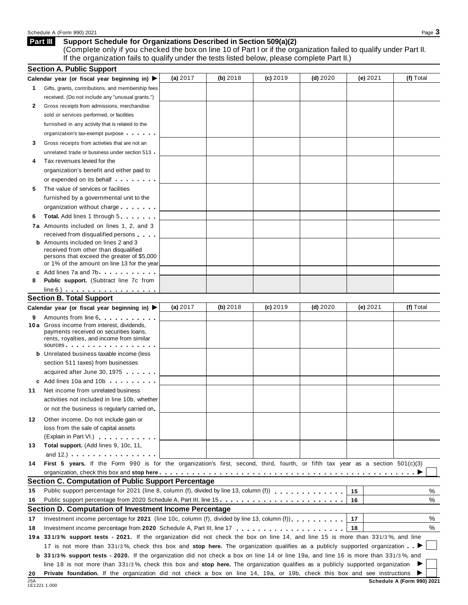### Schedule A (Form 990) 2021 Page 3

#### **Support Schedule for Organizations Described in Section 509(a)(2) Part III**

(Complete only if you checked the box on line 10 of Part I or if the organization failed to qualify under Part II. If the organization fails to qualify under the tests listed below, please complete Part II.)

|        | <b>Section A. Public Support</b>                                                                                                                                                 |            |            |            |            |          |           |
|--------|----------------------------------------------------------------------------------------------------------------------------------------------------------------------------------|------------|------------|------------|------------|----------|-----------|
|        | Calendar year (or fiscal year beginning in) $\blacktriangleright$                                                                                                                | (a) $2017$ | (b) 2018   | $(c)$ 2019 | $(d)$ 2020 | (e) 2021 | (f) Total |
| 1.     | Gifts, grants, contributions, and membership fees                                                                                                                                |            |            |            |            |          |           |
|        | received. (Do not include any "unusual grants.")                                                                                                                                 |            |            |            |            |          |           |
| 2      | Gross receipts from admissions, merchandise                                                                                                                                      |            |            |            |            |          |           |
|        | sold or services performed, or facilities                                                                                                                                        |            |            |            |            |          |           |
|        | furnished in any activity that is related to the                                                                                                                                 |            |            |            |            |          |           |
|        | organization's tax-exempt purpose                                                                                                                                                |            |            |            |            |          |           |
| 3      | Gross receipts from activities that are not an                                                                                                                                   |            |            |            |            |          |           |
|        | unrelated trade or business under section 513                                                                                                                                    |            |            |            |            |          |           |
| 4      | Tax revenues levied for the                                                                                                                                                      |            |            |            |            |          |           |
|        | organization's benefit and either paid to                                                                                                                                        |            |            |            |            |          |           |
|        | or expended on its behalf <b>contained</b> or expended on its behalf                                                                                                             |            |            |            |            |          |           |
| 5      | The value of services or facilities                                                                                                                                              |            |            |            |            |          |           |
|        | furnished by a governmental unit to the                                                                                                                                          |            |            |            |            |          |           |
|        | organization without charge                                                                                                                                                      |            |            |            |            |          |           |
| 6      | <b>Total.</b> Add lines 1 through 5                                                                                                                                              |            |            |            |            |          |           |
|        | 7a Amounts included on lines 1, 2, and 3                                                                                                                                         |            |            |            |            |          |           |
|        | received from disqualified persons where the control                                                                                                                             |            |            |            |            |          |           |
|        | <b>b</b> Amounts included on lines 2 and 3<br>received from other than disqualified<br>persons that exceed the greater of \$5,000<br>or 1% of the amount on line 13 for the year |            |            |            |            |          |           |
|        | c Add lines 7a and 7b                                                                                                                                                            |            |            |            |            |          |           |
| 8      | Public support. (Subtract line 7c from                                                                                                                                           |            |            |            |            |          |           |
|        | $line 6.)$                                                                                                                                                                       |            |            |            |            |          |           |
|        | <b>Section B. Total Support</b>                                                                                                                                                  |            |            |            |            |          |           |
|        | Calendar year (or fiscal year beginning in)                                                                                                                                      | (a) $2017$ | $(b)$ 2018 | $(c)$ 2019 | $(d)$ 2020 | (e) 2021 | (f) Total |
| 9      | Amounts from line 6                                                                                                                                                              |            |            |            |            |          |           |
|        | <b>10a</b> Gross income from interest, dividends,<br>payments received on securities loans,<br>rents, royalties, and income from similar<br>sources                              |            |            |            |            |          |           |
|        | <b>b</b> Unrelated business taxable income (less                                                                                                                                 |            |            |            |            |          |           |
|        | section 511 taxes) from businesses                                                                                                                                               |            |            |            |            |          |           |
|        | acquired after June 30, 1975                                                                                                                                                     |            |            |            |            |          |           |
|        | c Add lines 10a and 10b                                                                                                                                                          |            |            |            |            |          |           |
| 11     | Net income from unrelated business                                                                                                                                               |            |            |            |            |          |           |
|        | activities not included in line 10b, whether                                                                                                                                     |            |            |            |            |          |           |
|        | or not the business is regularly carried on                                                                                                                                      |            |            |            |            |          |           |
| 12     | Other income. Do not include gain or<br>loss from the sale of capital assets                                                                                                     |            |            |            |            |          |           |
|        | (Explain in Part VI.)                                                                                                                                                            |            |            |            |            |          |           |
| 13     | Total support. (Add lines 9, 10c, 11,                                                                                                                                            |            |            |            |            |          |           |
|        | and $12$ .) $\cdots$ $\cdots$ $\cdots$ $\cdots$ $\cdots$                                                                                                                         |            |            |            |            |          |           |
| 14     | First 5 years. If the Form 990 is for the organization's first, second, third, fourth, or fifth tax year as a section 501(c)(3)                                                  |            |            |            |            |          |           |
|        |                                                                                                                                                                                  |            |            |            |            |          |           |
|        | Section C. Computation of Public Support Percentage                                                                                                                              |            |            |            |            |          |           |
| 15     | Public support percentage for 2021 (line 8, column (f), divided by line 13, column (f))                                                                                          |            |            |            |            | 15       | ℅         |
| 16     | Public support percentage from 2020 Schedule A, Part III, line 15.                                                                                                               |            |            |            |            | 16       | %         |
|        | Section D. Computation of Investment Income Percentage                                                                                                                           |            |            |            |            |          |           |
| 17     | Investment income percentage for 2021 (line 10c, column (f), divided by line 13, column (f)).                                                                                    |            |            |            |            | 17       | %         |
| 18     |                                                                                                                                                                                  |            |            |            |            | 18       | %         |
|        | 19a 331/3% support tests - 2021. If the organization did not check the box on line 14, and line 15 is more than 331/3%, and line                                                 |            |            |            |            |          |           |
|        | 17 is not more than 331/3%, check this box and stop here. The organization qualifies as a publicly supported organization                                                        |            |            |            |            |          |           |
|        | <b>b</b> 331/3% support tests - 2020. If the organization did not check a box on line 14 or line 19a, and line 16 is more than 331/3%, and                                       |            |            |            |            |          |           |
|        | line 18 is not more than 331/3%, check this box and stop here. The organization qualifies as a publicly supported organization                                                   |            |            |            |            |          |           |
| 20     | Private foundation. If the organization did not check a box on line 14, 19a, or 19b, check this box and see instructions                                                         |            |            |            |            |          |           |
| $\sim$ |                                                                                                                                                                                  |            |            |            |            |          |           |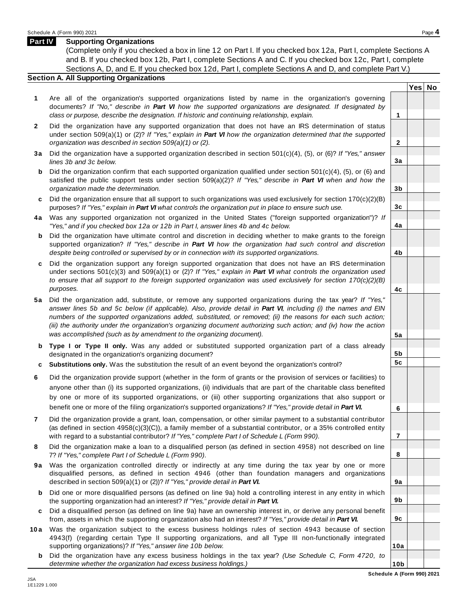**Part IV Supporting Organizations** (Complete only if you checked a box in line 12 on Part I. If you checked box 12a, Part I, complete Sections A and B. If you checked box 12b, Part I, complete Sections A and C. If you checked box 12c, Part I, complete Sections A, D, and E. If you checked box 12d, Part I, complete Sections A and D, and complete Part V.)

#### **Section A. All Supporting Organizations**

- **1** Are all of the organization's supported organizations listed by name in the organization's governing documents? *If "No," describe in Part VI how the supported organizations are designated. If designated by class or purpose, describe the designation. If historic and continuing relationship, explain.* **1**
- **2** Did the organization have any supported organization that does not have an IRS determination of status under section 509(a)(1) or (2)? *If"Yes," explain in Part VI how the organization determined that the supported organization was described in section 509(a)(1) or (2).*
- **3 a** Did the organization have a supported organization described in section 501(c)(4), (5), or (6)? *If "Yes," answer lines 3b and 3c below.*
- **b** Did the organization confirm that each supported organization qualified under section 501(c)(4), (5), or (6) and | satisfied the public support tests under section 509(a)(2)? *If "Yes," describe in Part VI when and how the organization made the determination.*
- **c** Did the organization ensure that all support to such organizations was used exclusively for section 170(c)(2)(B) purposes? *If"Yes," explain in Part VI what controls the organization put in place to ensure such use.*
- **4 a** Was any supported organization not organized in the United States ("foreign supported organization")? *If "Yes," and if you checked box 12a or 12b in Part I, answer lines 4b and 4c below.*
- **b** Did the organization have ultimate control and discretion in deciding whether to make grants to the foreign | supported organization? *If "Yes," describe in Part VI how the organization had such control and discretion despite being controlled or supervised by or in connection with its supported organizations.*
- **c** Did the organization support any foreign supported organization that does not have an IRS determination | under sections 501(c)(3) and 509(a)(1) or (2)? *If "Yes," explain in Part VI what controls the organization used to ensure that all support to the foreign supported organization was used exclusively for section 170(c)(2)(B) purposes.*
- **5 a** Did the organization add, substitute, or remove any supported organizations during the tax year? *If "Yes,"* answer lines 5b and 5c below (if applicable). Also, provide detail in Part VI, including (i) the names and EIN *numbers of the supported organizations added, substituted, or removed; (ii) the reasons for each such action;* (iii) the authority under the organization's organizing document authorizing such action; and (iv) how the action *was accomplished (such as by amendment to the organizing document).*
- **b Type I or Type II only.** Was any added or substituted supported organization part of a class already designated in the organization's organizing document?
- **c Substitutions only.** Was the substitution the result of an event beyond the organization's control?
- **6** Did the organization provide support (whether in the form of grants or the provision of services or facilities) to anyone other than (i) its supported organizations, (ii) individuals that are part of the charitable class benefited by one or more of its supported organizations, or (iii) other supporting organizations that also support or benefit one or more of the filing organization's supported organizations? *If"Yes," provide detail in Part VI.*
- **7** Did the organization provide a grant, loan, compensation, or other similar payment to a substantial contributor (as defined in section 4958(c)(3)(C)), a family member of a substantial contributor, or a 35% controlled entity with regard to a substantial contributor? *If"Yes," complete Part I of Schedule L (Form 990).*
- **8** Did the organization make a loan to a disqualified person (as defined in section 4958) not described on line 7? *If "Yes," complete Part I of Schedule L (Form 990).*
- **9a** Was the organization controlled directly or indirectly at any time during the tax year by one or more | disqualified persons, as defined in section 4946 (other than foundation managers and organizations described in section 509(a)(1) or (2))? *If"Yes," provide detail in Part VI.*
- **b** Did one or more disqualified persons (as defined on line 9a) hold a controlling interest in any entity in which | the supporting organization had an interest? *If"Yes," provide detail in Part VI.*
- **c** Did a disqualified person (as defined on line 9a) have an ownership interest in, or derive any personal benefit from, assets in which the supporting organization also had an interest? *If"Yes," provide detail in Part VI.*
- **10a** Was the organization subject to the excess business holdings rules of section 4943 because of section | 4943(f) (regarding certain Type II supporting organizations, and all Type III non-functionally integrated supporting organizations)? *If"Yes," answer line 10b below.*
	- **b** Did the organization have any excess business holdings in the tax year? *(Use Schedule C, Form 4720, to determine whether the organization had excess business holdings.)*

**Yes No**

**2**

**3a**

**3b**

**3c**

**4a**

**4b**

**4c**

**5a**

**5b 5c**

**6**

**7**

**8**

**9a**

**9b**

**9c**

**10a**

**10b**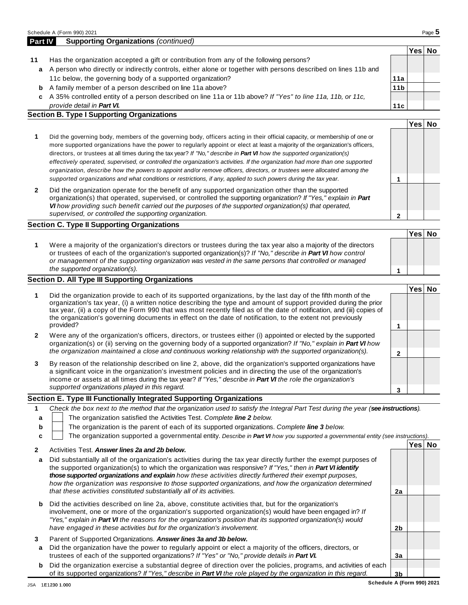| <b>Part IV</b> | <b>Supporting Organizations (continued)</b>                                                                    |                 | Yes No |  |
|----------------|----------------------------------------------------------------------------------------------------------------|-----------------|--------|--|
| 11             | Has the organization accepted a gift or contribution from any of the following persons?                        |                 |        |  |
| a              | A person who directly or indirectly controls, either alone or together with persons described on lines 11b and |                 |        |  |
|                | 11c below, the governing body of a supported organization?                                                     | 11a             |        |  |
|                | <b>b</b> A family member of a person described on line 11a above?                                              | 11 <sub>b</sub> |        |  |
| c              | A 35% controlled entity of a person described on line 11a or 11b above? If "Yes" to line 11a, 11b, or 11c,     |                 |        |  |
|                | provide detail in <b>Part VI.</b>                                                                              | 11c             |        |  |

| Did the governing body, members of the governing body, officers acting in their official capacity, or membership of one or<br>more supported organizations have the power to regularly appoint or elect at least a majority of the organization's officers,<br>directors, or trustees at all times during the tax year? If "No," describe in Part VI how the supported organization(s)<br>effectively operated, supervised, or controlled the organization's activities. If the organization had more than one supported<br>organization, describe how the powers to appoint and/or remove officers, directors, or trustees were allocated among the |  |
|------------------------------------------------------------------------------------------------------------------------------------------------------------------------------------------------------------------------------------------------------------------------------------------------------------------------------------------------------------------------------------------------------------------------------------------------------------------------------------------------------------------------------------------------------------------------------------------------------------------------------------------------------|--|
| supported organizations and what conditions or restrictions, if any, applied to such powers during the tax year.                                                                                                                                                                                                                                                                                                                                                                                                                                                                                                                                     |  |
| Did the organization operate for the benefit of any supported organization other than the supported                                                                                                                                                                                                                                                                                                                                                                                                                                                                                                                                                  |  |

**2** Did the organization operate for the benefit of any supported organization other than the supported organization(s) that operated, supervised, or controlled the supporting organization? *If "Yes," explain in Part VI how providing such benefit carried out the purposes of the supported organization(s) that operated, supervised, or controlled the supporting organization.*

#### **Section C. Type II Supporting Organizations**

**1 Yes No 1** Were a majority of the organization's directors or trustees during the tax year also a majority of the directors or trustees of each of the organization's supported organization(s)? *If"No," describe in Part VI how control or management of the supporting organization was vested in the same persons that controlled or managed the supported organization(s).*

## **Section D. All Type III Supporting Organizations**

|              |                                                                                                                                                                                                                                                                                                                                                                                                                                                                                          | Yes⊺ |  |
|--------------|------------------------------------------------------------------------------------------------------------------------------------------------------------------------------------------------------------------------------------------------------------------------------------------------------------------------------------------------------------------------------------------------------------------------------------------------------------------------------------------|------|--|
|              | Did the organization provide to each of its supported organizations, by the last day of the fifth month of the<br>organization's tax year, (i) a written notice describing the type and amount of support provided during the prior<br>tax year, (ii) a copy of the Form 990 that was most recently filed as of the date of notification, and (iii) copies of<br>the organization's governing documents in effect on the date of notification, to the extent not previously<br>provided? |      |  |
|              |                                                                                                                                                                                                                                                                                                                                                                                                                                                                                          |      |  |
| $\mathbf{2}$ | Were any of the organization's officers, directors, or trustees either (i) appointed or elected by the supported<br>organization(s) or (ii) serving on the governing body of a supported organization? If "No," explain in <b>Part VI</b> how                                                                                                                                                                                                                                            |      |  |
|              | the organization maintained a close and continuous working relationship with the supported organization(s).                                                                                                                                                                                                                                                                                                                                                                              |      |  |
| 3            | By reason of the relationship described on line 2, above, did the organization's supported organizations have<br>a significant voice in the organization's investment policies and in directing the use of the organization's<br>income or assets at all times during the tax year? If "Yes," describe in Part VI the role the organization's                                                                                                                                            |      |  |
|              | supported organizations played in this regard.                                                                                                                                                                                                                                                                                                                                                                                                                                           |      |  |

#### **Section E. Type III Functionally Integrated Supporting Organizations**

|  | Check the box next to the method that the organization used to satisfy the Integral Part Test during the year (see instructions). |      |    |
|--|-----------------------------------------------------------------------------------------------------------------------------------|------|----|
|  | The organization satisfied the Activities Test. Complete line 2 below.                                                            |      |    |
|  | The organization is the parent of each of its supported organizations. Complete line 3 below.                                     |      |    |
|  | The organization supported a governmental entity. Describe in Part VI how you supported a governmental entity (see instructions). |      |    |
|  |                                                                                                                                   | Yesl | No |

| 2      | Activities Test. Answer lines 2a and 2b below.                                                                                                                                                                                                                                                                                                                                                                                                                                                                                             |                |  |
|--------|--------------------------------------------------------------------------------------------------------------------------------------------------------------------------------------------------------------------------------------------------------------------------------------------------------------------------------------------------------------------------------------------------------------------------------------------------------------------------------------------------------------------------------------------|----------------|--|
| a      | Did substantially all of the organization's activities during the tax year directly further the exempt purposes of<br>the supported organization(s) to which the organization was responsive? If "Yes," then in <b>Part VI identify</b><br>those supported organizations and explain how these activities directly furthered their exempt purposes.<br>how the organization was responsive to those supported organizations, and how the organization determined<br>that these activities constituted substantially all of its activities. | 2a             |  |
|        | <b>b</b> Did the activities described on line 2a, above, constitute activities that, but for the organization's<br>involvement, one or more of the organization's supported organization(s) would have been engaged in? If<br>"Yes," explain in Part VI the reasons for the organization's position that its supported organization(s) would<br>have engaged in these activities but for the organization's involvement.                                                                                                                   | 2b             |  |
| 3<br>a | Parent of Supported Organizations. Answer lines 3a and 3b below.<br>Did the organization have the power to regularly appoint or elect a majority of the officers, directors, or<br>trustees of each of the supported organizations? If "Yes" or "No," provide details in Part VI.                                                                                                                                                                                                                                                          | 3a             |  |
| b      | Did the organization exercise a substantial degree of direction over the policies, programs, and activities of each<br>of its supported organizations? If "Yes," describe in <b>Part VI</b> the role played by the organization in this regard.                                                                                                                                                                                                                                                                                            | 3 <sub>b</sub> |  |

**2**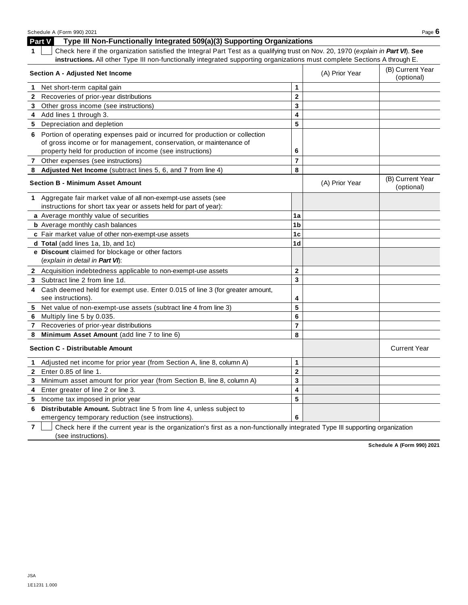|             | Schedule A (Form 990) 2021                                                                                                                                                                                       |                         |                | Page $6$                       |
|-------------|------------------------------------------------------------------------------------------------------------------------------------------------------------------------------------------------------------------|-------------------------|----------------|--------------------------------|
|             | Type III Non-Functionally Integrated 509(a)(3) Supporting Organizations<br><b>Part V</b>                                                                                                                         |                         |                |                                |
| $\mathbf 1$ | Check here if the organization satisfied the Integral Part Test as a qualifying trust on Nov. 20, 1970 (explain in Part VI). See                                                                                 |                         |                |                                |
|             | instructions. All other Type III non-functionally integrated supporting organizations must complete Sections A through E.                                                                                        |                         |                |                                |
|             | <b>Section A - Adjusted Net Income</b>                                                                                                                                                                           |                         | (A) Prior Year | (B) Current Year<br>(optional) |
| 1           | Net short-term capital gain                                                                                                                                                                                      | 1                       |                |                                |
|             | 2 Recoveries of prior-year distributions                                                                                                                                                                         | $\overline{2}$          |                |                                |
|             | 3 Other gross income (see instructions)                                                                                                                                                                          | 3                       |                |                                |
|             | 4 Add lines 1 through 3.                                                                                                                                                                                         | 4                       |                |                                |
|             | 5 Depreciation and depletion                                                                                                                                                                                     | 5                       |                |                                |
|             | 6 Portion of operating expenses paid or incurred for production or collection<br>of gross income or for management, conservation, or maintenance of<br>property held for production of income (see instructions) | 6                       |                |                                |
|             |                                                                                                                                                                                                                  | $\overline{\mathbf{r}}$ |                |                                |
|             | 7 Other expenses (see instructions)                                                                                                                                                                              | 8                       |                |                                |
|             | 8 Adjusted Net Income (subtract lines 5, 6, and 7 from line 4)<br><b>Section B - Minimum Asset Amount</b>                                                                                                        |                         | (A) Prior Year | (B) Current Year<br>(optional) |
|             | 1 Aggregate fair market value of all non-exempt-use assets (see                                                                                                                                                  |                         |                |                                |
|             | instructions for short tax year or assets held for part of year):                                                                                                                                                |                         |                |                                |
|             | a Average monthly value of securities                                                                                                                                                                            | 1a                      |                |                                |
|             | <b>b</b> Average monthly cash balances                                                                                                                                                                           | 1 <sub>b</sub>          |                |                                |
|             | c Fair market value of other non-exempt-use assets                                                                                                                                                               | 1 <sub>c</sub>          |                |                                |
|             | d Total (add lines 1a, 1b, and 1c)                                                                                                                                                                               | 1 <sub>d</sub>          |                |                                |
|             | e Discount claimed for blockage or other factors<br>(explain in detail in <b>Part VI</b> ):                                                                                                                      |                         |                |                                |
|             | 2 Acquisition indebtedness applicable to non-exempt-use assets                                                                                                                                                   | $\overline{2}$          |                |                                |
| 3.          | Subtract line 2 from line 1d.                                                                                                                                                                                    | 3                       |                |                                |
| 4           | Cash deemed held for exempt use. Enter 0.015 of line 3 (for greater amount,<br>see instructions).                                                                                                                | 4                       |                |                                |
|             | 5 Net value of non-exempt-use assets (subtract line 4 from line 3)                                                                                                                                               | 5                       |                |                                |
| 6           | Multiply line 5 by 0.035.                                                                                                                                                                                        | 6                       |                |                                |
| 7           | Recoveries of prior-year distributions                                                                                                                                                                           | $\overline{7}$          |                |                                |
| 8           | Minimum Asset Amount (add line 7 to line 6)                                                                                                                                                                      | 8                       |                |                                |
|             | <b>Section C - Distributable Amount</b>                                                                                                                                                                          |                         |                | <b>Current Year</b>            |
|             | 1 Adjusted net income for prior year (from Section A, line 8, column A)                                                                                                                                          | 1                       |                |                                |
|             | <b>2</b> Enter 0.85 of line 1.                                                                                                                                                                                   | $\mathbf 2$             |                |                                |
| 3           | Minimum asset amount for prior year (from Section B, line 8, column A)                                                                                                                                           | 3                       |                |                                |
| 4           | Enter greater of line 2 or line 3.                                                                                                                                                                               | 4                       |                |                                |
| 5           | Income tax imposed in prior year                                                                                                                                                                                 | 5                       |                |                                |
| 6           | Distributable Amount. Subtract line 5 from line 4, unless subject to<br>emergency temporary reduction (see instructions).                                                                                        | 6                       |                |                                |

**7** Check here if the current year is the organization's first as a non-functionally integrated Type III supporting organization (see instructions).

**Schedule A (Form 990) 2021**

JSA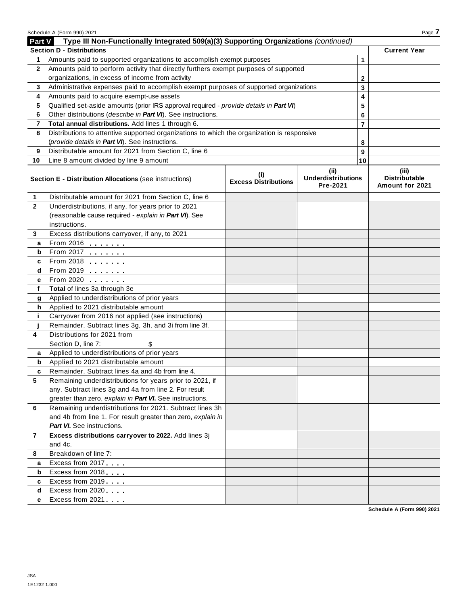|                   | Schedule A (Form 990) 2021<br>Type III Non-Functionally Integrated 509(a)(3) Supporting Organizations (continued)                                             |                                    |                                               |                | Page 7                                           |
|-------------------|---------------------------------------------------------------------------------------------------------------------------------------------------------------|------------------------------------|-----------------------------------------------|----------------|--------------------------------------------------|
| <b>Part V</b>     | <b>Section D - Distributions</b>                                                                                                                              |                                    |                                               |                | <b>Current Year</b>                              |
|                   |                                                                                                                                                               |                                    |                                               |                |                                                  |
| 1<br>$\mathbf{2}$ | Amounts paid to supported organizations to accomplish exempt purposes<br>Amounts paid to perform activity that directly furthers exempt purposes of supported |                                    |                                               | 1              |                                                  |
|                   | organizations, in excess of income from activity                                                                                                              |                                    |                                               |                |                                                  |
|                   |                                                                                                                                                               |                                    |                                               | 2              |                                                  |
| 3                 | Administrative expenses paid to accomplish exempt purposes of supported organizations                                                                         |                                    |                                               | 3              |                                                  |
| 4                 | Amounts paid to acquire exempt-use assets                                                                                                                     |                                    |                                               | 4              |                                                  |
| 5                 | Qualified set-aside amounts (prior IRS approval required - provide details in Part VI)                                                                        |                                    |                                               | 5              |                                                  |
| 6                 | Other distributions (describe in Part VI). See instructions.                                                                                                  |                                    |                                               | 6              |                                                  |
| 7                 | Total annual distributions. Add lines 1 through 6.                                                                                                            |                                    |                                               | $\overline{7}$ |                                                  |
| 8                 | Distributions to attentive supported organizations to which the organization is responsive                                                                    |                                    |                                               |                |                                                  |
|                   | (provide details in Part VI). See instructions.                                                                                                               |                                    |                                               | 8              |                                                  |
| 9                 | Distributable amount for 2021 from Section C, line 6                                                                                                          |                                    |                                               | 9              |                                                  |
| 10                | Line 8 amount divided by line 9 amount                                                                                                                        |                                    |                                               | 10             |                                                  |
|                   | Section E - Distribution Allocations (see instructions)                                                                                                       | (i)<br><b>Excess Distributions</b> | (ii)<br><b>Underdistributions</b><br>Pre-2021 |                | (iii)<br><b>Distributable</b><br>Amount for 2021 |
| 1                 | Distributable amount for 2021 from Section C, line 6                                                                                                          |                                    |                                               |                |                                                  |
| $\mathbf{2}$      | Underdistributions, if any, for years prior to 2021                                                                                                           |                                    |                                               |                |                                                  |
|                   | (reasonable cause required - explain in Part VI). See                                                                                                         |                                    |                                               |                |                                                  |
|                   | instructions.                                                                                                                                                 |                                    |                                               |                |                                                  |
| 3                 | Excess distributions carryover, if any, to 2021                                                                                                               |                                    |                                               |                |                                                  |
| a                 | From 2016 <b></b>                                                                                                                                             |                                    |                                               |                |                                                  |
| b                 | From 2017 $\frac{1}{\sqrt{2}}$                                                                                                                                |                                    |                                               |                |                                                  |
| c                 | From 2018 $\frac{1}{2}$                                                                                                                                       |                                    |                                               |                |                                                  |
| d                 | From 2019 $\frac{1}{\sqrt{1-\frac{1}{2}}}\$                                                                                                                   |                                    |                                               |                |                                                  |
| е                 | From 2020 <b></b>                                                                                                                                             |                                    |                                               |                |                                                  |
| f                 | Total of lines 3a through 3e                                                                                                                                  |                                    |                                               |                |                                                  |
| g                 | Applied to underdistributions of prior years                                                                                                                  |                                    |                                               |                |                                                  |
| h                 | Applied to 2021 distributable amount                                                                                                                          |                                    |                                               |                |                                                  |
| j.                | Carryover from 2016 not applied (see instructions)                                                                                                            |                                    |                                               |                |                                                  |
|                   | Remainder. Subtract lines 3g, 3h, and 3i from line 3f.                                                                                                        |                                    |                                               |                |                                                  |
| 4                 | Distributions for 2021 from                                                                                                                                   |                                    |                                               |                |                                                  |
|                   | Section D, line 7:                                                                                                                                            |                                    |                                               |                |                                                  |
| a                 | Applied to underdistributions of prior years                                                                                                                  |                                    |                                               |                |                                                  |
| b                 | Applied to 2021 distributable amount                                                                                                                          |                                    |                                               |                |                                                  |
|                   | Remainder. Subtract lines 4a and 4b from line 4.                                                                                                              |                                    |                                               |                |                                                  |
| 5                 | Remaining underdistributions for years prior to 2021, if                                                                                                      |                                    |                                               |                |                                                  |
|                   | any. Subtract lines 3g and 4a from line 2. For result                                                                                                         |                                    |                                               |                |                                                  |
|                   | greater than zero, explain in Part VI. See instructions.                                                                                                      |                                    |                                               |                |                                                  |
| 6                 | Remaining underdistributions for 2021. Subtract lines 3h                                                                                                      |                                    |                                               |                |                                                  |
|                   | and 4b from line 1. For result greater than zero, explain in                                                                                                  |                                    |                                               |                |                                                  |
|                   | <b>Part VI.</b> See instructions.                                                                                                                             |                                    |                                               |                |                                                  |
| 7                 | Excess distributions carryover to 2022. Add lines 3j                                                                                                          |                                    |                                               |                |                                                  |
|                   | and 4c.                                                                                                                                                       |                                    |                                               |                |                                                  |
| 8                 | Breakdown of line 7:                                                                                                                                          |                                    |                                               |                |                                                  |
|                   |                                                                                                                                                               |                                    |                                               |                |                                                  |
| a                 | Excess from 2017                                                                                                                                              |                                    |                                               |                |                                                  |
| b                 | Excess from 2018                                                                                                                                              |                                    |                                               |                |                                                  |
| c                 | Excess from 2019                                                                                                                                              |                                    |                                               |                |                                                  |
| d                 | Excess from 2020                                                                                                                                              |                                    |                                               |                |                                                  |
| е                 | Excess from 2021                                                                                                                                              |                                    |                                               |                |                                                  |

**Schedule A (Form 990) 2021**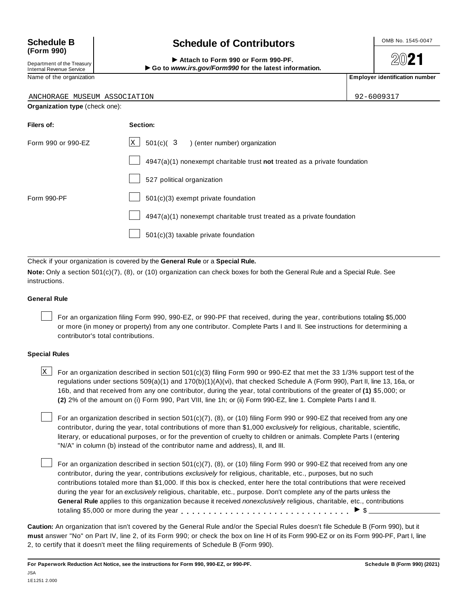# **(Form 990)**

Department of the Treasury<br>Internal Revenue Service

## Schedule B  $\left\{\n\begin{array}{c}\n\text{OnB No. 1545-0047}\n\end{array}\n\right\}$

**2021** 

 $\text{Department of the Treasury}\n\begin{array}{r|l}\n\text{Department of the Treasury}\n\end{array}\n\begin{array}{r|l}\n\end{array}\n\begin{array}{r|l}\n\end{array}\n\begin{array}{r|l}\n\end{array}\n\begin{array}{r|l}\n\end{array}\n\begin{array}{r|l}\n\end{array}\n\end{array}\n\begin{array}{r|l}\n\end{array}\n\begin{array}{r|l}\n\end{array}\n\begin{array}{r|l}\n\end{array}\n\end{array}\n\begin{array}{r|l}\n\end{array}\n\begin{array}{r|l}\n\end{array}\n\end{array}\n\begin{array}{r|l$ 

| ANCHORAGE MUSEUM ASSOCIATION          |                                                                           | 92-6009317 |  |  |  |  |  |  |
|---------------------------------------|---------------------------------------------------------------------------|------------|--|--|--|--|--|--|
| <b>Organization type (check one):</b> |                                                                           |            |  |  |  |  |  |  |
| Filers of:                            | <b>Section:</b>                                                           |            |  |  |  |  |  |  |
| Form 990 or 990-EZ                    | x  <br>$501(c)$ (3<br>) (enter number) organization                       |            |  |  |  |  |  |  |
|                                       | 4947(a)(1) nonexempt charitable trust not treated as a private foundation |            |  |  |  |  |  |  |
|                                       | 527 political organization                                                |            |  |  |  |  |  |  |
| Form 990-PF                           | 501(c)(3) exempt private foundation                                       |            |  |  |  |  |  |  |
|                                       | 4947(a)(1) nonexempt charitable trust treated as a private foundation     |            |  |  |  |  |  |  |
|                                       | $501(c)(3)$ taxable private foundation                                    |            |  |  |  |  |  |  |

Check if your organization is covered by the **General Rule** or a **Special Rule.**

**Note:** Only a section 501(c)(7), (8), or (10) organization can check boxes for both the General Rule and a Special Rule. See instructions.

#### **General Rule**

For an organization filing Form 990, 990-EZ, or 990-PF that received, during the year, contributions totaling \$5,000 or more (in money or property) from any one contributor. Complete Parts I and II. See instructions for determining a contributor's total contributions.

#### **Special Rules**

 $\times$  For an organization described in section 501(c)(3) filing Form 990 or 990-EZ that met the 33 1/3% support test of the regulations under sections 509(a)(1) and 170(b)(1)(A)(vi), that checked Schedule A (Form 990), Part II, line 13, 16a, or 16b, and that received from any one contributor, during the year, total contributions of the greater of **(1)** \$5,000; or **(2)** 2% of the amount on (i) Form 990, Part VIII, line 1h; or (ii) Form 990-EZ, line 1. Complete Parts I and II.

For an organization described in section 501(c)(7), (8), or (10) filing Form 990 or 990-EZ that received from any one contributor, during the year, total contributions of more than \$1,000 *exclusively* for religious, charitable, scientific, literary, or educational purposes, or for the prevention of cruelty to children or animals. Complete Parts I (entering "N/A" in column (b) instead of the contributor name and address), II, and III.

For an organization described in section  $501(c)(7)$ , (8), or (10) filing Form 990 or 990-EZ that received from any one contributor, during the year, contributions *exclusively* for religious, charitable, etc., purposes, but no such contributions totaled more than \$1,000. If this box is checked, enter here the total contributions that were received during the year for an *exclusively* religious, charitable, etc., purpose. Don't complete any of the parts unless the **General Rule** applies to this organization because it received *nonexclusively* religious, charitable, etc., contributions totaling \$5,000 or more during the year  $\ldots \ldots \ldots \ldots \ldots \ldots \ldots \ldots \ldots \vdots$ 

**Caution:** An organization that isn't covered by the General Rule and/or the Special Rules doesn't file Schedule B (Form 990), but it **must** answer "No" on Part IV, line 2, of its Form 990; or check the box on line H of its Form 990-EZ or on its Form 990-PF, Part I, line 2, to certify that it doesn't meet the filing requirements of Schedule B (Form 990).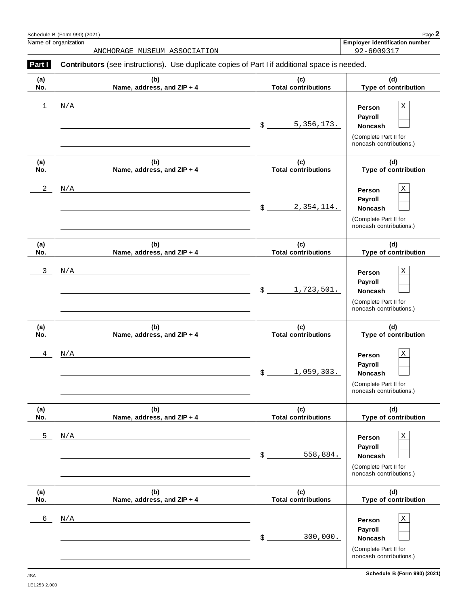| Part I     | Contributors (see instructions). Use duplicate copies of Part I if additional space is needed. |                                   |                                                                                              |  |  |  |  |  |
|------------|------------------------------------------------------------------------------------------------|-----------------------------------|----------------------------------------------------------------------------------------------|--|--|--|--|--|
| (a)<br>No. | (b)<br>Name, address, and ZIP + 4                                                              | (c)<br><b>Total contributions</b> | (d)<br>Type of contribution                                                                  |  |  |  |  |  |
| 1          | N/A                                                                                            | \$<br>5, 356, 173.                | Χ<br>Person<br>Payroll<br><b>Noncash</b><br>(Complete Part II for<br>noncash contributions.) |  |  |  |  |  |
| (a)<br>No. | (b)<br>Name, address, and ZIP + 4                                                              | (c)<br><b>Total contributions</b> | (d)<br>Type of contribution                                                                  |  |  |  |  |  |
| 2          | N/A                                                                                            | \$<br>2, 354, 114.                | X<br>Person<br>Payroll<br><b>Noncash</b><br>(Complete Part II for<br>noncash contributions.) |  |  |  |  |  |
| (a)<br>No. | (b)<br>Name, address, and ZIP + 4                                                              | (c)<br><b>Total contributions</b> | (d)<br>Type of contribution                                                                  |  |  |  |  |  |
| 3          | N/A                                                                                            | \$<br>1,723,501.                  | X<br>Person<br>Payroll<br><b>Noncash</b><br>(Complete Part II for<br>noncash contributions.) |  |  |  |  |  |
| (a)<br>No. | (b)<br>Name, address, and ZIP + 4                                                              | (c)<br><b>Total contributions</b> | (d)<br>Type of contribution                                                                  |  |  |  |  |  |
| 4          | N/A                                                                                            | \$<br>1,059,303.                  | X<br>Person<br>Payroll<br><b>Noncash</b><br>(Complete Part II for<br>noncash contributions.) |  |  |  |  |  |
| (a)<br>No. | (b)<br>Name, address, and ZIP + 4                                                              | (c)<br><b>Total contributions</b> | (d)<br>Type of contribution                                                                  |  |  |  |  |  |
| 5          | N/A                                                                                            | \$<br>558,884.                    | X<br>Person<br>Payroll<br>Noncash<br>(Complete Part II for<br>noncash contributions.)        |  |  |  |  |  |
| (a)<br>No. | (b)<br>Name, address, and ZIP + 4                                                              | (c)<br><b>Total contributions</b> | (d)<br>Type of contribution                                                                  |  |  |  |  |  |
| 6          | N/A                                                                                            | \$<br>300,000.                    | X<br>Person<br>Payroll<br>Noncash<br>(Complete Part II for<br>noncash contributions.)        |  |  |  |  |  |

Schedule <sup>B</sup> (Form 990) (2021) Page **2**

ANCHORAGE MUSEUM ASSOCIATION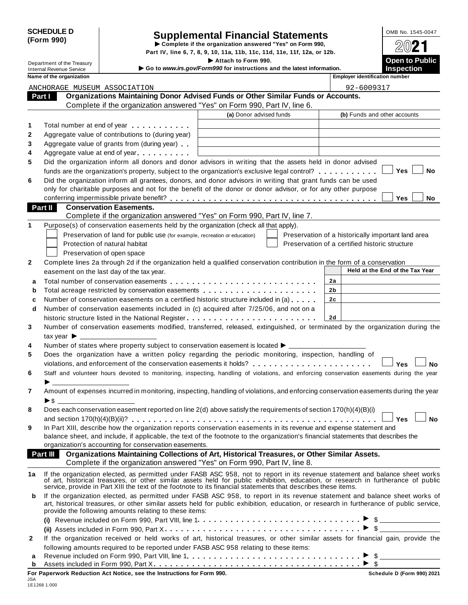|            | <b>SCHEDULE D</b> |
|------------|-------------------|
| (Form 990) |                   |

# CHEDULE D<br>
Supplemental Financial Statements<br>
Complete if the organization answered "Yes" on Form 990,<br>
Part IV, line 6, 7, 8, 9, 10, 11a, 11b, 11c, 11d, 11e, 11f, 12a, or 12b.<br>
Attach to Form 990.<br>
Open to Public

Part IV, line 6, 7, 8, 9, 10, 11a, 11b, 11c, 11d, 11e, 11f, 12a, or 12b.<br> **Department of the Treasury** I **Continuing the Section 1990.**<br> **Continuing and Continuing and the latest information** 

|              | Department of the Treasury            |                                                                                                                                                                                                                                                                                                                                  | Attach to Form 990.                                                    |                                                | <b>Open to Public</b>                              |
|--------------|---------------------------------------|----------------------------------------------------------------------------------------------------------------------------------------------------------------------------------------------------------------------------------------------------------------------------------------------------------------------------------|------------------------------------------------------------------------|------------------------------------------------|----------------------------------------------------|
|              | <b>Internal Revenue Service</b>       |                                                                                                                                                                                                                                                                                                                                  | Go to www.irs.gov/Form990 for instructions and the latest information. |                                                | <b>Inspection</b>                                  |
|              | Name of the organization              |                                                                                                                                                                                                                                                                                                                                  |                                                                        | <b>Employer identification number</b>          |                                                    |
|              | ANCHORAGE MUSEUM ASSOCIATION          | Organizations Maintaining Donor Advised Funds or Other Similar Funds or Accounts.                                                                                                                                                                                                                                                |                                                                        | 92-6009317                                     |                                                    |
|              | Part I                                | Complete if the organization answered "Yes" on Form 990, Part IV, line 6.                                                                                                                                                                                                                                                        |                                                                        |                                                |                                                    |
|              |                                       |                                                                                                                                                                                                                                                                                                                                  | (a) Donor advised funds                                                |                                                | (b) Funds and other accounts                       |
|              |                                       |                                                                                                                                                                                                                                                                                                                                  |                                                                        |                                                |                                                    |
| 1            |                                       | Total number at end of year manufacturers.                                                                                                                                                                                                                                                                                       |                                                                        |                                                |                                                    |
| 2<br>3       |                                       | Aggregate value of contributions to (during year)<br>Aggregate value of grants from (during year)                                                                                                                                                                                                                                |                                                                        |                                                |                                                    |
| 4            |                                       | Aggregate value at end of year                                                                                                                                                                                                                                                                                                   |                                                                        |                                                |                                                    |
| 5            |                                       | Did the organization inform all donors and donor advisors in writing that the assets held in donor advised                                                                                                                                                                                                                       |                                                                        |                                                |                                                    |
|              |                                       | funds are the organization's property, subject to the organization's exclusive legal control?                                                                                                                                                                                                                                    |                                                                        |                                                | Yes<br>No                                          |
| 6            |                                       | Did the organization inform all grantees, donors, and donor advisors in writing that grant funds can be used                                                                                                                                                                                                                     |                                                                        |                                                |                                                    |
|              |                                       | only for charitable purposes and not for the benefit of the donor or donor advisor, or for any other purpose                                                                                                                                                                                                                     |                                                                        |                                                |                                                    |
|              |                                       |                                                                                                                                                                                                                                                                                                                                  |                                                                        |                                                | <b>Yes</b><br>No                                   |
|              | Part II                               | <b>Conservation Easements.</b>                                                                                                                                                                                                                                                                                                   |                                                                        |                                                |                                                    |
|              |                                       | Complete if the organization answered "Yes" on Form 990, Part IV, line 7.                                                                                                                                                                                                                                                        |                                                                        |                                                |                                                    |
| 1            |                                       | Purpose(s) of conservation easements held by the organization (check all that apply).                                                                                                                                                                                                                                            |                                                                        |                                                |                                                    |
|              |                                       | Preservation of land for public use (for example, recreation or education)                                                                                                                                                                                                                                                       |                                                                        |                                                | Preservation of a historically important land area |
|              |                                       | Protection of natural habitat                                                                                                                                                                                                                                                                                                    |                                                                        | Preservation of a certified historic structure |                                                    |
|              |                                       | Preservation of open space                                                                                                                                                                                                                                                                                                       |                                                                        |                                                |                                                    |
| $\mathbf{2}$ |                                       | Complete lines 2a through 2d if the organization held a qualified conservation contribution in the form of a conservation                                                                                                                                                                                                        |                                                                        |                                                | Held at the End of the Tax Year                    |
|              |                                       | easement on the last day of the tax year.                                                                                                                                                                                                                                                                                        |                                                                        |                                                |                                                    |
| a            |                                       |                                                                                                                                                                                                                                                                                                                                  |                                                                        | 2a                                             |                                                    |
| b            |                                       |                                                                                                                                                                                                                                                                                                                                  |                                                                        | 2 <sub>b</sub><br>2c                           |                                                    |
| c<br>d       |                                       | Number of conservation easements on a certified historic structure included in (a)<br>Number of conservation easements included in (c) acquired after 7/25/06, and not on a                                                                                                                                                      |                                                                        |                                                |                                                    |
|              |                                       | historic structure listed in the National Register                                                                                                                                                                                                                                                                               |                                                                        | <b>2d</b>                                      |                                                    |
| 3            |                                       | Number of conservation easements modified, transferred, released, extinguished, or terminated by the organization during the                                                                                                                                                                                                     |                                                                        |                                                |                                                    |
|              | tax year $\blacktriangleright$ $\_\_$ |                                                                                                                                                                                                                                                                                                                                  |                                                                        |                                                |                                                    |
| 4            |                                       | Number of states where property subject to conservation easement is located ▶ ___                                                                                                                                                                                                                                                |                                                                        |                                                |                                                    |
| 5            |                                       | Does the organization have a written policy regarding the periodic monitoring, inspection, handling of                                                                                                                                                                                                                           |                                                                        |                                                |                                                    |
|              |                                       | violations, and enforcement of the conservation easements it holds?                                                                                                                                                                                                                                                              |                                                                        |                                                | Yes<br>Nο                                          |
| 6            |                                       | Staff and volunteer hours devoted to monitoring, inspecting, handling of violations, and enforcing conservation easements during the year                                                                                                                                                                                        |                                                                        |                                                |                                                    |
|              |                                       |                                                                                                                                                                                                                                                                                                                                  |                                                                        |                                                |                                                    |
| 7            |                                       | Amount of expenses incurred in monitoring, inspecting, handling of violations, and enforcing conservation easements during the year                                                                                                                                                                                              |                                                                        |                                                |                                                    |
|              |                                       |                                                                                                                                                                                                                                                                                                                                  |                                                                        |                                                |                                                    |
| 8            |                                       | Does each conservation easement reported on line 2(d) above satisfy the requirements of section 170(h)(4)(B)(i)                                                                                                                                                                                                                  |                                                                        |                                                |                                                    |
|              |                                       |                                                                                                                                                                                                                                                                                                                                  |                                                                        |                                                | <b>Yes</b><br><b>No</b>                            |
| 9            |                                       | In Part XIII, describe how the organization reports conservation easements in its revenue and expense statement and<br>balance sheet, and include, if applicable, the text of the footnote to the organization's financial statements that describes the                                                                         |                                                                        |                                                |                                                    |
|              |                                       | organization's accounting for conservation easements.                                                                                                                                                                                                                                                                            |                                                                        |                                                |                                                    |
|              | Part III                              | Organizations Maintaining Collections of Art, Historical Treasures, or Other Similar Assets.                                                                                                                                                                                                                                     |                                                                        |                                                |                                                    |
|              |                                       | Complete if the organization answered "Yes" on Form 990, Part IV, line 8.                                                                                                                                                                                                                                                        |                                                                        |                                                |                                                    |
| 1a           |                                       |                                                                                                                                                                                                                                                                                                                                  |                                                                        |                                                |                                                    |
|              |                                       | If the organization elected, as permitted under FASB ASC 958, not to report in its revenue statement and balance sheet works of art, historical treasures, or other similar assets held for public exhibition, education, or r                                                                                                   |                                                                        |                                                |                                                    |
| b            |                                       | If the organization elected, as permitted under FASB ASC 958, to report in its revenue statement and balance sheet works of<br>art, historical treasures, or other similar assets held for public exhibition, education, or research in furtherance of public service,<br>provide the following amounts relating to these items: |                                                                        |                                                |                                                    |
|              |                                       |                                                                                                                                                                                                                                                                                                                                  |                                                                        |                                                |                                                    |
|              |                                       |                                                                                                                                                                                                                                                                                                                                  |                                                                        |                                                |                                                    |
| $\mathbf{2}$ |                                       | If the organization received or held works of art, historical treasures, or other similar assets for financial gain, provide the                                                                                                                                                                                                 |                                                                        |                                                |                                                    |
|              |                                       | following amounts required to be reported under FASB ASC 958 relating to these items:                                                                                                                                                                                                                                            |                                                                        |                                                |                                                    |
| а            |                                       |                                                                                                                                                                                                                                                                                                                                  |                                                                        |                                                |                                                    |
| b            |                                       |                                                                                                                                                                                                                                                                                                                                  |                                                                        |                                                |                                                    |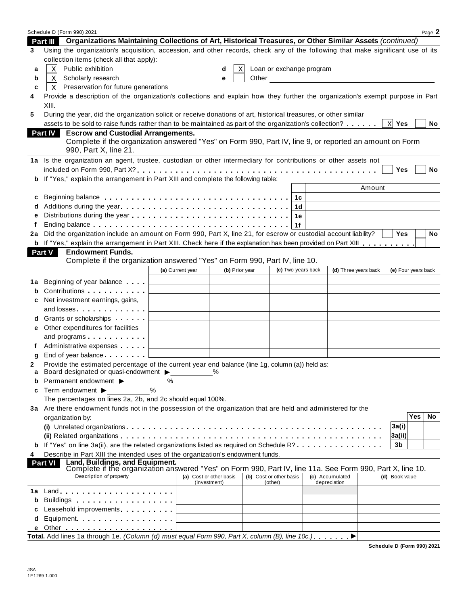|    | Schedule D (Form 990) 2021                                                                                                                                                                                                         |                                            |                |                          |    |                                                                                                                                                                                                                                      |        |                     |     | Page 2    |
|----|------------------------------------------------------------------------------------------------------------------------------------------------------------------------------------------------------------------------------------|--------------------------------------------|----------------|--------------------------|----|--------------------------------------------------------------------------------------------------------------------------------------------------------------------------------------------------------------------------------------|--------|---------------------|-----|-----------|
|    | Part III Organizations Maintaining Collections of Art, Historical Treasures, or Other Similar Assets (continued)                                                                                                                   |                                            |                |                          |    |                                                                                                                                                                                                                                      |        |                     |     |           |
| 3  | Using the organization's acquisition, accession, and other records, check any of the following that make significant use of its                                                                                                    |                                            |                |                          |    |                                                                                                                                                                                                                                      |        |                     |     |           |
|    | collection items (check all that apply):                                                                                                                                                                                           |                                            |                |                          |    |                                                                                                                                                                                                                                      |        |                     |     |           |
| a  | Public exhibition<br>$\mathbf X$                                                                                                                                                                                                   |                                            | X<br>d         | Loan or exchange program |    |                                                                                                                                                                                                                                      |        |                     |     |           |
| b  | Scholarly research<br>$\mathbf{x}$                                                                                                                                                                                                 |                                            | е              |                          |    | Other <u>in the contract of the contract of the contract of the contract of the contract of the contract of the contract of the contract of the contract of the contract of the contract of the contract of the contract of the </u> |        |                     |     |           |
| c  | $x$ Preservation for future generations                                                                                                                                                                                            |                                            |                |                          |    |                                                                                                                                                                                                                                      |        |                     |     |           |
| 4  | Provide a description of the organization's collections and explain how they further the organization's exempt purpose in Part                                                                                                     |                                            |                |                          |    |                                                                                                                                                                                                                                      |        |                     |     |           |
|    | XIII.                                                                                                                                                                                                                              |                                            |                |                          |    |                                                                                                                                                                                                                                      |        |                     |     |           |
| 5  | During the year, did the organization solicit or receive donations of art, historical treasures, or other similar                                                                                                                  |                                            |                |                          |    |                                                                                                                                                                                                                                      |        |                     |     |           |
|    | assets to be sold to raise funds rather than to be maintained as part of the organization's collection?                                                                                                                            |                                            |                |                          |    |                                                                                                                                                                                                                                      |        | $\mathbf{x}$ Yes    |     | No        |
|    | <b>Escrow and Custodial Arrangements.</b><br><b>Part IV</b>                                                                                                                                                                        |                                            |                |                          |    |                                                                                                                                                                                                                                      |        |                     |     |           |
|    | Complete if the organization answered "Yes" on Form 990, Part IV, line 9, or reported an amount on Form                                                                                                                            |                                            |                |                          |    |                                                                                                                                                                                                                                      |        |                     |     |           |
|    | 990, Part X, line 21.                                                                                                                                                                                                              |                                            |                |                          |    |                                                                                                                                                                                                                                      |        |                     |     |           |
|    | 1a Is the organization an agent, trustee, custodian or other intermediary for contributions or other assets not                                                                                                                    |                                            |                |                          |    |                                                                                                                                                                                                                                      |        |                     |     |           |
|    |                                                                                                                                                                                                                                    |                                            |                |                          |    |                                                                                                                                                                                                                                      |        | Yes                 |     | No        |
| b  | If "Yes," explain the arrangement in Part XIII and complete the following table:                                                                                                                                                   |                                            |                |                          |    |                                                                                                                                                                                                                                      |        |                     |     |           |
|    |                                                                                                                                                                                                                                    |                                            |                |                          |    |                                                                                                                                                                                                                                      | Amount |                     |     |           |
| c  |                                                                                                                                                                                                                                    |                                            |                |                          |    |                                                                                                                                                                                                                                      |        |                     |     |           |
|    |                                                                                                                                                                                                                                    |                                            |                |                          |    |                                                                                                                                                                                                                                      |        |                     |     |           |
|    |                                                                                                                                                                                                                                    |                                            |                |                          | 1e |                                                                                                                                                                                                                                      |        |                     |     |           |
|    | Ending balance $\ldots \ldots \ldots \ldots \ldots \ldots \ldots \ldots \ldots \ldots$                                                                                                                                             |                                            |                |                          |    |                                                                                                                                                                                                                                      |        |                     |     |           |
| 2a | Did the organization include an amount on Form 990, Part X, line 21, for escrow or custodial account liability?                                                                                                                    |                                            |                |                          |    |                                                                                                                                                                                                                                      |        | <b>Yes</b>          |     | <b>No</b> |
|    | <b>b</b> If "Yes," explain the arrangement in Part XIII. Check here if the explanation has been provided on Part XIII                                                                                                              |                                            |                |                          |    |                                                                                                                                                                                                                                      |        |                     |     |           |
|    | <b>Endowment Funds.</b><br>Part V                                                                                                                                                                                                  |                                            |                |                          |    |                                                                                                                                                                                                                                      |        |                     |     |           |
|    | Complete if the organization answered "Yes" on Form 990, Part IV, line 10.                                                                                                                                                         |                                            |                |                          |    |                                                                                                                                                                                                                                      |        |                     |     |           |
|    |                                                                                                                                                                                                                                    | (a) Current year                           | (b) Prior year | (c) Two years back       |    | (d) Three years back                                                                                                                                                                                                                 |        | (e) Four years back |     |           |
|    |                                                                                                                                                                                                                                    |                                            |                |                          |    |                                                                                                                                                                                                                                      |        |                     |     |           |
| 1а | Beginning of year balance                                                                                                                                                                                                          |                                            |                |                          |    |                                                                                                                                                                                                                                      |        |                     |     |           |
| b  | Contributions                                                                                                                                                                                                                      |                                            |                |                          |    |                                                                                                                                                                                                                                      |        |                     |     |           |
| c  | Net investment earnings, gains,                                                                                                                                                                                                    |                                            |                |                          |    |                                                                                                                                                                                                                                      |        |                     |     |           |
|    | and losses                                                                                                                                                                                                                         |                                            |                |                          |    |                                                                                                                                                                                                                                      |        |                     |     |           |
| d  | Grants or scholarships                                                                                                                                                                                                             |                                            |                |                          |    |                                                                                                                                                                                                                                      |        |                     |     |           |
| е  | Other expenditures for facilities                                                                                                                                                                                                  |                                            |                |                          |    |                                                                                                                                                                                                                                      |        |                     |     |           |
|    | and programs                                                                                                                                                                                                                       | <u> 1989 - Johann Barn, mars ann an t-</u> |                |                          |    |                                                                                                                                                                                                                                      |        |                     |     |           |
|    | Administrative expenses                                                                                                                                                                                                            |                                            |                |                          |    |                                                                                                                                                                                                                                      |        |                     |     |           |
| g  | End of year balance expansion of the latest                                                                                                                                                                                        |                                            |                |                          |    |                                                                                                                                                                                                                                      |        |                     |     |           |
| 2  | Provide the estimated percentage of the current year end balance (line 1g, column (a)) held as:                                                                                                                                    |                                            |                |                          |    |                                                                                                                                                                                                                                      |        |                     |     |           |
| a  | Board designated or quasi-endowment >                                                                                                                                                                                              |                                            | $\frac{0}{0}$  |                          |    |                                                                                                                                                                                                                                      |        |                     |     |           |
| b  | Permanent endowment ▶                                                                                                                                                                                                              | ℅                                          |                |                          |    |                                                                                                                                                                                                                                      |        |                     |     |           |
| c  | Term endowment ▶                                                                                                                                                                                                                   | $\frac{0}{0}$                              |                |                          |    |                                                                                                                                                                                                                                      |        |                     |     |           |
|    | The percentages on lines 2a, 2b, and 2c should equal 100%.                                                                                                                                                                         |                                            |                |                          |    |                                                                                                                                                                                                                                      |        |                     |     |           |
|    | 3a Are there endowment funds not in the possession of the organization that are held and administered for the                                                                                                                      |                                            |                |                          |    |                                                                                                                                                                                                                                      |        |                     |     |           |
|    | organization by:                                                                                                                                                                                                                   |                                            |                |                          |    |                                                                                                                                                                                                                                      |        |                     | Yes | No        |
|    |                                                                                                                                                                                                                                    |                                            |                |                          |    |                                                                                                                                                                                                                                      |        | 3a(i)               |     |           |
|    |                                                                                                                                                                                                                                    |                                            |                |                          |    |                                                                                                                                                                                                                                      |        | 3a(ii)              |     |           |
|    | If "Yes" on line 3a(ii), are the related organizations listed as required on Schedule R?                                                                                                                                           |                                            |                |                          |    |                                                                                                                                                                                                                                      |        | 3 <sub>b</sub>      |     |           |
| 4  | Describe in Part XIII the intended uses of the organization's endowment funds.                                                                                                                                                     |                                            |                |                          |    |                                                                                                                                                                                                                                      |        |                     |     |           |
|    | Land, Buildings, and Equipment.<br><b>Part VI</b><br>Complete if the organization answered "Yes" on Form 990, Part IV, line 11a. See Form 990, Part X, line 10.                                                                    |                                            |                |                          |    |                                                                                                                                                                                                                                      |        |                     |     |           |
|    | Description of property                                                                                                                                                                                                            | (a) Cost or other basis                    |                | (b) Cost or other basis  |    | (c) Accumulated                                                                                                                                                                                                                      |        | (d) Book value      |     |           |
|    |                                                                                                                                                                                                                                    |                                            | (investment)   | (other)                  |    | depreciation                                                                                                                                                                                                                         |        |                     |     |           |
| 1a |                                                                                                                                                                                                                                    |                                            |                |                          |    |                                                                                                                                                                                                                                      |        |                     |     |           |
| b  | Buildings <b>Example 20</b> and the set of the set of the set of the set of the set of the set of the set of the set of the set of the set of the set of the set of the set of the set of the set of the set of the set of the set |                                            |                |                          |    |                                                                                                                                                                                                                                      |        |                     |     |           |
| c  | Leasehold improvements <b>Leasehold</b> improvements                                                                                                                                                                               |                                            |                |                          |    |                                                                                                                                                                                                                                      |        |                     |     |           |
| d  | Equipment                                                                                                                                                                                                                          |                                            |                |                          |    |                                                                                                                                                                                                                                      |        |                     |     |           |
| е  |                                                                                                                                                                                                                                    |                                            |                |                          |    |                                                                                                                                                                                                                                      |        |                     |     |           |
|    | Total. Add lines 1a through 1e. (Column (d) must equal Form 990, Part X, column (B), line 10c.).                                                                                                                                   |                                            |                |                          |    | ▶                                                                                                                                                                                                                                    |        |                     |     |           |

**Schedule D (Form 990) 2021**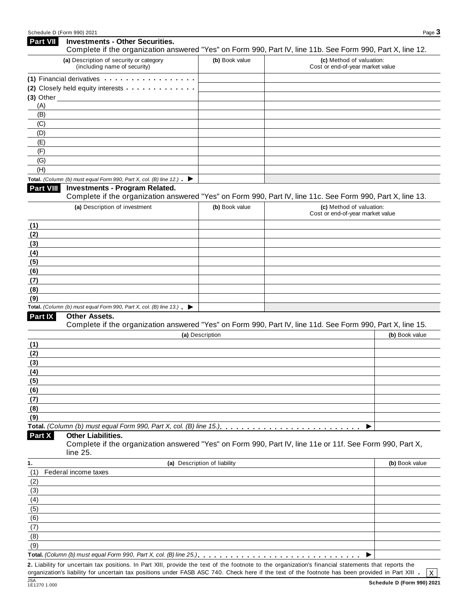| <b>Part VII</b>  | <b>Investments - Other Securities.</b><br>Complete if the organization answered "Yes" on Form 990, Part IV, line 11b. See Form 990, Part X, line 12. |                              |                                  |                |
|------------------|------------------------------------------------------------------------------------------------------------------------------------------------------|------------------------------|----------------------------------|----------------|
|                  | (a) Description of security or category                                                                                                              | (b) Book value               | (c) Method of valuation:         |                |
|                  | (including name of security)                                                                                                                         |                              | Cost or end-of-year market value |                |
|                  | (1) Financial derivatives                                                                                                                            |                              |                                  |                |
|                  | (2) Closely held equity interests                                                                                                                    |                              |                                  |                |
| (A)              | $(3)$ Other                                                                                                                                          |                              |                                  |                |
| (B)              |                                                                                                                                                      |                              |                                  |                |
| (C)              |                                                                                                                                                      |                              |                                  |                |
| (D)              |                                                                                                                                                      |                              |                                  |                |
| (E)              |                                                                                                                                                      |                              |                                  |                |
| (F)              |                                                                                                                                                      |                              |                                  |                |
| (G)              |                                                                                                                                                      |                              |                                  |                |
| (H)              |                                                                                                                                                      |                              |                                  |                |
|                  | Total. (Column (b) must equal Form 990, Part X, col. (B) line 12.) $\blacktriangleright$                                                             |                              |                                  |                |
| <b>Part VIII</b> | <b>Investments - Program Related.</b>                                                                                                                |                              |                                  |                |
|                  | Complete if the organization answered "Yes" on Form 990, Part IV, line 11c. See Form 990, Part X, line 13.                                           |                              |                                  |                |
|                  | (a) Description of investment                                                                                                                        | (b) Book value               | (c) Method of valuation:         |                |
|                  |                                                                                                                                                      |                              | Cost or end-of-year market value |                |
| (1)              |                                                                                                                                                      |                              |                                  |                |
| (2)              |                                                                                                                                                      |                              |                                  |                |
| (3)              |                                                                                                                                                      |                              |                                  |                |
| (4)              |                                                                                                                                                      |                              |                                  |                |
| (5)              |                                                                                                                                                      |                              |                                  |                |
| (6)              |                                                                                                                                                      |                              |                                  |                |
| (7)              |                                                                                                                                                      |                              |                                  |                |
| (8)              |                                                                                                                                                      |                              |                                  |                |
| (9)              |                                                                                                                                                      |                              |                                  |                |
|                  | Total. (Column (b) must equal Form 990, Part X, col. (B) line 13.) $\blacktriangleright$                                                             |                              |                                  |                |
| Part IX          | Other Assets.                                                                                                                                        |                              |                                  |                |
|                  | Complete if the organization answered "Yes" on Form 990, Part IV, line 11d. See Form 990, Part X, line 15.                                           |                              |                                  |                |
|                  |                                                                                                                                                      | (a) Description              |                                  | (b) Book value |
| (1)              |                                                                                                                                                      |                              |                                  |                |
| (2)              |                                                                                                                                                      |                              |                                  |                |
| (3)              |                                                                                                                                                      |                              |                                  |                |
| (4)              |                                                                                                                                                      |                              |                                  |                |
| (5)              |                                                                                                                                                      |                              |                                  |                |
| (6)              |                                                                                                                                                      |                              |                                  |                |
| (7)              |                                                                                                                                                      |                              |                                  |                |
| (8)              |                                                                                                                                                      |                              |                                  |                |
| (9)              |                                                                                                                                                      |                              |                                  |                |
|                  |                                                                                                                                                      |                              |                                  |                |
| Part X           | <b>Other Liabilities.</b>                                                                                                                            |                              |                                  |                |
|                  | Complete if the organization answered "Yes" on Form 990, Part IV, line 11e or 11f. See Form 990, Part X,                                             |                              |                                  |                |
|                  | line 25.                                                                                                                                             |                              |                                  |                |
| 1.               |                                                                                                                                                      | (a) Description of liability |                                  | (b) Book value |
| (1)              | Federal income taxes                                                                                                                                 |                              |                                  |                |
| (2)              |                                                                                                                                                      |                              |                                  |                |
| (3)              |                                                                                                                                                      |                              |                                  |                |
| (4)              |                                                                                                                                                      |                              |                                  |                |
| (5)              |                                                                                                                                                      |                              |                                  |                |
| (6)              |                                                                                                                                                      |                              |                                  |                |
| (7)              |                                                                                                                                                      |                              |                                  |                |
| (8)              |                                                                                                                                                      |                              |                                  |                |
| (9)              |                                                                                                                                                      |                              |                                  |                |
|                  |                                                                                                                                                      |                              |                                  |                |
|                  | 2. Liability for uncertain tax positions. In Part XIII, provide the text of the footnote to the organization's financial statements that reports the |                              |                                  |                |

organization's liability for uncertain tax positions under FASB ASC 740. Check here if the text of the footnote has been provided in Part XIII

 $\vert x \vert$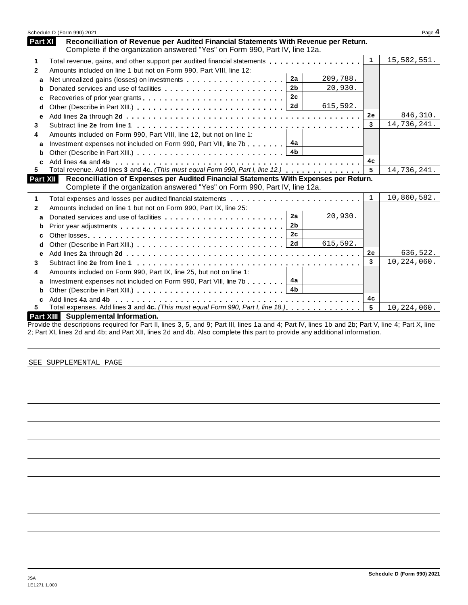|              | Schedule D (Form 990) 2021                                                                                                                                           |                      | Page 4      |
|--------------|----------------------------------------------------------------------------------------------------------------------------------------------------------------------|----------------------|-------------|
| Part XI      | Reconciliation of Revenue per Audited Financial Statements With Revenue per Return.<br>Complete if the organization answered "Yes" on Form 990, Part IV, line 12a.   |                      |             |
| 1            | Total revenue, gains, and other support per audited financial statements                                                                                             | $\blacktriangleleft$ | 15,582,551. |
| $\mathbf{2}$ | Amounts included on line 1 but not on Form 990, Part VIII, line 12:                                                                                                  |                      |             |
| a            | 209,788.<br>2a                                                                                                                                                       |                      |             |
| b            | 20,930.<br>2 <sub>b</sub>                                                                                                                                            |                      |             |
| c            | 2c                                                                                                                                                                   |                      |             |
| d            | 615,592.                                                                                                                                                             |                      |             |
| е            |                                                                                                                                                                      | 2e                   | 846,310.    |
| 3            |                                                                                                                                                                      | 3                    | 14,736,241. |
| 4            | Amounts included on Form 990, Part VIII, line 12, but not on line 1:                                                                                                 |                      |             |
| a            | Investment expenses not included on Form 990, Part VIII, line 7b 4a                                                                                                  |                      |             |
| b            |                                                                                                                                                                      |                      |             |
| C            |                                                                                                                                                                      | 4с                   |             |
| 5            | Total revenue. Add lines 3 and 4c. (This must equal Form 990, Part I, line 12.)                                                                                      | 5                    | 14,736,241. |
| Part XII     | Reconciliation of Expenses per Audited Financial Statements With Expenses per Return.<br>Complete if the organization answered "Yes" on Form 990, Part IV, line 12a. |                      |             |
| $\mathbf{1}$ |                                                                                                                                                                      | $\mathbf 1$          | 10,860,582. |
| $\mathbf{2}$ | Amounts included on line 1 but not on Form 990, Part IX, line 25:                                                                                                    |                      |             |
| a            | 2a<br>20,930.<br>Donated services and use of facilities <b>container and all the services</b> and use of facilities <b>container and all the services</b>            |                      |             |
| b            | 2 <sub>b</sub>                                                                                                                                                       |                      |             |
| c            | 2c                                                                                                                                                                   |                      |             |
| d            | 615,592.                                                                                                                                                             |                      |             |
| е            |                                                                                                                                                                      | 2e                   | 636,522.    |
| 3            |                                                                                                                                                                      | 3                    | 10,224,060. |
| 4            | Amounts included on Form 990, Part IX, line 25, but not on line 1:                                                                                                   |                      |             |
| a            | 4a<br>Investment expenses not included on Form 990, Part VIII, line 7b                                                                                               |                      |             |
| b            | 4 <b>b</b><br>Other (Describe in Part XIII.) <b>Container and School Containers</b> Dental Antenna Luis and Dental Antenna Luis Conta                                |                      |             |
| C            |                                                                                                                                                                      | 4c                   |             |
| 5.           | Total expenses. Add lines 3 and 4c. (This must equal Form 990, Part I, line 18.).                                                                                    | 5                    | 10,224,060. |
|              | Part XIII Supplemental Information.                                                                                                                                  |                      |             |
|              | Drouble the decembrians required for Dart II, lines 2, E, and 0; Dart III, lines 10, and 1; Dart IV, lines 1b, and 2b; Dart V, line, 1; Dart V, line                 |                      |             |

Provide the descriptions required for Part II, lines 3, 5, and 9; Part III, lines 1a and 4; Part IV, lines 1b and 2b; Part V, line 4; Part X, line 2; Part XI, lines 2d and 4b; and Part XII, lines 2d and 4b. Also complete this part to provide any additional information.

SEE SUPPLEMENTAL PAGE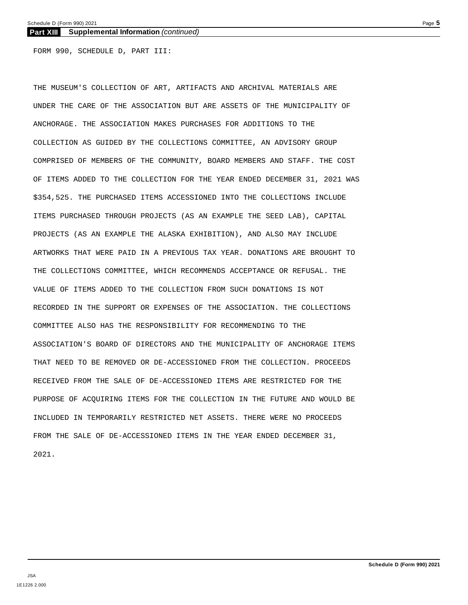#### **Part XIII Supplemental Information** *(continued)*

FORM 990, SCHEDULE D, PART III:

THE MUSEUM'S COLLECTION OF ART, ARTIFACTS AND ARCHIVAL MATERIALS ARE UNDER THE CARE OF THE ASSOCIATION BUT ARE ASSETS OF THE MUNICIPALITY OF ANCHORAGE. THE ASSOCIATION MAKES PURCHASES FOR ADDITIONS TO THE COLLECTION AS GUIDED BY THE COLLECTIONS COMMITTEE, AN ADVISORY GROUP COMPRISED OF MEMBERS OF THE COMMUNITY, BOARD MEMBERS AND STAFF. THE COST OF ITEMS ADDED TO THE COLLECTION FOR THE YEAR ENDED DECEMBER 31, 2021 WAS \$354,525. THE PURCHASED ITEMS ACCESSIONED INTO THE COLLECTIONS INCLUDE ITEMS PURCHASED THROUGH PROJECTS (AS AN EXAMPLE THE SEED LAB), CAPITAL PROJECTS (AS AN EXAMPLE THE ALASKA EXHIBITION), AND ALSO MAY INCLUDE ARTWORKS THAT WERE PAID IN A PREVIOUS TAX YEAR. DONATIONS ARE BROUGHT TO THE COLLECTIONS COMMITTEE, WHICH RECOMMENDS ACCEPTANCE OR REFUSAL. THE VALUE OF ITEMS ADDED TO THE COLLECTION FROM SUCH DONATIONS IS NOT RECORDED IN THE SUPPORT OR EXPENSES OF THE ASSOCIATION. THE COLLECTIONS COMMITTEE ALSO HAS THE RESPONSIBILITY FOR RECOMMENDING TO THE ASSOCIATION'S BOARD OF DIRECTORS AND THE MUNICIPALITY OF ANCHORAGE ITEMS THAT NEED TO BE REMOVED OR DE-ACCESSIONED FROM THE COLLECTION. PROCEEDS RECEIVED FROM THE SALE OF DE-ACCESSIONED ITEMS ARE RESTRICTED FOR THE PURPOSE OF ACQUIRING ITEMS FOR THE COLLECTION IN THE FUTURE AND WOULD BE INCLUDED IN TEMPORARILY RESTRICTED NET ASSETS. THERE WERE NO PROCEEDS FROM THE SALE OF DE-ACCESSIONED ITEMS IN THE YEAR ENDED DECEMBER 31, 2021.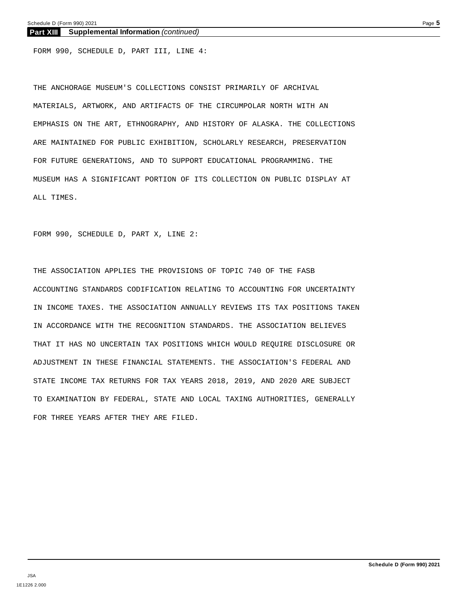#### **Part XIII Supplemental Information** *(continued)*

FORM 990, SCHEDULE D, PART III, LINE 4:

THE ANCHORAGE MUSEUM'S COLLECTIONS CONSIST PRIMARILY OF ARCHIVAL MATERIALS, ARTWORK, AND ARTIFACTS OF THE CIRCUMPOLAR NORTH WITH AN EMPHASIS ON THE ART, ETHNOGRAPHY, AND HISTORY OF ALASKA. THE COLLECTIONS ARE MAINTAINED FOR PUBLIC EXHIBITION, SCHOLARLY RESEARCH, PRESERVATION FOR FUTURE GENERATIONS, AND TO SUPPORT EDUCATIONAL PROGRAMMING. THE MUSEUM HAS A SIGNIFICANT PORTION OF ITS COLLECTION ON PUBLIC DISPLAY AT ALL TIMES.

FORM 990, SCHEDULE D, PART X, LINE 2:

THE ASSOCIATION APPLIES THE PROVISIONS OF TOPIC 740 OF THE FASB ACCOUNTING STANDARDS CODIFICATION RELATING TO ACCOUNTING FOR UNCERTAINTY IN INCOME TAXES. THE ASSOCIATION ANNUALLY REVIEWS ITS TAX POSITIONS TAKEN IN ACCORDANCE WITH THE RECOGNITION STANDARDS. THE ASSOCIATION BELIEVES THAT IT HAS NO UNCERTAIN TAX POSITIONS WHICH WOULD REQUIRE DISCLOSURE OR ADJUSTMENT IN THESE FINANCIAL STATEMENTS. THE ASSOCIATION'S FEDERAL AND STATE INCOME TAX RETURNS FOR TAX YEARS 2018, 2019, AND 2020 ARE SUBJECT TO EXAMINATION BY FEDERAL, STATE AND LOCAL TAXING AUTHORITIES, GENERALLY FOR THREE YEARS AFTER THEY ARE FILED.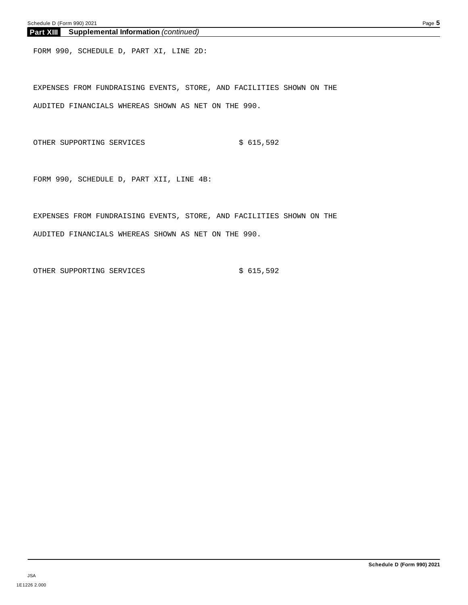## **Part XIII Supplemental Information** *(continued)*

FORM 990, SCHEDULE D, PART XI, LINE 2D:

EXPENSES FROM FUNDRAISING EVENTS, STORE, AND FACILITIES SHOWN ON THE AUDITED FINANCIALS WHEREAS SHOWN AS NET ON THE 990.

OTHER SUPPORTING SERVICES  $$615,592$ 

FORM 990, SCHEDULE D, PART XII, LINE 4B:

EXPENSES FROM FUNDRAISING EVENTS, STORE, AND FACILITIES SHOWN ON THE AUDITED FINANCIALS WHEREAS SHOWN AS NET ON THE 990.

OTHER SUPPORTING SERVICES  $$615,592$ 

JSA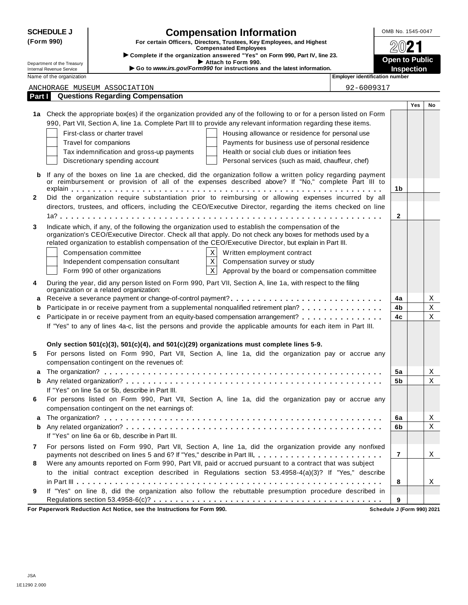| <b>SCHEDULE J</b><br><b>Compensation Information</b><br>(Form 990)<br>For certain Officers, Directors, Trustees, Key Employees, and Highest<br><b>Compensated Employees</b><br>Complete if the organization answered "Yes" on Form 990, Part IV, line 23. |                                                      |                                                                                                                      |                                | OMB No. 1545-0047     |             |
|-----------------------------------------------------------------------------------------------------------------------------------------------------------------------------------------------------------------------------------------------------------|------------------------------------------------------|----------------------------------------------------------------------------------------------------------------------|--------------------------------|-----------------------|-------------|
|                                                                                                                                                                                                                                                           |                                                      |                                                                                                                      |                                |                       |             |
|                                                                                                                                                                                                                                                           | Department of the Treasury                           | Attach to Form 990.                                                                                                  |                                | <b>Open to Public</b> |             |
|                                                                                                                                                                                                                                                           | Internal Revenue Service<br>Name of the organization | Go to www.irs.gov/Form990 for instructions and the latest information.                                               | Employer identification number | <b>Inspection</b>     |             |
|                                                                                                                                                                                                                                                           |                                                      |                                                                                                                      |                                |                       |             |
|                                                                                                                                                                                                                                                           |                                                      | ANCHORAGE MUSEUM ASSOCIATION<br><b>Questions Regarding Compensation</b>                                              | 92-6009317                     |                       |             |
| Part I                                                                                                                                                                                                                                                    |                                                      |                                                                                                                      |                                | <b>Yes</b>            | No          |
|                                                                                                                                                                                                                                                           |                                                      | 1a Check the appropriate box(es) if the organization provided any of the following to or for a person listed on Form |                                |                       |             |
|                                                                                                                                                                                                                                                           |                                                      | 990, Part VII, Section A, line 1a. Complete Part III to provide any relevant information regarding these items.      |                                |                       |             |
|                                                                                                                                                                                                                                                           |                                                      | First-class or charter travel<br>Housing allowance or residence for personal use                                     |                                |                       |             |
|                                                                                                                                                                                                                                                           |                                                      | Travel for companions<br>Payments for business use of personal residence                                             |                                |                       |             |
|                                                                                                                                                                                                                                                           |                                                      | Tax indemnification and gross-up payments<br>Health or social club dues or initiation fees                           |                                |                       |             |
|                                                                                                                                                                                                                                                           |                                                      | Discretionary spending account<br>Personal services (such as maid, chauffeur, chef)                                  |                                |                       |             |
|                                                                                                                                                                                                                                                           |                                                      |                                                                                                                      |                                |                       |             |
|                                                                                                                                                                                                                                                           |                                                      | If any of the boxes on line 1a are checked, did the organization follow a written policy regarding payment           |                                |                       |             |
|                                                                                                                                                                                                                                                           |                                                      | or reimbursement or provision of all of the expenses described above? If "No," complete Part III to                  |                                | 1b                    |             |
| $\mathbf{2}$                                                                                                                                                                                                                                              |                                                      | Did the organization require substantiation prior to reimbursing or allowing expenses incurred by all                |                                |                       |             |
|                                                                                                                                                                                                                                                           |                                                      | directors, trustees, and officers, including the CEO/Executive Director, regarding the items checked on line         |                                |                       |             |
|                                                                                                                                                                                                                                                           |                                                      |                                                                                                                      |                                | $\mathbf{2}$          |             |
| 3                                                                                                                                                                                                                                                         |                                                      | Indicate which, if any, of the following the organization used to establish the compensation of the                  |                                |                       |             |
|                                                                                                                                                                                                                                                           |                                                      | organization's CEO/Executive Director. Check all that apply. Do not check any boxes for methods used by a            |                                |                       |             |
|                                                                                                                                                                                                                                                           |                                                      | related organization to establish compensation of the CEO/Executive Director, but explain in Part III.               |                                |                       |             |
|                                                                                                                                                                                                                                                           |                                                      | $\mathbf{X}$<br>Compensation committee<br>Written employment contract                                                |                                |                       |             |
|                                                                                                                                                                                                                                                           |                                                      | $\mathbf X$<br>Independent compensation consultant<br>Compensation survey or study                                   |                                |                       |             |
|                                                                                                                                                                                                                                                           |                                                      | $\,$ X<br>Form 990 of other organizations<br>Approval by the board or compensation committee                         |                                |                       |             |
| 4                                                                                                                                                                                                                                                         |                                                      | During the year, did any person listed on Form 990, Part VII, Section A, line 1a, with respect to the filing         |                                |                       |             |
|                                                                                                                                                                                                                                                           |                                                      | organization or a related organization:                                                                              |                                |                       |             |
|                                                                                                                                                                                                                                                           |                                                      |                                                                                                                      |                                | 4a                    | Χ           |
|                                                                                                                                                                                                                                                           |                                                      | Participate in or receive payment from a supplemental nonqualified retirement plan?                                  |                                | 4b                    | $\mathbf X$ |
| c                                                                                                                                                                                                                                                         |                                                      | Participate in or receive payment from an equity-based compensation arrangement?                                     |                                | 4c                    | $\mathbf X$ |
|                                                                                                                                                                                                                                                           |                                                      | If "Yes" to any of lines 4a-c, list the persons and provide the applicable amounts for each item in Part III.        |                                |                       |             |
|                                                                                                                                                                                                                                                           |                                                      |                                                                                                                      |                                |                       |             |
|                                                                                                                                                                                                                                                           |                                                      | Only section $501(c)(3)$ , $501(c)(4)$ , and $501(c)(29)$ organizations must complete lines 5-9.                     |                                |                       |             |
| 5                                                                                                                                                                                                                                                         |                                                      | For persons listed on Form 990, Part VII, Section A, line 1a, did the organization pay or accrue any                 |                                |                       |             |
|                                                                                                                                                                                                                                                           |                                                      | compensation contingent on the revenues of:                                                                          |                                |                       |             |
|                                                                                                                                                                                                                                                           |                                                      |                                                                                                                      |                                | 5a                    | Χ           |
| b                                                                                                                                                                                                                                                         |                                                      |                                                                                                                      |                                | 5b                    | Χ           |
|                                                                                                                                                                                                                                                           |                                                      | If "Yes" on line 5a or 5b, describe in Part III.                                                                     |                                |                       |             |
| 6                                                                                                                                                                                                                                                         |                                                      | For persons listed on Form 990, Part VII, Section A, line 1a, did the organization pay or accrue any                 |                                |                       |             |
|                                                                                                                                                                                                                                                           |                                                      | compensation contingent on the net earnings of:                                                                      |                                |                       |             |
| a                                                                                                                                                                                                                                                         |                                                      |                                                                                                                      |                                | 6a                    | X           |
| b                                                                                                                                                                                                                                                         |                                                      |                                                                                                                      |                                | 6b                    | Χ           |
|                                                                                                                                                                                                                                                           |                                                      | If "Yes" on line 6a or 6b, describe in Part III.                                                                     |                                |                       |             |
| 7                                                                                                                                                                                                                                                         |                                                      | For persons listed on Form 990, Part VII, Section A, line 1a, did the organization provide any nonfixed              |                                |                       |             |
|                                                                                                                                                                                                                                                           |                                                      | payments not described on lines 5 and 6? If "Yes," describe in Part III.                                             |                                | $\overline{7}$        | Χ           |
| 8                                                                                                                                                                                                                                                         |                                                      | Were any amounts reported on Form 990, Part VII, paid or accrued pursuant to a contract that was subject             |                                |                       |             |
|                                                                                                                                                                                                                                                           |                                                      | to the initial contract exception described in Regulations section 53.4958-4(a)(3)? If "Yes," describe               |                                |                       |             |
|                                                                                                                                                                                                                                                           |                                                      |                                                                                                                      |                                | 8                     | Χ           |
| 9                                                                                                                                                                                                                                                         |                                                      | If "Yes" on line 8, did the organization also follow the rebuttable presumption procedure described in               |                                |                       |             |
|                                                                                                                                                                                                                                                           |                                                      | For Paperwork Reduction Act Notice, see the Instructions for Form 990.                                               | Schedule J (Form 990) 2021     | 9                     |             |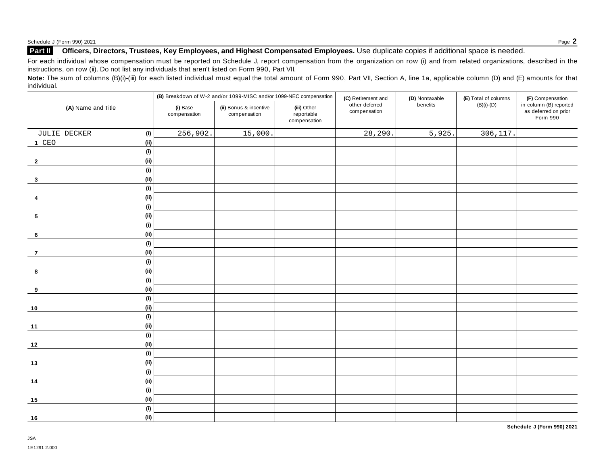#### Schedule J (Form 990) 2021<br>**Part II** Officers, Directors, Trustees, Key Employees, and Highest Compensated Employees. Use duplicate copies if additional space is needed. **Part II Officers, Directors, Trustees, Key Employees, and Highest Compensated Employees.** Use duplicate copies ifadditional space is needed.

For each individual whose compensation must be reported on Schedule J, report compensation from the organization on row (i) and from related organizations, described in the instructions, on row (ii). Do not list any individuals that aren't listed on Form 990, Part VII.

Note: The sum of columns (B)(i)-(iii) for each listed individual must equal the total amount of Form 990, Part VII, Section A, line 1a, applicable column (D) and (E) amounts for that individual.

| (A) Name and Title      |      |                          | (B) Breakdown of W-2 and/or 1099-MISC and/or 1099-NEC compensation |                                                                             | (C) Retirement and | (D) Nontaxable | (E) Total of columns | (F) Compensation                                           |
|-------------------------|------|--------------------------|--------------------------------------------------------------------|-----------------------------------------------------------------------------|--------------------|----------------|----------------------|------------------------------------------------------------|
|                         |      | (i) Base<br>compensation | (ii) Bonus & incentive<br>compensation                             | other deferred<br>(iii) Other<br>compensation<br>reportable<br>compensation |                    | benefits       | $(B)(i)-(D)$         | in column (B) reported<br>as deferred on prior<br>Form 990 |
| JULIE DECKER            | (i)  | 256,902.                 | 15,000.                                                            |                                                                             | 28,290             | 5,925.         | 306,117.             |                                                            |
| 1 CEO                   | (i)  |                          |                                                                    |                                                                             |                    |                |                      |                                                            |
|                         | (i)  |                          |                                                                    |                                                                             |                    |                |                      |                                                            |
| $\overline{\mathbf{2}}$ | (i)  |                          |                                                                    |                                                                             |                    |                |                      |                                                            |
|                         | (i)  |                          |                                                                    |                                                                             |                    |                |                      |                                                            |
| $\mathbf{3}$            | (i)  |                          |                                                                    |                                                                             |                    |                |                      |                                                            |
|                         | (i)  |                          |                                                                    |                                                                             |                    |                |                      |                                                            |
| 4                       | (i)  |                          |                                                                    |                                                                             |                    |                |                      |                                                            |
|                         | (i)  |                          |                                                                    |                                                                             |                    |                |                      |                                                            |
| 5                       | (i)  |                          |                                                                    |                                                                             |                    |                |                      |                                                            |
|                         | (i)  |                          |                                                                    |                                                                             |                    |                |                      |                                                            |
| 6                       | (i)  |                          |                                                                    |                                                                             |                    |                |                      |                                                            |
|                         | (i)  |                          |                                                                    |                                                                             |                    |                |                      |                                                            |
| $\overline{7}$          | (i)  |                          |                                                                    |                                                                             |                    |                |                      |                                                            |
|                         | (i)  |                          |                                                                    |                                                                             |                    |                |                      |                                                            |
| 8                       | (i)  |                          |                                                                    |                                                                             |                    |                |                      |                                                            |
|                         | (i)  |                          |                                                                    |                                                                             |                    |                |                      |                                                            |
| 9                       | (i)  |                          |                                                                    |                                                                             |                    |                |                      |                                                            |
|                         | (i)  |                          |                                                                    |                                                                             |                    |                |                      |                                                            |
| 10                      | (i)  |                          |                                                                    |                                                                             |                    |                |                      |                                                            |
|                         | (i)  |                          |                                                                    |                                                                             |                    |                |                      |                                                            |
| $11$                    | (ii) |                          |                                                                    |                                                                             |                    |                |                      |                                                            |
|                         | (i)  |                          |                                                                    |                                                                             |                    |                |                      |                                                            |
| 12                      | (i)  |                          |                                                                    |                                                                             |                    |                |                      |                                                            |
|                         | (i)  |                          |                                                                    |                                                                             |                    |                |                      |                                                            |
| 13                      | (i)  |                          |                                                                    |                                                                             |                    |                |                      |                                                            |
|                         | (i)  |                          |                                                                    |                                                                             |                    |                |                      |                                                            |
| 14                      | (i)  |                          |                                                                    |                                                                             |                    |                |                      |                                                            |
|                         | (i)  |                          |                                                                    |                                                                             |                    |                |                      |                                                            |
| 15                      | (i)  |                          |                                                                    |                                                                             |                    |                |                      |                                                            |
|                         | (i)  |                          |                                                                    |                                                                             |                    |                |                      |                                                            |
| 16                      | (i)  |                          |                                                                    |                                                                             |                    |                |                      |                                                            |

**Schedule J (Form 990) 2021**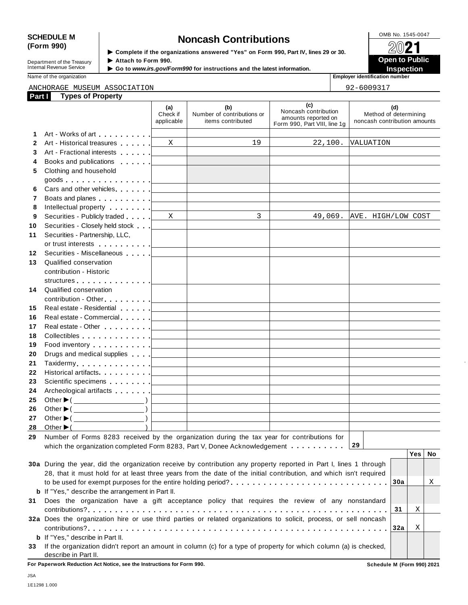# SCHEDULE M<br>
(Form 990) **Schedule Moncash Contributions**<br>  $\begin{array}{r} \boxed{\text{OMB No. 1545-0047}} \\ \text{Form 990 Part IV lines 29 or 30} \end{array}$

**Department of the Treasury<br>Internal Revenue Service** 

**Examplete** if the organizations answered "Yes" on Form 990, Part Ⅳ, lines 29 or 30. 
<br>● Attach to Form 990. **Department of the Treasury ▶ Attach to Form 990.**<br>Internal Revenue Service ▶ Go to *www.irs.gov/Form990* for instructions and the latest information.<br>Nome of the organization aumhor



Name of the organization **intervalse and the organization intervalse and the organization number intervalse and the organization number** 

#### ANCHORAGE MUSEUM ASSOCIATION 92-6009317

| Part I       | <b>Types of Property</b>                                                                                           |                               |                                                        |                                                                                    |                                                              |
|--------------|--------------------------------------------------------------------------------------------------------------------|-------------------------------|--------------------------------------------------------|------------------------------------------------------------------------------------|--------------------------------------------------------------|
|              |                                                                                                                    | (a)<br>Check if<br>applicable | (b)<br>Number of contributions or<br>items contributed | (c)<br>Noncash contribution<br>amounts reported on<br>Form 990, Part VIII, line 1g | (d)<br>Method of determining<br>noncash contribution amounts |
| 1.           | Art - Works of art [19]                                                                                            |                               |                                                        |                                                                                    |                                                              |
| $\mathbf{2}$ | Art - Historical treasures                                                                                         | X                             | 19                                                     | 22,100.                                                                            | VALUATION                                                    |
| 3            | Art - Fractional interests                                                                                         |                               |                                                        |                                                                                    |                                                              |
| 4            | Books and publications entering and publications                                                                   |                               |                                                        |                                                                                    |                                                              |
| 5            | Clothing and household                                                                                             |                               |                                                        |                                                                                    |                                                              |
|              |                                                                                                                    |                               |                                                        |                                                                                    |                                                              |
| 6            | Cars and other vehicles <b>Cars</b> and other vehicles                                                             |                               |                                                        |                                                                                    |                                                              |
| 7            |                                                                                                                    |                               |                                                        |                                                                                    |                                                              |
| 8            |                                                                                                                    |                               |                                                        |                                                                                    |                                                              |
| 9            | Securities - Publicly traded [100]                                                                                 | Χ                             | $\mathbf{3}$                                           | 49,069.                                                                            | AVE. HIGH/LOW COST                                           |
| 10           | Securities - Closely held stock [15]                                                                               |                               |                                                        |                                                                                    |                                                              |
| 11           | Securities - Partnership, LLC,                                                                                     |                               |                                                        |                                                                                    |                                                              |
|              | or trust interests [1]                                                                                             |                               |                                                        |                                                                                    |                                                              |
| 12           | Securities - Miscellaneous                                                                                         |                               |                                                        |                                                                                    |                                                              |
| 13           | Qualified conservation                                                                                             |                               |                                                        |                                                                                    |                                                              |
|              | contribution - Historic                                                                                            |                               |                                                        |                                                                                    |                                                              |
|              | structures                                                                                                         |                               |                                                        |                                                                                    |                                                              |
| 14           | Qualified conservation                                                                                             |                               |                                                        |                                                                                    |                                                              |
|              | contribution - Other                                                                                               |                               |                                                        |                                                                                    |                                                              |
| 15           | Real estate - Residential New York                                                                                 |                               |                                                        |                                                                                    |                                                              |
| 16           | Real estate - Commercial                                                                                           |                               |                                                        |                                                                                    |                                                              |
| 17           | Real estate - Other <b>Call 2018</b>                                                                               |                               |                                                        |                                                                                    |                                                              |
| 18           | Collectibles <u>  _ _ _ _</u>                                                                                      |                               |                                                        |                                                                                    |                                                              |
| 19           | Food inventory entertainment in the late                                                                           |                               |                                                        |                                                                                    |                                                              |
| 20           | Drugs and medical supplies <b>Fig. 1.1 Fig. 1.1</b>                                                                |                               |                                                        |                                                                                    |                                                              |
| 21           |                                                                                                                    |                               |                                                        |                                                                                    |                                                              |
| 22           |                                                                                                                    |                               |                                                        |                                                                                    |                                                              |
| 23           | Scientific specimens [1994]                                                                                        |                               |                                                        |                                                                                    |                                                              |
| 24           | Archeological artifacts [1995]                                                                                     |                               |                                                        |                                                                                    |                                                              |
| 25           | Other $\blacktriangleright$ ( $\_\_\_\_\_\_\_\_\_$ )                                                               |                               |                                                        |                                                                                    |                                                              |
| 26           | Other $\blacktriangleright$ ( $\_\_\_\_\_\_\_\_$ )                                                                 |                               |                                                        |                                                                                    |                                                              |
| 27           | Other $\blacktriangleright$ ( $\qquad \qquad$                                                                      |                               |                                                        |                                                                                    |                                                              |
|              | 28 Other $\blacktriangleright$ (                                                                                   |                               |                                                        |                                                                                    |                                                              |
| 29           | Number of Forms 8283 received by the organization during the tax year for contributions for                        |                               |                                                        |                                                                                    |                                                              |
|              | which the organization completed Form 8283, Part V, Donee Acknowledgement                                          |                               |                                                        |                                                                                    | 29                                                           |
|              |                                                                                                                    |                               |                                                        |                                                                                    | <b>Yes</b><br>No                                             |
|              | 30a During the year, did the organization receive by contribution any property reported in Part I, lines 1 through |                               |                                                        |                                                                                    |                                                              |
|              | 28, that it must hold for at least three years from the date of the initial contribution, and which isn't required |                               |                                                        |                                                                                    |                                                              |
|              | to be used for exempt purposes for the entire holding period?                                                      |                               |                                                        |                                                                                    | 30a<br>Χ                                                     |
|              | <b>b</b> If "Yes," describe the arrangement in Part II.                                                            |                               |                                                        |                                                                                    |                                                              |
| 31           | Does the organization have a gift acceptance policy that requires the review of any nonstandard                    |                               |                                                        |                                                                                    |                                                              |
|              |                                                                                                                    |                               |                                                        |                                                                                    | Χ<br>31                                                      |
|              | 32a Does the organization hire or use third parties or related organizations to solicit, process, or sell noncash  |                               |                                                        |                                                                                    |                                                              |
|              |                                                                                                                    |                               |                                                        |                                                                                    | Χ<br>32a                                                     |
|              | <b>b</b> If "Yes," describe in Part II.                                                                            |                               |                                                        |                                                                                    |                                                              |
| 33           | If the organization didn't report an amount in column (c) for a type of property for which column (a) is checked,  |                               |                                                        |                                                                                    |                                                              |
|              | describe in Part II.                                                                                               |                               |                                                        |                                                                                    |                                                              |

**For Paperwork Reduction Act Notice, see the Instructions for Form 990. Schedule M (Form 990) 2021**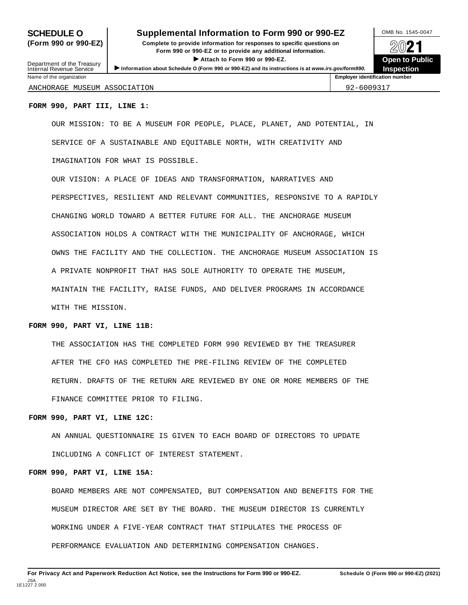### **SCHEDULE O** Supplemental Information to Form 990 or 990-EZ DOMB No. 1545-0047

**(Form 990 or 990-EZ) Complete to provide information for responses to specific questions on** plete to provide information for responses to specific questions on  $\bigotimes_{\mathbb{Z}}\mathbb{Q}$  21 I **Attach to Form <sup>990</sup> or 990-EZ. Open to Public** Department of the Treasury <br>Depen to Public<br>Name of the organization<br>Name of the organization<br>Name of the organization<br>Name of the organization



ANCHORAGE MUSEUM ASSOCIATION **192-6009317** 

#### **FORM 990, PART III, LINE 1:**

OUR MISSION: TO BE A MUSEUM FOR PEOPLE, PLACE, PLANET, AND POTENTIAL, IN SERVICE OF A SUSTAINABLE AND EQUITABLE NORTH, WITH CREATIVITY AND IMAGINATION FOR WHAT IS POSSIBLE.

OUR VISION: A PLACE OF IDEAS AND TRANSFORMATION, NARRATIVES AND PERSPECTIVES, RESILIENT AND RELEVANT COMMUNITIES, RESPONSIVE TO A RAPIDLY CHANGING WORLD TOWARD A BETTER FUTURE FOR ALL. THE ANCHORAGE MUSEUM ASSOCIATION HOLDS A CONTRACT WITH THE MUNICIPALITY OF ANCHORAGE, WHICH OWNS THE FACILITY AND THE COLLECTION. THE ANCHORAGE MUSEUM ASSOCIATION IS A PRIVATE NONPROFIT THAT HAS SOLE AUTHORITY TO OPERATE THE MUSEUM, MAINTAIN THE FACILITY, RAISE FUNDS, AND DELIVER PROGRAMS IN ACCORDANCE WITH THE MISSION.

#### **FORM 990, PART VI, LINE 11B:**

THE ASSOCIATION HAS THE COMPLETED FORM 990 REVIEWED BY THE TREASURER AFTER THE CFO HAS COMPLETED THE PRE-FILING REVIEW OF THE COMPLETED RETURN. DRAFTS OF THE RETURN ARE REVIEWED BY ONE OR MORE MEMBERS OF THE FINANCE COMMITTEE PRIOR TO FILING.

#### **FORM 990, PART VI, LINE 12C:**

AN ANNUAL QUESTIONNAIRE IS GIVEN TO EACH BOARD OF DIRECTORS TO UPDATE INCLUDING A CONFLICT OF INTEREST STATEMENT.

#### **FORM 990, PART VI, LINE 15A:**

BOARD MEMBERS ARE NOT COMPENSATED, BUT COMPENSATION AND BENEFITS FOR THE MUSEUM DIRECTOR ARE SET BY THE BOARD. THE MUSEUM DIRECTOR IS CURRENTLY WORKING UNDER A FIVE-YEAR CONTRACT THAT STIPULATES THE PROCESS OF PERFORMANCE EVALUATION AND DETERMINING COMPENSATION CHANGES.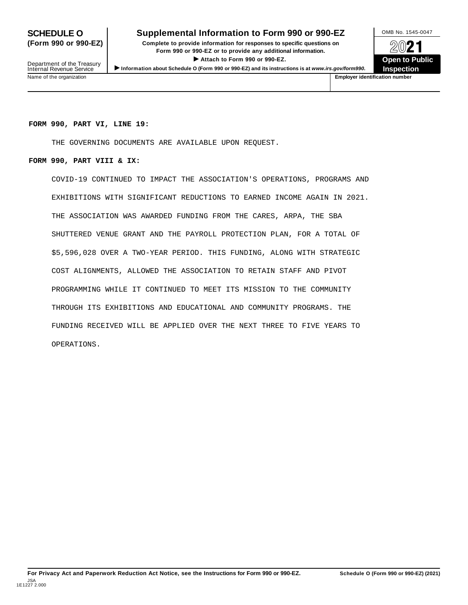## **SCHEDULE O** Supplemental Information to Form 990 or 990-EZ DAMB No. 1545-0047

**(Form 990 or 990-EZ) Complete to provide information for responses to specific questions on Form** 990 or 990-EZ or to provide any additional information. <br>
Attach to Form 990 or 990-EZ. **Dem** to Public  $\blacktriangleright$  Attach to Form 990 or 990-EZ.



Department of the Treasury<br>Internal Revenue Service Infernal Revenue Service<br>Inspection about Schedule O (Form 990 or 990-EZ) and its instructions is at www.irs.gov/form990.<br>Name of the organization number

**FORM 990, PART VI, LINE 19:**

THE GOVERNING DOCUMENTS ARE AVAILABLE UPON REQUEST.

### **FORM 990, PART VIII & IX:**

COVID-19 CONTINUED TO IMPACT THE ASSOCIATION'S OPERATIONS, PROGRAMS AND EXHIBITIONS WITH SIGNIFICANT REDUCTIONS TO EARNED INCOME AGAIN IN 2021. THE ASSOCIATION WAS AWARDED FUNDING FROM THE CARES, ARPA, THE SBA SHUTTERED VENUE GRANT AND THE PAYROLL PROTECTION PLAN, FOR A TOTAL OF \$5,596,028 OVER A TWO-YEAR PERIOD. THIS FUNDING, ALONG WITH STRATEGIC COST ALIGNMENTS, ALLOWED THE ASSOCIATION TO RETAIN STAFF AND PIVOT PROGRAMMING WHILE IT CONTINUED TO MEET ITS MISSION TO THE COMMUNITY THROUGH ITS EXHIBITIONS AND EDUCATIONAL AND COMMUNITY PROGRAMS. THE FUNDING RECEIVED WILL BE APPLIED OVER THE NEXT THREE TO FIVE YEARS TO OPERATIONS.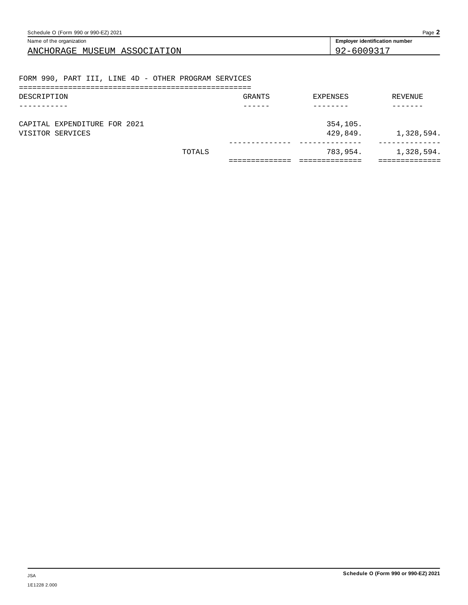| Page 2<br>Schedule O (Form 990 or 990-EZ) 2021       |        |                                       |            |  |  |  |  |  |  |  |
|------------------------------------------------------|--------|---------------------------------------|------------|--|--|--|--|--|--|--|
| Name of the organization                             |        | <b>Employer identification number</b> |            |  |  |  |  |  |  |  |
| 92-6009317<br>ANCHORAGE MUSEUM ASSOCIATION           |        |                                       |            |  |  |  |  |  |  |  |
|                                                      |        |                                       |            |  |  |  |  |  |  |  |
| FORM 990, PART III, LINE 4D - OTHER PROGRAM SERVICES |        |                                       |            |  |  |  |  |  |  |  |
| DESCRIPTION                                          | GRANTS | EXPENSES                              | REVENUE    |  |  |  |  |  |  |  |
|                                                      |        |                                       |            |  |  |  |  |  |  |  |
| CAPITAL EXPENDITURE FOR 2021                         |        | 354,105.                              |            |  |  |  |  |  |  |  |
| VISITOR SERVICES                                     |        | 429,849.                              | 1,328,594. |  |  |  |  |  |  |  |
| TOTALS                                               |        | 783,954.                              | 1,328,594. |  |  |  |  |  |  |  |
|                                                      |        | .========                             |            |  |  |  |  |  |  |  |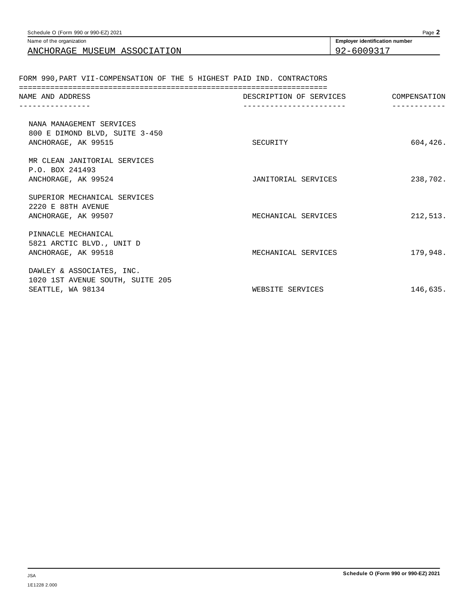| Schedule O (Form 990 or 990-EZ) 2021                                               |                                                    | Page 2                                |
|------------------------------------------------------------------------------------|----------------------------------------------------|---------------------------------------|
| Name of the organization                                                           |                                                    | <b>Employer identification number</b> |
| ANCHORAGE MUSEUM ASSOCIATION                                                       | 92-6009317                                         |                                       |
|                                                                                    |                                                    |                                       |
| FORM 990, PART VII-COMPENSATION OF THE 5 HIGHEST PAID IND. CONTRACTORS             |                                                    |                                       |
| NAME AND ADDRESS<br>.                                                              | DESCRIPTION OF SERVICES<br>----------------------- | COMPENSATION<br>------------          |
| NANA MANAGEMENT SERVICES<br>800 E DIMOND BLVD, SUITE 3-450<br>ANCHORAGE, AK 99515  | SECURITY                                           | 604, 426.                             |
| MR CLEAN JANITORIAL SERVICES<br>P.O. BOX 241493<br>ANCHORAGE, AK 99524             | JANITORIAL SERVICES                                | 238,702.                              |
| SUPERIOR MECHANICAL SERVICES<br>2220 E 88TH AVENUE<br>ANCHORAGE, AK 99507          | MECHANICAL SERVICES                                | 212,513.                              |
| PINNACLE MECHANICAL<br>5821 ARCTIC BLVD., UNIT D<br>ANCHORAGE, AK 99518            | MECHANICAL SERVICES                                | 179,948.                              |
| DAWLEY & ASSOCIATES, INC.<br>1020 1ST AVENUE SOUTH, SUITE 205<br>SEATTLE, WA 98134 | WEBSITE SERVICES                                   | 146,635.                              |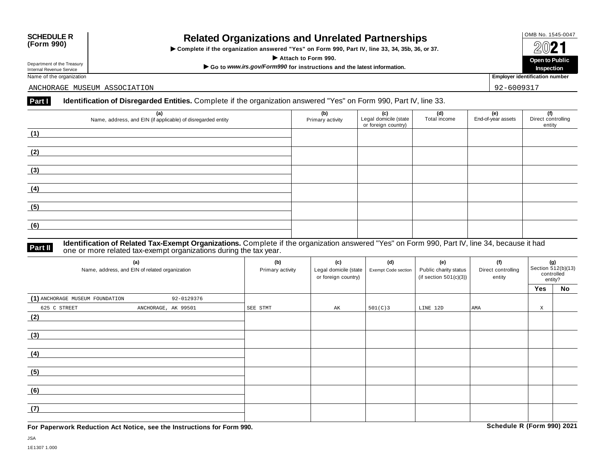# OMB No. 1545-0047 **SCHEDULE R (Form 990) Related Organizations and Unrelated Partnerships**

 $\triangleright$  Complete if the organization answered "Yes" on Form 990, Part IV, line 33, 34, 35b, 36, or 37.  $\angle$  **COLP**  $\angle$  **Public Form 990. COLP <b>Dependent in the state of the state of the state of the state of the state of the state of the state of the state of the state of the state of the state of the state of the s** 

Department of the Treasury<br>
Internal Revenue Service<br>
Name of the organization<br>
Name of the organization<br>
Name of the organization<br> **Name of the organization** 

Department of the Treasury<br>Internal Revenue Service

ANCHORAGE MUSEUM ASSOCIATION 92-6009317

#### **Part I Identification of Disregarded Entities.** Complete if the organization answered "Yes" on Form 990, Part IV, line 33.

| (a)<br>Name, address, and EIN (if applicable) of disregarded entity | (b)<br>Primary activity | (c)<br>Legal domicile (state<br>or foreign country) | (d)<br>Total income | (e)<br>End-of-year assets | (f)<br>Direct controlling<br>entity |
|---------------------------------------------------------------------|-------------------------|-----------------------------------------------------|---------------------|---------------------------|-------------------------------------|
| (1)                                                                 |                         |                                                     |                     |                           |                                     |
| (2)                                                                 |                         |                                                     |                     |                           |                                     |
| (3)                                                                 |                         |                                                     |                     |                           |                                     |
| (4)                                                                 |                         |                                                     |                     |                           |                                     |
| (5)                                                                 |                         |                                                     |                     |                           |                                     |
| (6)                                                                 |                         |                                                     |                     |                           |                                     |

**Identification of Related Tax-Exempt Organizations.** Complete if the organization answered "Yes" on Form 990, Part IV, line 34, because it had **Part II** one or more related tax-exempt organizations during the tax year.

| (a)<br>Name, address, and EIN of related organization |                     | (b)<br>Primary activity | (c)<br>Legal domicile (state  <br>or foreign country) | (d)<br>Exempt Code section | (e)<br>Public charity status<br>(if section $501(c)(3)$ ) | (f)<br>Direct controlling<br>entity | (g)<br>Section $512(b)(13)$<br>controlled<br>entity? |           |
|-------------------------------------------------------|---------------------|-------------------------|-------------------------------------------------------|----------------------------|-----------------------------------------------------------|-------------------------------------|------------------------------------------------------|-----------|
|                                                       |                     |                         |                                                       |                            |                                                           |                                     | Yes                                                  | <b>No</b> |
| (1) ANCHORAGE MUSEUM FOUNDATION                       | 92-0129376          |                         |                                                       |                            |                                                           |                                     |                                                      |           |
| 625 C STREET                                          | ANCHORAGE, AK 99501 | SEE STMT                | AK                                                    | 501(C)3                    | LINE 12D                                                  | AMA                                 | X                                                    |           |
| (2)                                                   |                     |                         |                                                       |                            |                                                           |                                     |                                                      |           |
|                                                       |                     |                         |                                                       |                            |                                                           |                                     |                                                      |           |
| (3)                                                   |                     |                         |                                                       |                            |                                                           |                                     |                                                      |           |
|                                                       |                     |                         |                                                       |                            |                                                           |                                     |                                                      |           |
| (4)                                                   |                     |                         |                                                       |                            |                                                           |                                     |                                                      |           |
|                                                       |                     |                         |                                                       |                            |                                                           |                                     |                                                      |           |
| (5)                                                   |                     |                         |                                                       |                            |                                                           |                                     |                                                      |           |
|                                                       |                     |                         |                                                       |                            |                                                           |                                     |                                                      |           |
| (6)                                                   |                     |                         |                                                       |                            |                                                           |                                     |                                                      |           |
|                                                       |                     |                         |                                                       |                            |                                                           |                                     |                                                      |           |
| (7)                                                   |                     |                         |                                                       |                            |                                                           |                                     |                                                      |           |
|                                                       |                     |                         |                                                       |                            |                                                           |                                     |                                                      |           |

**For Paperwork Reduction Act Notice, see the Instructions for Form 990. Schedule R (Form 990) 2021**

**Inspection**

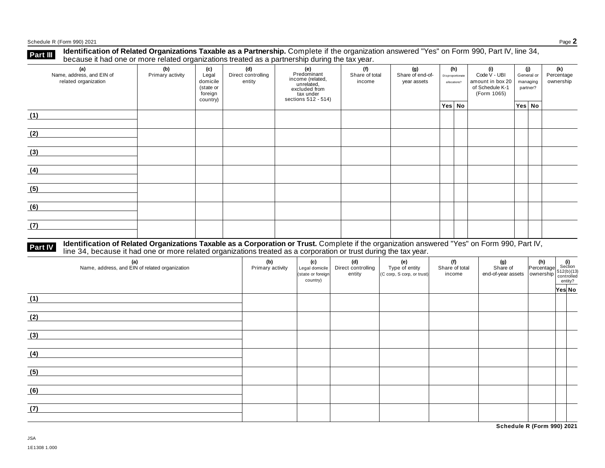Schedule <sup>R</sup> (Form 990) <sup>2021</sup> Page **2**

**Identification of Related Organizations Taxable as a Partnership.** Complete if the organization answered "Yes" on Form 990, Part IV, line 34, **because it had one or more related organizations Taxable as a Partnership.** Complete it the organizations treated as a partnership during the tax year.

| (a)<br>Name, address, and EIN of<br>related organization | (b)<br>Primary activity | (f)<br>(d)<br>(e)<br>Predominant<br>(c)<br>Direct controlling<br>Legal<br>Share of total<br>income (related,<br>unrelated,<br>excluded from<br>domicile<br>entity<br>income<br>(state or<br>foreign<br>tax under<br>sections 512 - 514)<br>country) |  | (g)<br>Share of end-of-<br>year assets |  | (h)<br>Disproportionate<br>allocations? | (i)<br>Code V - UBI<br>amount in box 20<br>of Schedule K-1<br>(Form 1065) | (i)<br>General or<br>managing<br>partner? |  | (k)<br>Percentage<br>ownership |  |
|----------------------------------------------------------|-------------------------|-----------------------------------------------------------------------------------------------------------------------------------------------------------------------------------------------------------------------------------------------------|--|----------------------------------------|--|-----------------------------------------|---------------------------------------------------------------------------|-------------------------------------------|--|--------------------------------|--|
|                                                          |                         |                                                                                                                                                                                                                                                     |  |                                        |  | Yes No                                  |                                                                           |                                           |  | Yes No                         |  |
| (1)                                                      |                         |                                                                                                                                                                                                                                                     |  |                                        |  |                                         |                                                                           |                                           |  |                                |  |
| (2)                                                      |                         |                                                                                                                                                                                                                                                     |  |                                        |  |                                         |                                                                           |                                           |  |                                |  |
| (3)                                                      |                         |                                                                                                                                                                                                                                                     |  |                                        |  |                                         |                                                                           |                                           |  |                                |  |
| (4)                                                      |                         |                                                                                                                                                                                                                                                     |  |                                        |  |                                         |                                                                           |                                           |  |                                |  |
| (5)                                                      |                         |                                                                                                                                                                                                                                                     |  |                                        |  |                                         |                                                                           |                                           |  |                                |  |
| (6)                                                      |                         |                                                                                                                                                                                                                                                     |  |                                        |  |                                         |                                                                           |                                           |  |                                |  |
| (7)                                                      |                         |                                                                                                                                                                                                                                                     |  |                                        |  |                                         |                                                                           |                                           |  |                                |  |

# **Part IV** Identification of Related Organizations Taxable as a Corporation or Trust. Complete if the organization answered "Yes" on Form 990, Part IV,<br>line 34, because it had one or more related organizations treated as a

| (a)<br>Name, address, and EIN of related organization | (b)<br>Primary activity | (c)<br>Legal domicile<br>(state or foreign<br>country) | (d)<br>Direct controlling<br>entity | (e)<br>Type of entity<br>(C corp, S corp, or trust) | (f)<br>Share of total<br>income | (g) (h) $\frac{1}{2}$ (i) $\frac{1}{2}$ (i) $\frac{1}{2}$ (i) $\frac{1}{2}$ (i) $\frac{1}{2}$ (b)(13) $\frac{1}{2}$ end-of-year assets ownership $\frac{1}{2}$ (c)(b)(13) $\frac{1}{2}$ entity? |        |
|-------------------------------------------------------|-------------------------|--------------------------------------------------------|-------------------------------------|-----------------------------------------------------|---------------------------------|-------------------------------------------------------------------------------------------------------------------------------------------------------------------------------------------------|--------|
| (1)                                                   |                         |                                                        |                                     |                                                     |                                 |                                                                                                                                                                                                 | Yes No |
| (2)                                                   |                         |                                                        |                                     |                                                     |                                 |                                                                                                                                                                                                 |        |
| (3)                                                   |                         |                                                        |                                     |                                                     |                                 |                                                                                                                                                                                                 |        |
| (4)                                                   |                         |                                                        |                                     |                                                     |                                 |                                                                                                                                                                                                 |        |
| (5)                                                   |                         |                                                        |                                     |                                                     |                                 |                                                                                                                                                                                                 |        |
| (6)                                                   |                         |                                                        |                                     |                                                     |                                 |                                                                                                                                                                                                 |        |
| (7)                                                   |                         |                                                        |                                     |                                                     |                                 |                                                                                                                                                                                                 |        |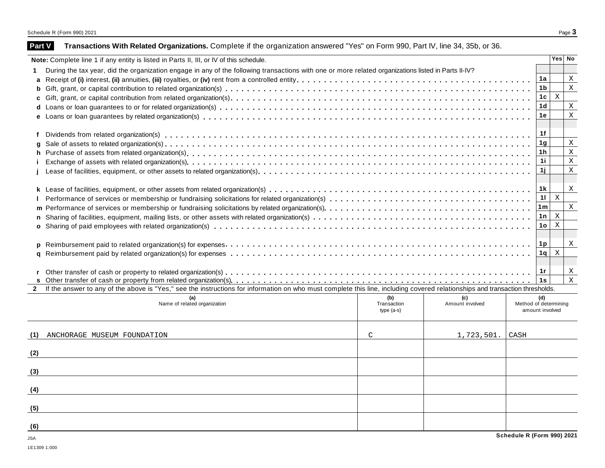| <b>Part V</b> | Transactions With Related Organizations. Complete if the organization answered "Yes" on Form 990, Part IV, line 34, 35b, or 36.                                              |                            |                 |                                          |                    |              |  |  |  |  |
|---------------|------------------------------------------------------------------------------------------------------------------------------------------------------------------------------|----------------------------|-----------------|------------------------------------------|--------------------|--------------|--|--|--|--|
|               | Note: Complete line 1 if any entity is listed in Parts II, III, or IV of this schedule.                                                                                      |                            |                 |                                          |                    | Yes No       |  |  |  |  |
|               | During the tax year, did the organization engage in any of the following transactions with one or more related organizations listed in Parts II-IV?                          |                            |                 |                                          |                    |              |  |  |  |  |
| a             |                                                                                                                                                                              |                            |                 | 1a                                       |                    | $\mathbf X$  |  |  |  |  |
| b             |                                                                                                                                                                              |                            |                 | 1 <sub>b</sub>                           |                    | $\mathbf{X}$ |  |  |  |  |
| C             |                                                                                                                                                                              |                            |                 |                                          | $\,$ X<br>1c       |              |  |  |  |  |
|               |                                                                                                                                                                              |                            |                 | 1d                                       |                    | X            |  |  |  |  |
|               |                                                                                                                                                                              |                            |                 | 1e                                       |                    | $\mathbf X$  |  |  |  |  |
|               | Dividends from related organization(s) enterpresent research resources and providends from related organization(s)                                                           |                            |                 | 1f                                       |                    |              |  |  |  |  |
| g             |                                                                                                                                                                              |                            |                 |                                          |                    |              |  |  |  |  |
|               |                                                                                                                                                                              |                            |                 | 1 <sub>h</sub>                           |                    | $\mathbf X$  |  |  |  |  |
|               |                                                                                                                                                                              |                            |                 | 11                                       |                    | $\mathbf X$  |  |  |  |  |
|               |                                                                                                                                                                              |                            |                 | 1j                                       |                    | $\mathbf X$  |  |  |  |  |
|               |                                                                                                                                                                              |                            |                 | 1k                                       |                    | X            |  |  |  |  |
|               |                                                                                                                                                                              |                            |                 |                                          | $\mathbf{x}$<br>11 |              |  |  |  |  |
|               |                                                                                                                                                                              |                            |                 | 1m                                       |                    | $\mathbf{X}$ |  |  |  |  |
|               |                                                                                                                                                                              |                            |                 |                                          | $1n \mid X$        |              |  |  |  |  |
|               |                                                                                                                                                                              |                            |                 |                                          | $10 \mid X$        |              |  |  |  |  |
| p             |                                                                                                                                                                              |                            |                 | 1p                                       |                    | X            |  |  |  |  |
| a             |                                                                                                                                                                              |                            |                 |                                          | $1q \mid X$        |              |  |  |  |  |
|               |                                                                                                                                                                              |                            |                 | 1r                                       |                    | X            |  |  |  |  |
|               |                                                                                                                                                                              |                            |                 | 1s                                       |                    | $\mathbf{X}$ |  |  |  |  |
|               | If the answer to any of the above is "Yes," see the instructions for information on who must complete this line, including covered relationships and transaction thresholds. |                            |                 |                                          |                    |              |  |  |  |  |
|               | (a)                                                                                                                                                                          | (b)                        | (c)             | (d)                                      |                    |              |  |  |  |  |
|               | Name of related organization                                                                                                                                                 | Transaction<br>$type(a-s)$ | Amount involved | Method of determining<br>amount involved |                    |              |  |  |  |  |
|               |                                                                                                                                                                              |                            |                 |                                          |                    |              |  |  |  |  |
| (1)           | ANCHORAGE MUSEUM FOUNDATION                                                                                                                                                  | C                          | 1,723,501.      | CASH                                     |                    |              |  |  |  |  |
| (2)           |                                                                                                                                                                              |                            |                 |                                          |                    |              |  |  |  |  |
| (3)           |                                                                                                                                                                              |                            |                 |                                          |                    |              |  |  |  |  |
|               |                                                                                                                                                                              |                            |                 |                                          |                    |              |  |  |  |  |
| (4)           |                                                                                                                                                                              |                            |                 |                                          |                    |              |  |  |  |  |
| (5)           |                                                                                                                                                                              |                            |                 |                                          |                    |              |  |  |  |  |
| (6)           |                                                                                                                                                                              |                            |                 |                                          |                    |              |  |  |  |  |
| <b>JSA</b>    |                                                                                                                                                                              |                            |                 | Schedule R (Form 990) 2021               |                    |              |  |  |  |  |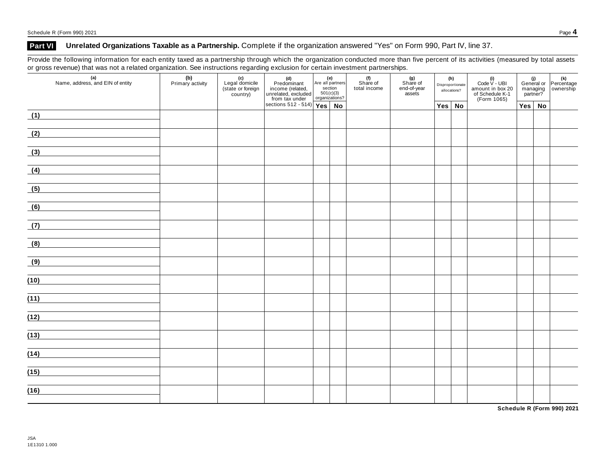## **Part VI Unrelated Organizations Taxable as a Partnership.** Complete if the organization answered "Yes" on Form 990, Part IV, line 37.

Provide the following information for each entity taxed as a partnership through which the organization conducted more than five percent of its activities (measured by total assets or gross revenue) that was not a related organization. See instructions regarding exclusion for certain investment partnerships.

| $\tilde{}$<br>$\sim$<br>(a)<br>Name, address, and EIN of entity | (b)<br>Primary activity | (c)<br>Legal domicile<br>(state or foreign<br>country) | (d)<br>Predominant<br>income (related,<br>unrelated, excluded<br>from tax under<br>sections 512 - 514)<br>Yes No |  | (f)<br>Share of<br>total income | (g)<br>Share of<br>end-of-year<br>assets | (h)<br>Disproportionate<br>allocations? |               | (i)<br>Code $V - UBI$<br>amount in box 20<br>of Schedule K-1<br>(Form 1065) |               | managing<br>partner? | (i)<br>General or Percentage<br>managing ownership |
|-----------------------------------------------------------------|-------------------------|--------------------------------------------------------|------------------------------------------------------------------------------------------------------------------|--|---------------------------------|------------------------------------------|-----------------------------------------|---------------|-----------------------------------------------------------------------------|---------------|----------------------|----------------------------------------------------|
|                                                                 |                         |                                                        |                                                                                                                  |  |                                 |                                          |                                         | $Yes \mid No$ |                                                                             | $Yes \mid No$ |                      |                                                    |
| (1)                                                             |                         |                                                        |                                                                                                                  |  |                                 |                                          |                                         |               |                                                                             |               |                      |                                                    |
| (2)                                                             |                         |                                                        |                                                                                                                  |  |                                 |                                          |                                         |               |                                                                             |               |                      |                                                    |
| (3)                                                             |                         |                                                        |                                                                                                                  |  |                                 |                                          |                                         |               |                                                                             |               |                      |                                                    |
| (4)                                                             |                         |                                                        |                                                                                                                  |  |                                 |                                          |                                         |               |                                                                             |               |                      |                                                    |
| (5)                                                             |                         |                                                        |                                                                                                                  |  |                                 |                                          |                                         |               |                                                                             |               |                      |                                                    |
| (6)                                                             |                         |                                                        |                                                                                                                  |  |                                 |                                          |                                         |               |                                                                             |               |                      |                                                    |
| (7)                                                             |                         |                                                        |                                                                                                                  |  |                                 |                                          |                                         |               |                                                                             |               |                      |                                                    |
| (8)                                                             |                         |                                                        |                                                                                                                  |  |                                 |                                          |                                         |               |                                                                             |               |                      |                                                    |
| (9)                                                             |                         |                                                        |                                                                                                                  |  |                                 |                                          |                                         |               |                                                                             |               |                      |                                                    |
| (10)                                                            |                         |                                                        |                                                                                                                  |  |                                 |                                          |                                         |               |                                                                             |               |                      |                                                    |
| (11)                                                            |                         |                                                        |                                                                                                                  |  |                                 |                                          |                                         |               |                                                                             |               |                      |                                                    |
| (12)                                                            |                         |                                                        |                                                                                                                  |  |                                 |                                          |                                         |               |                                                                             |               |                      |                                                    |
| (13)                                                            |                         |                                                        |                                                                                                                  |  |                                 |                                          |                                         |               |                                                                             |               |                      |                                                    |
| (14)                                                            |                         |                                                        |                                                                                                                  |  |                                 |                                          |                                         |               |                                                                             |               |                      |                                                    |
| (15)                                                            |                         |                                                        |                                                                                                                  |  |                                 |                                          |                                         |               |                                                                             |               |                      |                                                    |
| (16)                                                            |                         |                                                        |                                                                                                                  |  |                                 |                                          |                                         |               |                                                                             |               |                      |                                                    |

**Schedule R (Form 990) 2021**